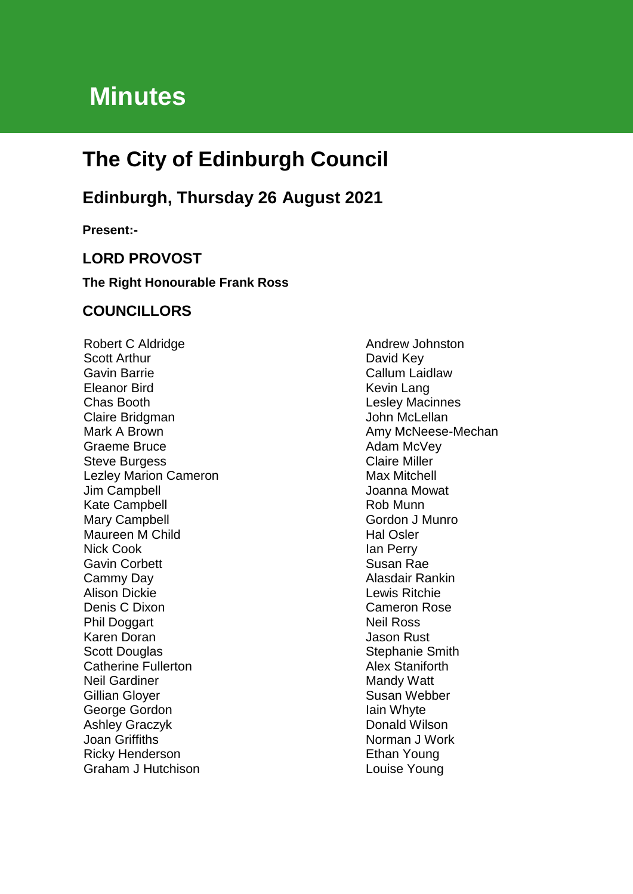# **Minutes**

# **The City of Edinburgh Council**

# **Edinburgh, Thursday 26 August 2021**

**Present:-**

# **LORD PROVOST**

#### **The Right Honourable Frank Ross**

# **COUNCILLORS**

Robert C Aldridge Scott Arthur Gavin Barrie Eleanor Bird Chas Booth Claire Bridgman Mark A Brown Graeme Bruce Steve Burgess Lezley Marion Cameron Jim Campbell Kate Campbell Mary Campbell Maureen M Child Nick Cook Gavin Corbett Cammy Day Alison Dickie Denis C Dixon Phil Doggart Karen Doran Scott Douglas Catherine Fullerton Neil Gardiner Gillian Gloyer George Gordon Ashley Graczyk Joan Griffiths Ricky Henderson Graham J Hutchison

Andrew Johnston David Key Callum Laidlaw Kevin Lang Lesley Macinnes John McLellan Amy McNeese-Mechan Adam McVey Claire Miller Max Mitchell Joanna Mowat Rob Munn Gordon J Munro Hal Osler Ian Perry Susan Rae Alasdair Rankin Lewis Ritchie Cameron Rose Neil Ross Jason Rust Stephanie Smith Alex Staniforth Mandy Watt Susan Webber Iain Whyte Donald Wilson Norman J Work Ethan Young Louise Young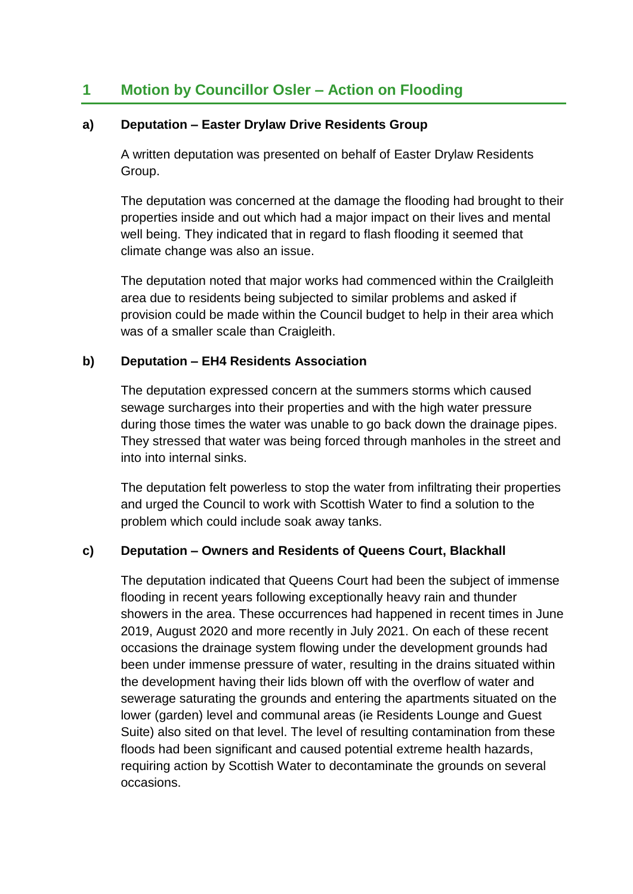# **1 Motion by Councillor Osler – Action on Flooding**

#### **a) Deputation – Easter Drylaw Drive Residents Group**

A written deputation was presented on behalf of Easter Drylaw Residents Group.

The deputation was concerned at the damage the flooding had brought to their properties inside and out which had a major impact on their lives and mental well being. They indicated that in regard to flash flooding it seemed that climate change was also an issue.

The deputation noted that major works had commenced within the Crailgleith area due to residents being subjected to similar problems and asked if provision could be made within the Council budget to help in their area which was of a smaller scale than Craigleith.

#### **b) Deputation – EH4 Residents Association**

The deputation expressed concern at the summers storms which caused sewage surcharges into their properties and with the high water pressure during those times the water was unable to go back down the drainage pipes. They stressed that water was being forced through manholes in the street and into into internal sinks.

The deputation felt powerless to stop the water from infiltrating their properties and urged the Council to work with Scottish Water to find a solution to the problem which could include soak away tanks.

# **c) Deputation – Owners and Residents of Queens Court, Blackhall**

The deputation indicated that Queens Court had been the subject of immense flooding in recent years following exceptionally heavy rain and thunder showers in the area. These occurrences had happened in recent times in June 2019, August 2020 and more recently in July 2021. On each of these recent occasions the drainage system flowing under the development grounds had been under immense pressure of water, resulting in the drains situated within the development having their lids blown off with the overflow of water and sewerage saturating the grounds and entering the apartments situated on the lower (garden) level and communal areas (ie Residents Lounge and Guest Suite) also sited on that level. The level of resulting contamination from these floods had been significant and caused potential extreme health hazards, requiring action by Scottish Water to decontaminate the grounds on several occasions.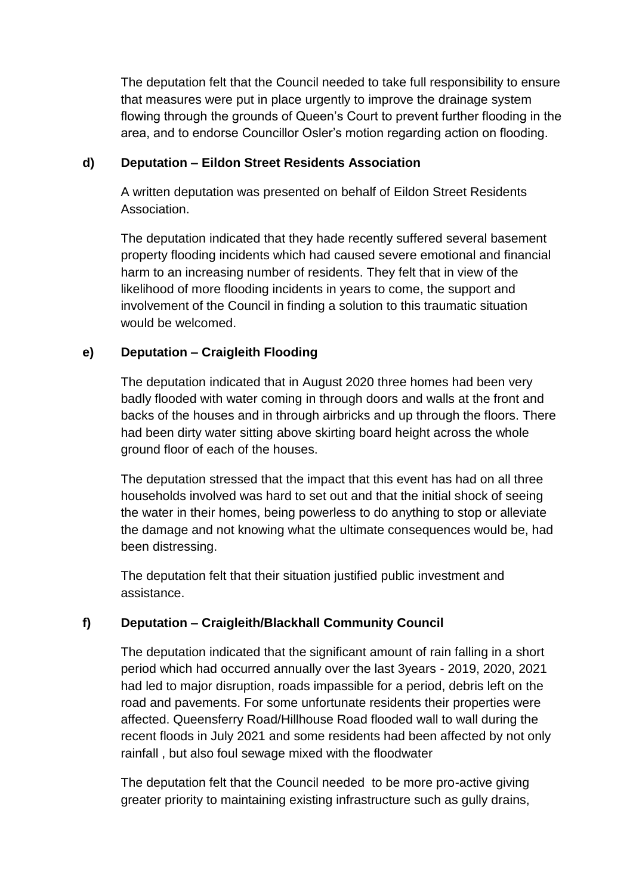The deputation felt that the Council needed to take full responsibility to ensure that measures were put in place urgently to improve the drainage system flowing through the grounds of Queen's Court to prevent further flooding in the area, and to endorse Councillor Osler's motion regarding action on flooding.

# **d) Deputation – Eildon Street Residents Association**

A written deputation was presented on behalf of Eildon Street Residents Association.

The deputation indicated that they hade recently suffered several basement property flooding incidents which had caused severe emotional and financial harm to an increasing number of residents. They felt that in view of the likelihood of more flooding incidents in years to come, the support and involvement of the Council in finding a solution to this traumatic situation would be welcomed.

# **e) Deputation – Craigleith Flooding**

The deputation indicated that in August 2020 three homes had been very badly flooded with water coming in through doors and walls at the front and backs of the houses and in through airbricks and up through the floors. There had been dirty water sitting above skirting board height across the whole ground floor of each of the houses.

The deputation stressed that the impact that this event has had on all three households involved was hard to set out and that the initial shock of seeing the water in their homes, being powerless to do anything to stop or alleviate the damage and not knowing what the ultimate consequences would be, had been distressing.

The deputation felt that their situation justified public investment and assistance.

# **f) Deputation – Craigleith/Blackhall Community Council**

The deputation indicated that the significant amount of rain falling in a short period which had occurred annually over the last 3years - 2019, 2020, 2021 had led to major disruption, roads impassible for a period, debris left on the road and pavements. For some unfortunate residents their properties were affected. Queensferry Road/Hillhouse Road flooded wall to wall during the recent floods in July 2021 and some residents had been affected by not only rainfall , but also foul sewage mixed with the floodwater

The deputation felt that the Council needed to be more pro-active giving greater priority to maintaining existing infrastructure such as gully drains,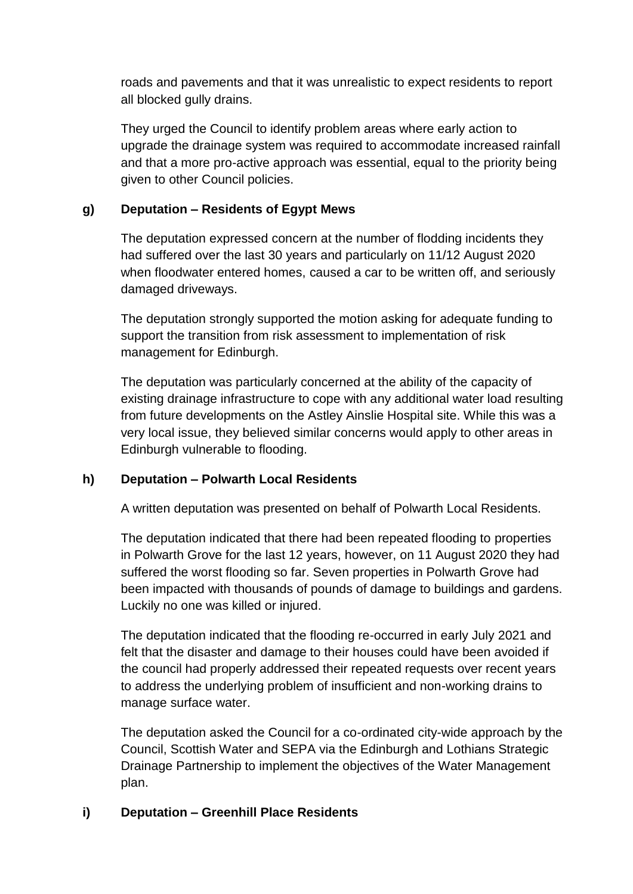roads and pavements and that it was unrealistic to expect residents to report all blocked gully drains.

They urged the Council to identify problem areas where early action to upgrade the drainage system was required to accommodate increased rainfall and that a more pro-active approach was essential, equal to the priority being given to other Council policies.

# **g) Deputation – Residents of Egypt Mews**

The deputation expressed concern at the number of flodding incidents they had suffered over the last 30 years and particularly on 11/12 August 2020 when floodwater entered homes, caused a car to be written off, and seriously damaged driveways.

The deputation strongly supported the motion asking for adequate funding to support the transition from risk assessment to implementation of risk management for Edinburgh.

The deputation was particularly concerned at the ability of the capacity of existing drainage infrastructure to cope with any additional water load resulting from future developments on the Astley Ainslie Hospital site. While this was a very local issue, they believed similar concerns would apply to other areas in Edinburgh vulnerable to flooding.

# **h) Deputation – Polwarth Local Residents**

A written deputation was presented on behalf of Polwarth Local Residents.

The deputation indicated that there had been repeated flooding to properties in Polwarth Grove for the last 12 years, however, on 11 August 2020 they had suffered the worst flooding so far. Seven properties in Polwarth Grove had been impacted with thousands of pounds of damage to buildings and gardens. Luckily no one was killed or injured.

The deputation indicated that the flooding re-occurred in early July 2021 and felt that the disaster and damage to their houses could have been avoided if the council had properly addressed their repeated requests over recent years to address the underlying problem of insufficient and non-working drains to manage surface water.

The deputation asked the Council for a co-ordinated city-wide approach by the Council, Scottish Water and SEPA via the Edinburgh and Lothians Strategic Drainage Partnership to implement the objectives of the Water Management plan.

# **i) Deputation – Greenhill Place Residents**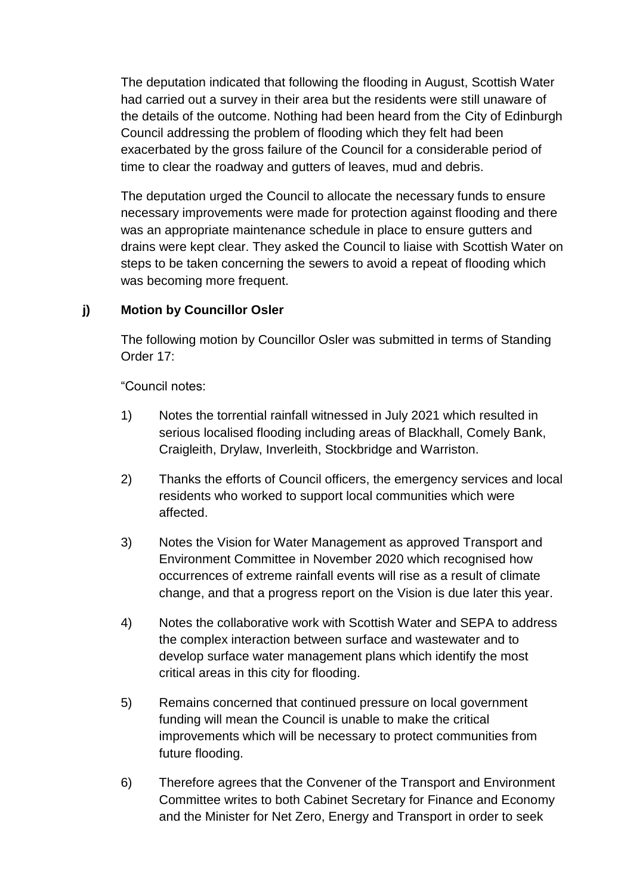The deputation indicated that following the flooding in August, Scottish Water had carried out a survey in their area but the residents were still unaware of the details of the outcome. Nothing had been heard from the City of Edinburgh Council addressing the problem of flooding which they felt had been exacerbated by the gross failure of the Council for a considerable period of time to clear the roadway and gutters of leaves, mud and debris.

The deputation urged the Council to allocate the necessary funds to ensure necessary improvements were made for protection against flooding and there was an appropriate maintenance schedule in place to ensure gutters and drains were kept clear. They asked the Council to liaise with Scottish Water on steps to be taken concerning the sewers to avoid a repeat of flooding which was becoming more frequent.

# **j) Motion by Councillor Osler**

The following motion by Councillor Osler was submitted in terms of Standing Order 17:

"Council notes:

- 1) Notes the torrential rainfall witnessed in July 2021 which resulted in serious localised flooding including areas of Blackhall, Comely Bank, Craigleith, Drylaw, Inverleith, Stockbridge and Warriston.
- 2) Thanks the efforts of Council officers, the emergency services and local residents who worked to support local communities which were affected.
- 3) Notes the Vision for Water Management as approved Transport and Environment Committee in November 2020 which recognised how occurrences of extreme rainfall events will rise as a result of climate change, and that a progress report on the Vision is due later this year.
- 4) Notes the collaborative work with Scottish Water and SEPA to address the complex interaction between surface and wastewater and to develop surface water management plans which identify the most critical areas in this city for flooding.
- 5) Remains concerned that continued pressure on local government funding will mean the Council is unable to make the critical improvements which will be necessary to protect communities from future flooding.
- 6) Therefore agrees that the Convener of the Transport and Environment Committee writes to both Cabinet Secretary for Finance and Economy and the Minister for Net Zero, Energy and Transport in order to seek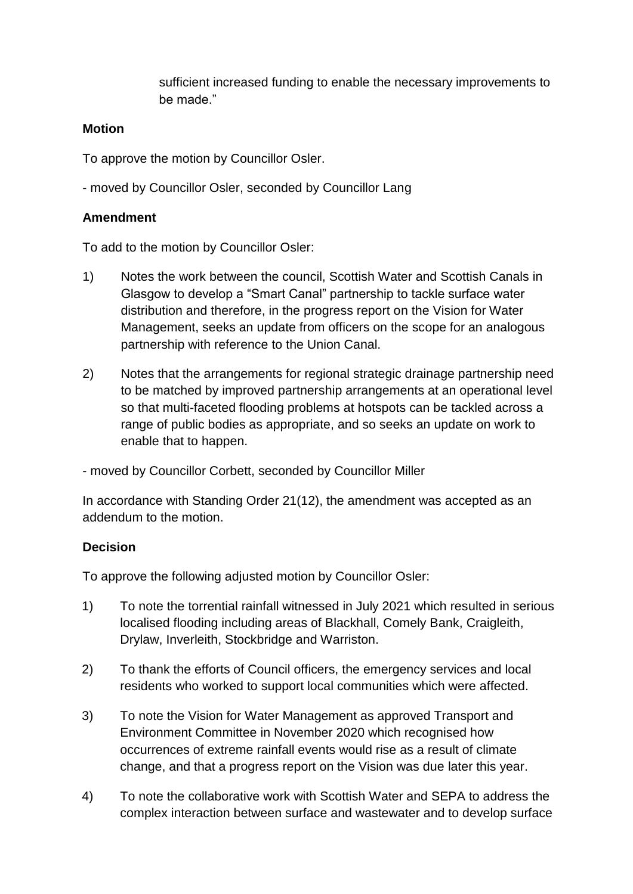sufficient increased funding to enable the necessary improvements to be made."

#### **Motion**

To approve the motion by Councillor Osler.

- moved by Councillor Osler, seconded by Councillor Lang

#### **Amendment**

To add to the motion by Councillor Osler:

- 1) Notes the work between the council, Scottish Water and Scottish Canals in Glasgow to develop a "Smart Canal" partnership to tackle surface water distribution and therefore, in the progress report on the Vision for Water Management, seeks an update from officers on the scope for an analogous partnership with reference to the Union Canal.
- 2) Notes that the arrangements for regional strategic drainage partnership need to be matched by improved partnership arrangements at an operational level so that multi-faceted flooding problems at hotspots can be tackled across a range of public bodies as appropriate, and so seeks an update on work to enable that to happen.

- moved by Councillor Corbett, seconded by Councillor Miller

In accordance with Standing Order 21(12), the amendment was accepted as an addendum to the motion.

# **Decision**

To approve the following adjusted motion by Councillor Osler:

- 1) To note the torrential rainfall witnessed in July 2021 which resulted in serious localised flooding including areas of Blackhall, Comely Bank, Craigleith, Drylaw, Inverleith, Stockbridge and Warriston.
- 2) To thank the efforts of Council officers, the emergency services and local residents who worked to support local communities which were affected.
- 3) To note the Vision for Water Management as approved Transport and Environment Committee in November 2020 which recognised how occurrences of extreme rainfall events would rise as a result of climate change, and that a progress report on the Vision was due later this year.
- 4) To note the collaborative work with Scottish Water and SEPA to address the complex interaction between surface and wastewater and to develop surface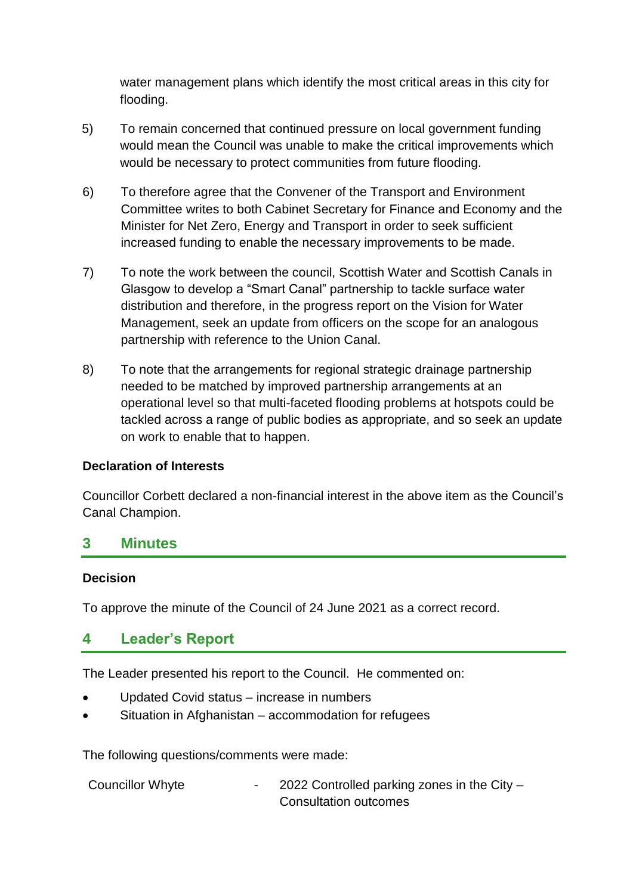water management plans which identify the most critical areas in this city for flooding.

- 5) To remain concerned that continued pressure on local government funding would mean the Council was unable to make the critical improvements which would be necessary to protect communities from future flooding.
- 6) To therefore agree that the Convener of the Transport and Environment Committee writes to both Cabinet Secretary for Finance and Economy and the Minister for Net Zero, Energy and Transport in order to seek sufficient increased funding to enable the necessary improvements to be made.
- 7) To note the work between the council, Scottish Water and Scottish Canals in Glasgow to develop a "Smart Canal" partnership to tackle surface water distribution and therefore, in the progress report on the Vision for Water Management, seek an update from officers on the scope for an analogous partnership with reference to the Union Canal.
- 8) To note that the arrangements for regional strategic drainage partnership needed to be matched by improved partnership arrangements at an operational level so that multi-faceted flooding problems at hotspots could be tackled across a range of public bodies as appropriate, and so seek an update on work to enable that to happen.

# **Declaration of Interests**

Councillor Corbett declared a non-financial interest in the above item as the Council's Canal Champion.

# **3 Minutes**

#### **Decision**

To approve the minute of the Council of 24 June 2021 as a correct record.

# **4 Leader's Report**

The Leader presented his report to the Council. He commented on:

- Updated Covid status increase in numbers
- Situation in Afghanistan accommodation for refugees

The following questions/comments were made:

| <b>Councillor Whyte</b> | 2022 Controlled parking zones in the City - |
|-------------------------|---------------------------------------------|
|                         | Consultation outcomes                       |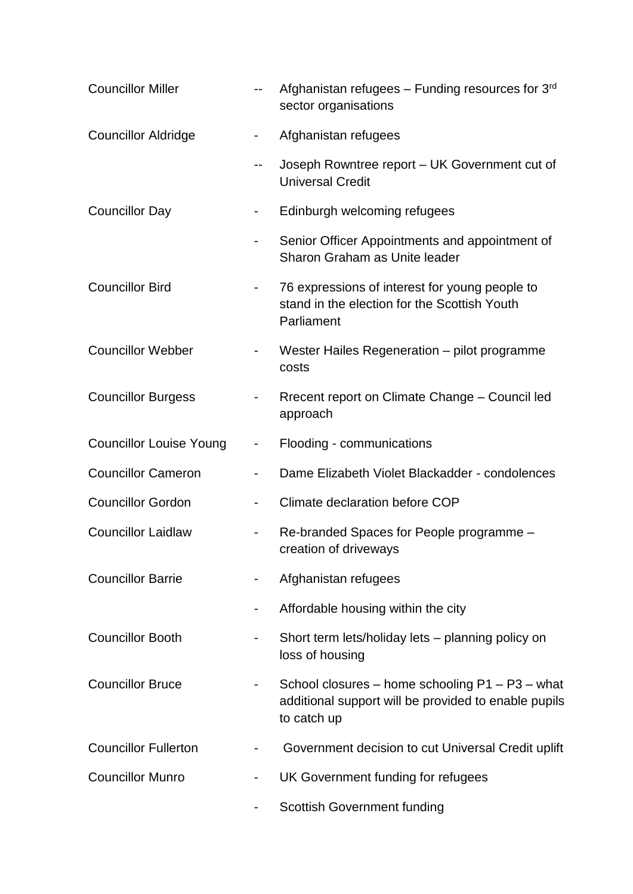| <b>Councillor Miller</b>       | $\overline{\phantom{a}}$     | Afghanistan refugees - Funding resources for 3rd<br>sector organisations                                               |
|--------------------------------|------------------------------|------------------------------------------------------------------------------------------------------------------------|
| <b>Councillor Aldridge</b>     | $\overline{\phantom{0}}$     | Afghanistan refugees                                                                                                   |
|                                | --                           | Joseph Rowntree report - UK Government cut of<br><b>Universal Credit</b>                                               |
| <b>Councillor Day</b>          | $\overline{\phantom{0}}$     | Edinburgh welcoming refugees                                                                                           |
|                                | $\overline{\phantom{0}}$     | Senior Officer Appointments and appointment of<br>Sharon Graham as Unite leader                                        |
| <b>Councillor Bird</b>         |                              | 76 expressions of interest for young people to<br>stand in the election for the Scottish Youth<br>Parliament           |
| <b>Councillor Webber</b>       |                              | Wester Hailes Regeneration - pilot programme<br>costs                                                                  |
| <b>Councillor Burgess</b>      |                              | Rrecent report on Climate Change - Council led<br>approach                                                             |
| <b>Councillor Louise Young</b> | $\overline{\phantom{0}}$     | Flooding - communications                                                                                              |
| <b>Councillor Cameron</b>      |                              | Dame Elizabeth Violet Blackadder - condolences                                                                         |
| <b>Councillor Gordon</b>       | $\overline{\phantom{a}}$     | Climate declaration before COP                                                                                         |
| <b>Councillor Laidlaw</b>      | $\qquad \qquad \blacksquare$ | Re-branded Spaces for People programme -<br>creation of driveways                                                      |
| <b>Councillor Barrie</b>       |                              | Afghanistan refugees                                                                                                   |
|                                |                              | Affordable housing within the city                                                                                     |
| <b>Councillor Booth</b>        |                              | Short term lets/holiday lets – planning policy on<br>loss of housing                                                   |
| <b>Councillor Bruce</b>        |                              | School closures - home schooling P1 - P3 - what<br>additional support will be provided to enable pupils<br>to catch up |
| <b>Councillor Fullerton</b>    |                              | Government decision to cut Universal Credit uplift                                                                     |
| <b>Councillor Munro</b>        |                              | UK Government funding for refugees                                                                                     |
|                                |                              | <b>Scottish Government funding</b>                                                                                     |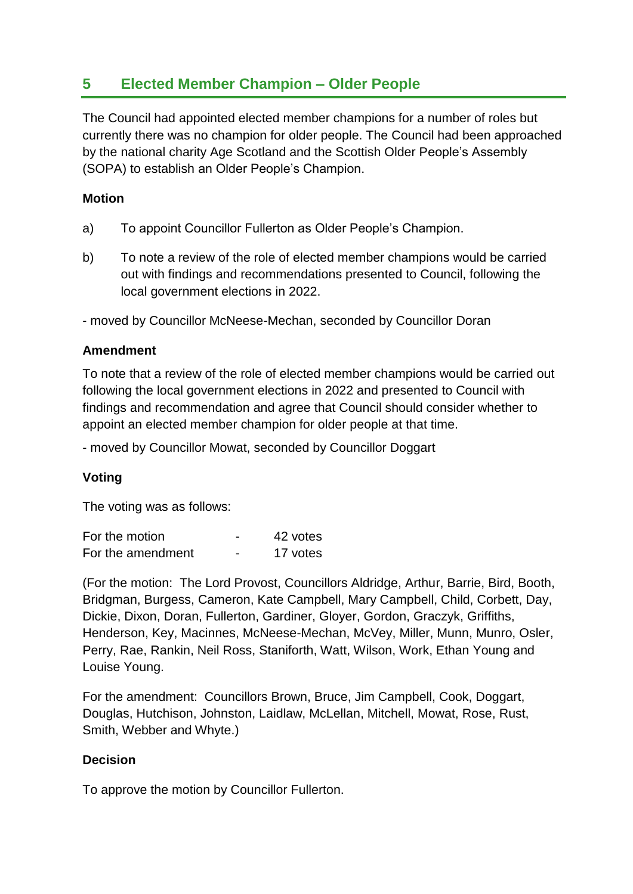# **5 Elected Member Champion – Older People**

The Council had appointed elected member champions for a number of roles but currently there was no champion for older people. The Council had been approached by the national charity Age Scotland and the Scottish Older People's Assembly (SOPA) to establish an Older People's Champion.

#### **Motion**

- a) To appoint Councillor Fullerton as Older People's Champion.
- b) To note a review of the role of elected member champions would be carried out with findings and recommendations presented to Council, following the local government elections in 2022.

- moved by Councillor McNeese-Mechan, seconded by Councillor Doran

#### **Amendment**

To note that a review of the role of elected member champions would be carried out following the local government elections in 2022 and presented to Council with findings and recommendation and agree that Council should consider whether to appoint an elected member champion for older people at that time.

- moved by Councillor Mowat, seconded by Councillor Doggart

# **Voting**

The voting was as follows:

For the motion Theorem 12 votes For the amendment - 17 votes

(For the motion: The Lord Provost, Councillors Aldridge, Arthur, Barrie, Bird, Booth, Bridgman, Burgess, Cameron, Kate Campbell, Mary Campbell, Child, Corbett, Day, Dickie, Dixon, Doran, Fullerton, Gardiner, Gloyer, Gordon, Graczyk, Griffiths, Henderson, Key, Macinnes, McNeese-Mechan, McVey, Miller, Munn, Munro, Osler, Perry, Rae, Rankin, Neil Ross, Staniforth, Watt, Wilson, Work, Ethan Young and Louise Young.

For the amendment: Councillors Brown, Bruce, Jim Campbell, Cook, Doggart, Douglas, Hutchison, Johnston, Laidlaw, McLellan, Mitchell, Mowat, Rose, Rust, Smith, Webber and Whyte.)

# **Decision**

To approve the motion by Councillor Fullerton.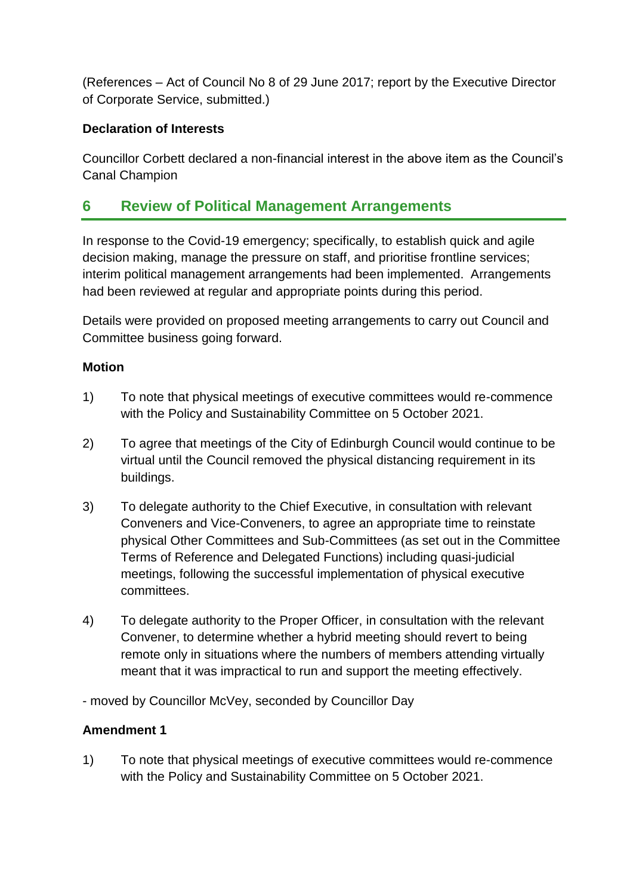(References – Act of Council No 8 of 29 June 2017; report by the Executive Director of Corporate Service, submitted.)

# **Declaration of Interests**

Councillor Corbett declared a non-financial interest in the above item as the Council's Canal Champion

# **6 Review of Political Management Arrangements**

In response to the Covid-19 emergency; specifically, to establish quick and agile decision making, manage the pressure on staff, and prioritise frontline services; interim political management arrangements had been implemented. Arrangements had been reviewed at regular and appropriate points during this period.

Details were provided on proposed meeting arrangements to carry out Council and Committee business going forward.

# **Motion**

- 1) To note that physical meetings of executive committees would re-commence with the Policy and Sustainability Committee on 5 October 2021.
- 2) To agree that meetings of the City of Edinburgh Council would continue to be virtual until the Council removed the physical distancing requirement in its buildings.
- 3) To delegate authority to the Chief Executive, in consultation with relevant Conveners and Vice-Conveners, to agree an appropriate time to reinstate physical Other Committees and Sub-Committees (as set out in the Committee Terms of Reference and Delegated Functions) including quasi-judicial meetings, following the successful implementation of physical executive committees.
- 4) To delegate authority to the Proper Officer, in consultation with the relevant Convener, to determine whether a hybrid meeting should revert to being remote only in situations where the numbers of members attending virtually meant that it was impractical to run and support the meeting effectively.

- moved by Councillor McVey, seconded by Councillor Day

# **Amendment 1**

1) To note that physical meetings of executive committees would re-commence with the Policy and Sustainability Committee on 5 October 2021.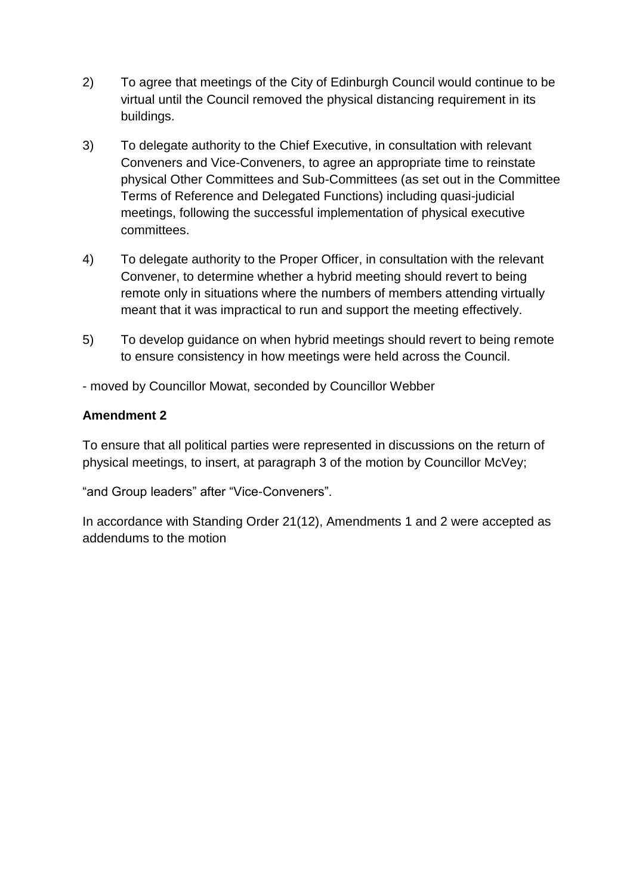- 2) To agree that meetings of the City of Edinburgh Council would continue to be virtual until the Council removed the physical distancing requirement in its buildings.
- 3) To delegate authority to the Chief Executive, in consultation with relevant Conveners and Vice-Conveners, to agree an appropriate time to reinstate physical Other Committees and Sub-Committees (as set out in the Committee Terms of Reference and Delegated Functions) including quasi-judicial meetings, following the successful implementation of physical executive committees.
- 4) To delegate authority to the Proper Officer, in consultation with the relevant Convener, to determine whether a hybrid meeting should revert to being remote only in situations where the numbers of members attending virtually meant that it was impractical to run and support the meeting effectively.
- 5) To develop guidance on when hybrid meetings should revert to being remote to ensure consistency in how meetings were held across the Council.

- moved by Councillor Mowat, seconded by Councillor Webber

# **Amendment 2**

To ensure that all political parties were represented in discussions on the return of physical meetings, to insert, at paragraph 3 of the motion by Councillor McVey;

"and Group leaders" after "Vice-Conveners".

In accordance with Standing Order 21(12), Amendments 1 and 2 were accepted as addendums to the motion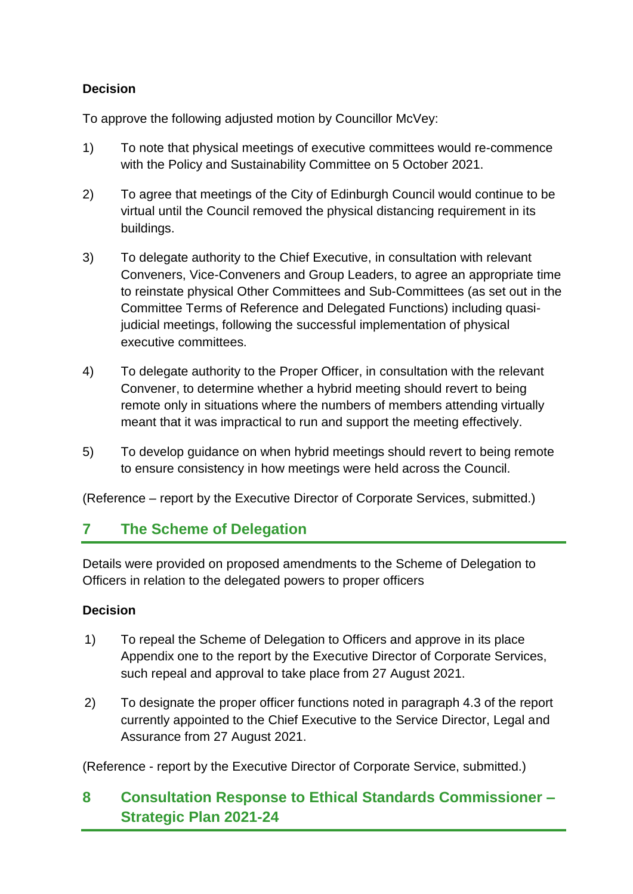# **Decision**

To approve the following adjusted motion by Councillor McVey:

- 1) To note that physical meetings of executive committees would re-commence with the Policy and Sustainability Committee on 5 October 2021.
- 2) To agree that meetings of the City of Edinburgh Council would continue to be virtual until the Council removed the physical distancing requirement in its buildings.
- 3) To delegate authority to the Chief Executive, in consultation with relevant Conveners, Vice-Conveners and Group Leaders, to agree an appropriate time to reinstate physical Other Committees and Sub-Committees (as set out in the Committee Terms of Reference and Delegated Functions) including quasijudicial meetings, following the successful implementation of physical executive committees.
- 4) To delegate authority to the Proper Officer, in consultation with the relevant Convener, to determine whether a hybrid meeting should revert to being remote only in situations where the numbers of members attending virtually meant that it was impractical to run and support the meeting effectively.
- 5) To develop guidance on when hybrid meetings should revert to being remote to ensure consistency in how meetings were held across the Council.

(Reference – report by the Executive Director of Corporate Services, submitted.)

# **7 The Scheme of Delegation**

Details were provided on proposed amendments to the Scheme of Delegation to Officers in relation to the delegated powers to proper officers

# **Decision**

- 1) To repeal the Scheme of Delegation to Officers and approve in its place Appendix one to the report by the Executive Director of Corporate Services, such repeal and approval to take place from 27 August 2021.
- 2) To designate the proper officer functions noted in paragraph 4.3 of the report currently appointed to the Chief Executive to the Service Director, Legal and Assurance from 27 August 2021.

(Reference - report by the Executive Director of Corporate Service, submitted.)

# **8 Consultation Response to Ethical Standards Commissioner – Strategic Plan 2021-24**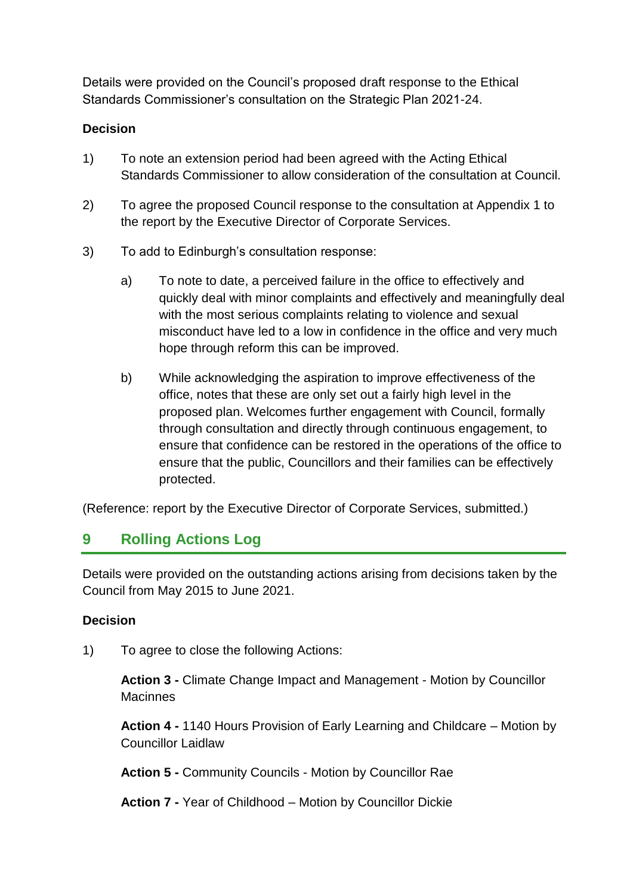Details were provided on the Council's proposed draft response to the Ethical Standards Commissioner's consultation on the Strategic Plan 2021-24.

# **Decision**

- 1) To note an extension period had been agreed with the Acting Ethical Standards Commissioner to allow consideration of the consultation at Council.
- 2) To agree the proposed Council response to the consultation at Appendix 1 to the report by the Executive Director of Corporate Services.
- 3) To add to Edinburgh's consultation response:
	- a) To note to date, a perceived failure in the office to effectively and quickly deal with minor complaints and effectively and meaningfully deal with the most serious complaints relating to violence and sexual misconduct have led to a low in confidence in the office and very much hope through reform this can be improved.
	- b) While acknowledging the aspiration to improve effectiveness of the office, notes that these are only set out a fairly high level in the proposed plan. Welcomes further engagement with Council, formally through consultation and directly through continuous engagement, to ensure that confidence can be restored in the operations of the office to ensure that the public, Councillors and their families can be effectively protected.

(Reference: report by the Executive Director of Corporate Services, submitted.)

# **9 Rolling Actions Log**

Details were provided on the outstanding actions arising from decisions taken by the Council from May 2015 to June 2021.

# **Decision**

1) To agree to close the following Actions:

**Action 3 -** Climate Change Impact and Management - Motion by Councillor **Macinnes** 

**Action 4 -** 1140 Hours Provision of Early Learning and Childcare – Motion by Councillor Laidlaw

**Action 5 -** Community Councils - Motion by Councillor Rae

**Action 7 -** Year of Childhood – Motion by Councillor Dickie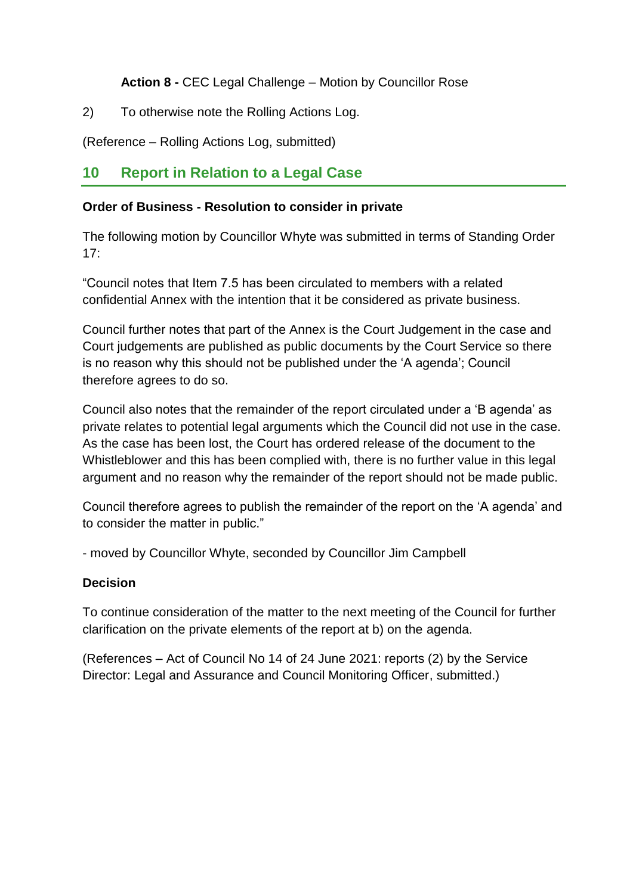**Action 8 -** CEC Legal Challenge – Motion by Councillor Rose

2) To otherwise note the Rolling Actions Log.

(Reference – Rolling Actions Log, submitted)

# **10 Report in Relation to a Legal Case**

#### **Order of Business - Resolution to consider in private**

The following motion by Councillor Whyte was submitted in terms of Standing Order  $17<sup>·</sup>$ 

"Council notes that Item 7.5 has been circulated to members with a related confidential Annex with the intention that it be considered as private business.

Council further notes that part of the Annex is the Court Judgement in the case and Court judgements are published as public documents by the Court Service so there is no reason why this should not be published under the 'A agenda'; Council therefore agrees to do so.

Council also notes that the remainder of the report circulated under a 'B agenda' as private relates to potential legal arguments which the Council did not use in the case. As the case has been lost, the Court has ordered release of the document to the Whistleblower and this has been complied with, there is no further value in this legal argument and no reason why the remainder of the report should not be made public.

Council therefore agrees to publish the remainder of the report on the 'A agenda' and to consider the matter in public."

- moved by Councillor Whyte, seconded by Councillor Jim Campbell

# **Decision**

To continue consideration of the matter to the next meeting of the Council for further clarification on the private elements of the report at b) on the agenda.

(References – Act of Council No 14 of 24 June 2021: reports (2) by the Service Director: Legal and Assurance and Council Monitoring Officer, submitted.)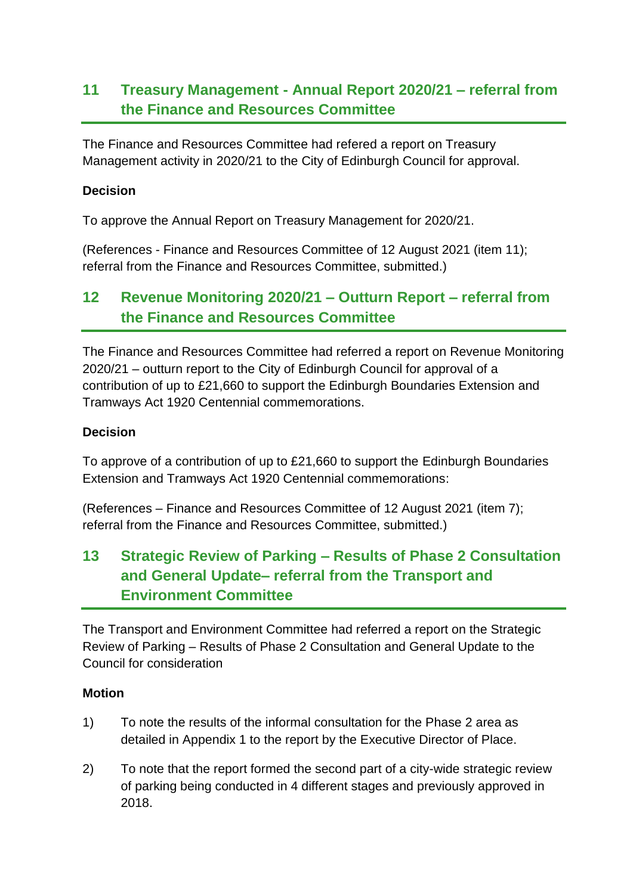# **11 Treasury Management - Annual Report 2020/21 – referral from the Finance and Resources Committee**

The Finance and Resources Committee had refered a report on Treasury Management activity in 2020/21 to the City of Edinburgh Council for approval.

#### **Decision**

To approve the Annual Report on Treasury Management for 2020/21.

(References - Finance and Resources Committee of 12 August 2021 (item 11); referral from the Finance and Resources Committee, submitted.)

# **12 Revenue Monitoring 2020/21 – Outturn Report – referral from the Finance and Resources Committee**

The Finance and Resources Committee had referred a report on Revenue Monitoring 2020/21 – outturn report to the City of Edinburgh Council for approval of a contribution of up to £21,660 to support the Edinburgh Boundaries Extension and Tramways Act 1920 Centennial commemorations.

#### **Decision**

To approve of a contribution of up to £21,660 to support the Edinburgh Boundaries Extension and Tramways Act 1920 Centennial commemorations:

(References – Finance and Resources Committee of 12 August 2021 (item 7); referral from the Finance and Resources Committee, submitted.)

# **13 Strategic Review of Parking – Results of Phase 2 Consultation and General Update– referral from the Transport and Environment Committee**

The Transport and Environment Committee had referred a report on the Strategic Review of Parking – Results of Phase 2 Consultation and General Update to the Council for consideration

#### **Motion**

- 1) To note the results of the informal consultation for the Phase 2 area as detailed in Appendix 1 to the report by the Executive Director of Place.
- 2) To note that the report formed the second part of a city-wide strategic review of parking being conducted in 4 different stages and previously approved in 2018.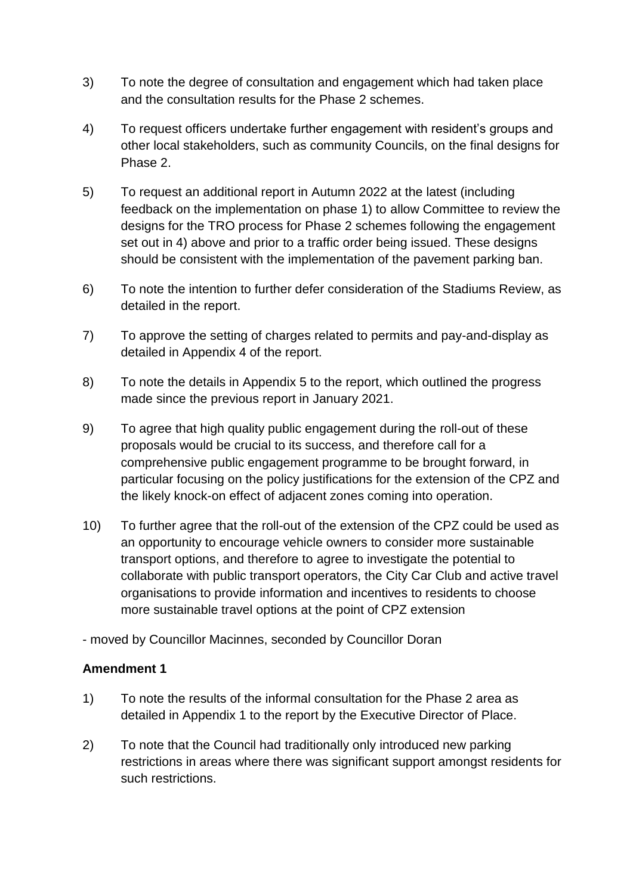- 3) To note the degree of consultation and engagement which had taken place and the consultation results for the Phase 2 schemes.
- 4) To request officers undertake further engagement with resident's groups and other local stakeholders, such as community Councils, on the final designs for Phase 2.
- 5) To request an additional report in Autumn 2022 at the latest (including feedback on the implementation on phase 1) to allow Committee to review the designs for the TRO process for Phase 2 schemes following the engagement set out in 4) above and prior to a traffic order being issued. These designs should be consistent with the implementation of the pavement parking ban.
- 6) To note the intention to further defer consideration of the Stadiums Review, as detailed in the report.
- 7) To approve the setting of charges related to permits and pay-and-display as detailed in Appendix 4 of the report.
- 8) To note the details in Appendix 5 to the report, which outlined the progress made since the previous report in January 2021.
- 9) To agree that high quality public engagement during the roll-out of these proposals would be crucial to its success, and therefore call for a comprehensive public engagement programme to be brought forward, in particular focusing on the policy justifications for the extension of the CPZ and the likely knock-on effect of adjacent zones coming into operation.
- 10) To further agree that the roll-out of the extension of the CPZ could be used as an opportunity to encourage vehicle owners to consider more sustainable transport options, and therefore to agree to investigate the potential to collaborate with public transport operators, the City Car Club and active travel organisations to provide information and incentives to residents to choose more sustainable travel options at the point of CPZ extension

- moved by Councillor Macinnes, seconded by Councillor Doran

# **Amendment 1**

- 1) To note the results of the informal consultation for the Phase 2 area as detailed in Appendix 1 to the report by the Executive Director of Place.
- 2) To note that the Council had traditionally only introduced new parking restrictions in areas where there was significant support amongst residents for such restrictions.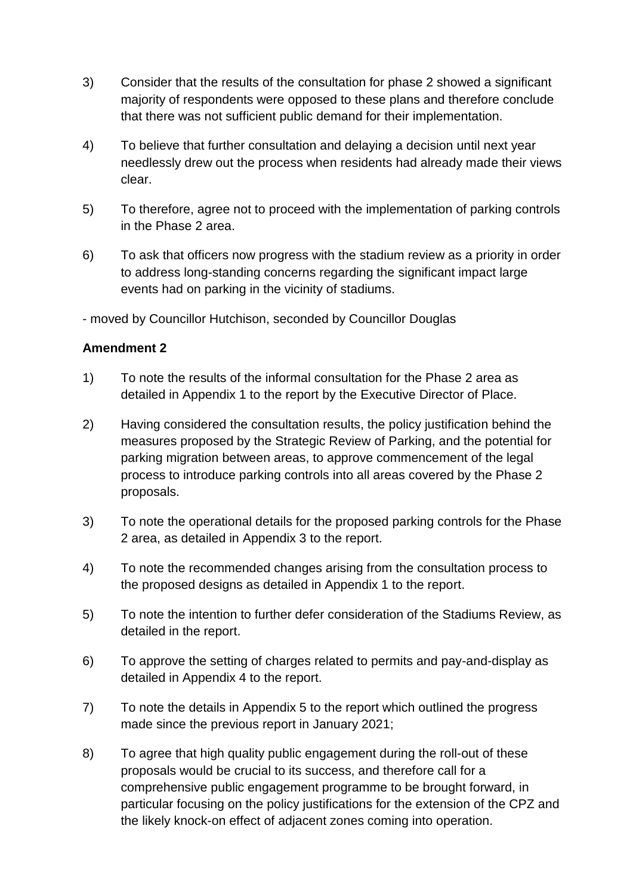- 3) Consider that the results of the consultation for phase 2 showed a significant majority of respondents were opposed to these plans and therefore conclude that there was not sufficient public demand for their implementation.
- 4) To believe that further consultation and delaying a decision until next year needlessly drew out the process when residents had already made their views clear.
- 5) To therefore, agree not to proceed with the implementation of parking controls in the Phase 2 area.
- 6) To ask that officers now progress with the stadium review as a priority in order to address long-standing concerns regarding the significant impact large events had on parking in the vicinity of stadiums.

- moved by Councillor Hutchison, seconded by Councillor Douglas

#### **Amendment 2**

- 1) To note the results of the informal consultation for the Phase 2 area as detailed in Appendix 1 to the report by the Executive Director of Place.
- 2) Having considered the consultation results, the policy justification behind the measures proposed by the Strategic Review of Parking, and the potential for parking migration between areas, to approve commencement of the legal process to introduce parking controls into all areas covered by the Phase 2 proposals.
- 3) To note the operational details for the proposed parking controls for the Phase 2 area, as detailed in Appendix 3 to the report.
- 4) To note the recommended changes arising from the consultation process to the proposed designs as detailed in Appendix 1 to the report.
- 5) To note the intention to further defer consideration of the Stadiums Review, as detailed in the report.
- 6) To approve the setting of charges related to permits and pay-and-display as detailed in Appendix 4 to the report.
- 7) To note the details in Appendix 5 to the report which outlined the progress made since the previous report in January 2021;
- 8) To agree that high quality public engagement during the roll-out of these proposals would be crucial to its success, and therefore call for a comprehensive public engagement programme to be brought forward, in particular focusing on the policy justifications for the extension of the CPZ and the likely knock-on effect of adjacent zones coming into operation.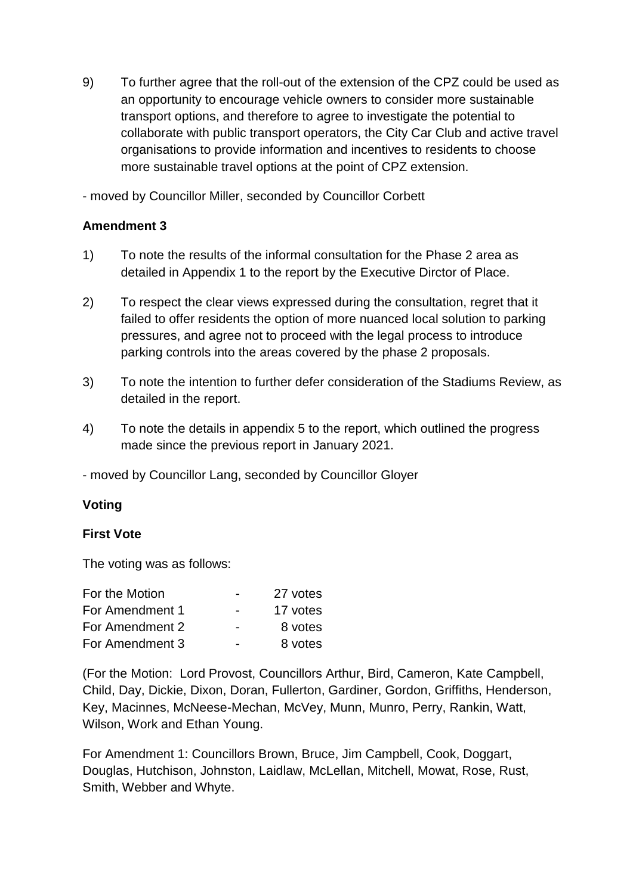9) To further agree that the roll-out of the extension of the CPZ could be used as an opportunity to encourage vehicle owners to consider more sustainable transport options, and therefore to agree to investigate the potential to collaborate with public transport operators, the City Car Club and active travel organisations to provide information and incentives to residents to choose more sustainable travel options at the point of CPZ extension.

- moved by Councillor Miller, seconded by Councillor Corbett

# **Amendment 3**

- 1) To note the results of the informal consultation for the Phase 2 area as detailed in Appendix 1 to the report by the Executive Dirctor of Place.
- 2) To respect the clear views expressed during the consultation, regret that it failed to offer residents the option of more nuanced local solution to parking pressures, and agree not to proceed with the legal process to introduce parking controls into the areas covered by the phase 2 proposals.
- 3) To note the intention to further defer consideration of the Stadiums Review, as detailed in the report.
- 4) To note the details in appendix 5 to the report, which outlined the progress made since the previous report in January 2021.

- moved by Councillor Lang, seconded by Councillor Gloyer

# **Voting**

#### **First Vote**

The voting was as follows:

| For the Motion  | -                        | 27 votes |
|-----------------|--------------------------|----------|
| For Amendment 1 | $\overline{\phantom{0}}$ | 17 votes |
| For Amendment 2 | $\blacksquare$           | 8 votes  |
| For Amendment 3 |                          | 8 votes  |

(For the Motion: Lord Provost, Councillors Arthur, Bird, Cameron, Kate Campbell, Child, Day, Dickie, Dixon, Doran, Fullerton, Gardiner, Gordon, Griffiths, Henderson, Key, Macinnes, McNeese-Mechan, McVey, Munn, Munro, Perry, Rankin, Watt, Wilson, Work and Ethan Young.

For Amendment 1: Councillors Brown, Bruce, Jim Campbell, Cook, Doggart, Douglas, Hutchison, Johnston, Laidlaw, McLellan, Mitchell, Mowat, Rose, Rust, Smith, Webber and Whyte.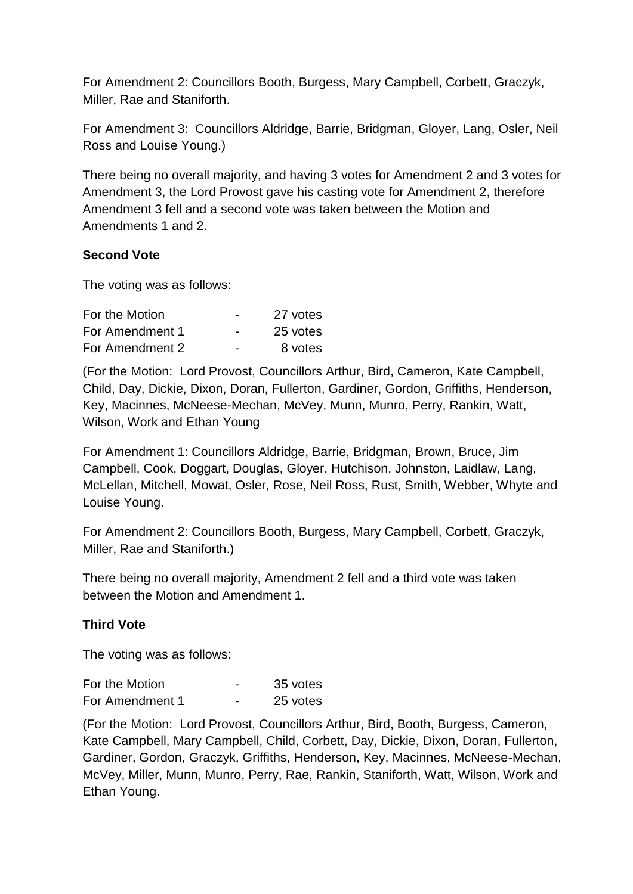For Amendment 2: Councillors Booth, Burgess, Mary Campbell, Corbett, Graczyk, Miller, Rae and Staniforth.

For Amendment 3: Councillors Aldridge, Barrie, Bridgman, Gloyer, Lang, Osler, Neil Ross and Louise Young.)

There being no overall majority, and having 3 votes for Amendment 2 and 3 votes for Amendment 3, the Lord Provost gave his casting vote for Amendment 2, therefore Amendment 3 fell and a second vote was taken between the Motion and Amendments 1 and 2.

# **Second Vote**

The voting was as follows:

| For the Motion  | $\overline{\phantom{0}}$ | 27 votes |
|-----------------|--------------------------|----------|
| For Amendment 1 | $\overline{\phantom{0}}$ | 25 votes |
| For Amendment 2 | -                        | 8 votes  |

(For the Motion: Lord Provost, Councillors Arthur, Bird, Cameron, Kate Campbell, Child, Day, Dickie, Dixon, Doran, Fullerton, Gardiner, Gordon, Griffiths, Henderson, Key, Macinnes, McNeese-Mechan, McVey, Munn, Munro, Perry, Rankin, Watt, Wilson, Work and Ethan Young

For Amendment 1: Councillors Aldridge, Barrie, Bridgman, Brown, Bruce, Jim Campbell, Cook, Doggart, Douglas, Gloyer, Hutchison, Johnston, Laidlaw, Lang, McLellan, Mitchell, Mowat, Osler, Rose, Neil Ross, Rust, Smith, Webber, Whyte and Louise Young.

For Amendment 2: Councillors Booth, Burgess, Mary Campbell, Corbett, Graczyk, Miller, Rae and Staniforth.)

There being no overall majority, Amendment 2 fell and a third vote was taken between the Motion and Amendment 1.

# **Third Vote**

The voting was as follows:

| For the Motion  | 35 votes |
|-----------------|----------|
| For Amendment 1 | 25 votes |

(For the Motion: Lord Provost, Councillors Arthur, Bird, Booth, Burgess, Cameron, Kate Campbell, Mary Campbell, Child, Corbett, Day, Dickie, Dixon, Doran, Fullerton, Gardiner, Gordon, Graczyk, Griffiths, Henderson, Key, Macinnes, McNeese-Mechan, McVey, Miller, Munn, Munro, Perry, Rae, Rankin, Staniforth, Watt, Wilson, Work and Ethan Young.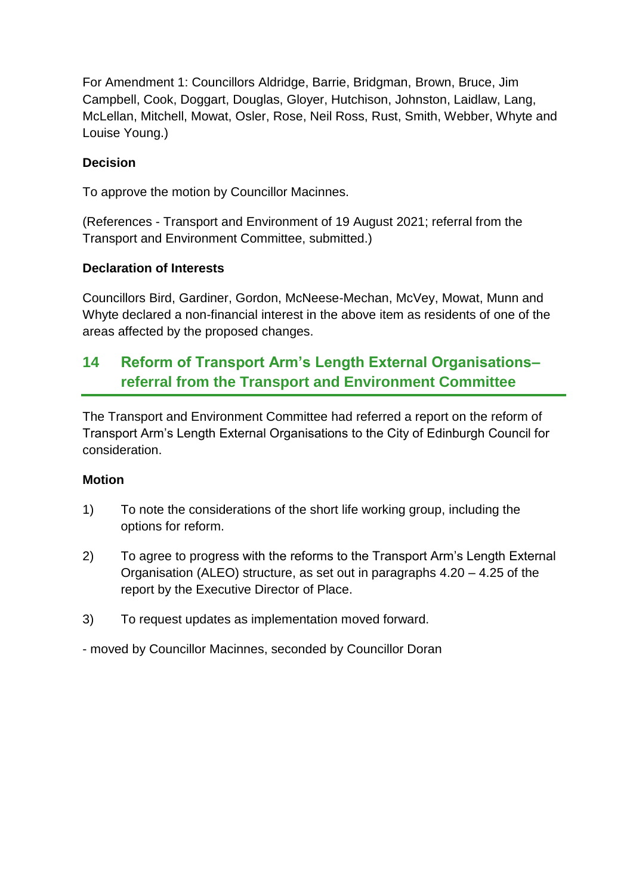For Amendment 1: Councillors Aldridge, Barrie, Bridgman, Brown, Bruce, Jim Campbell, Cook, Doggart, Douglas, Gloyer, Hutchison, Johnston, Laidlaw, Lang, McLellan, Mitchell, Mowat, Osler, Rose, Neil Ross, Rust, Smith, Webber, Whyte and Louise Young.)

# **Decision**

To approve the motion by Councillor Macinnes.

(References - Transport and Environment of 19 August 2021; referral from the Transport and Environment Committee, submitted.)

# **Declaration of Interests**

Councillors Bird, Gardiner, Gordon, McNeese-Mechan, McVey, Mowat, Munn and Whyte declared a non-financial interest in the above item as residents of one of the areas affected by the proposed changes.

# **14 Reform of Transport Arm's Length External Organisations– referral from the Transport and Environment Committee**

The Transport and Environment Committee had referred a report on the reform of Transport Arm's Length External Organisations to the City of Edinburgh Council for consideration.

# **Motion**

- 1) To note the considerations of the short life working group, including the options for reform.
- 2) To agree to progress with the reforms to the Transport Arm's Length External Organisation (ALEO) structure, as set out in paragraphs 4.20 – 4.25 of the report by the Executive Director of Place.
- 3) To request updates as implementation moved forward.
- moved by Councillor Macinnes, seconded by Councillor Doran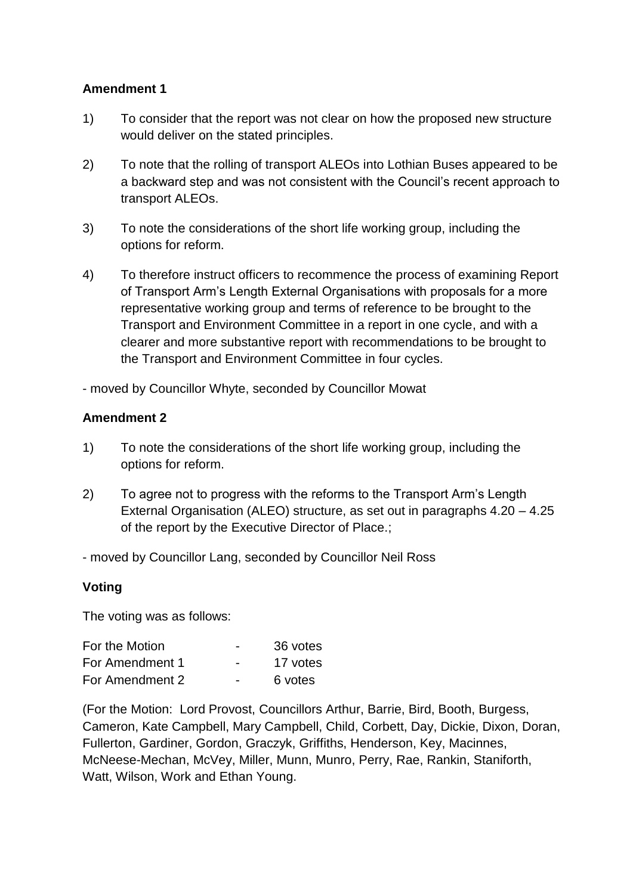#### **Amendment 1**

- 1) To consider that the report was not clear on how the proposed new structure would deliver on the stated principles.
- 2) To note that the rolling of transport ALEOs into Lothian Buses appeared to be a backward step and was not consistent with the Council's recent approach to transport ALEOs.
- 3) To note the considerations of the short life working group, including the options for reform.
- 4) To therefore instruct officers to recommence the process of examining Report of Transport Arm's Length External Organisations with proposals for a more representative working group and terms of reference to be brought to the Transport and Environment Committee in a report in one cycle, and with a clearer and more substantive report with recommendations to be brought to the Transport and Environment Committee in four cycles.

- moved by Councillor Whyte, seconded by Councillor Mowat

#### **Amendment 2**

- 1) To note the considerations of the short life working group, including the options for reform.
- 2) To agree not to progress with the reforms to the Transport Arm's Length External Organisation (ALEO) structure, as set out in paragraphs 4.20 – 4.25 of the report by the Executive Director of Place.;
- moved by Councillor Lang, seconded by Councillor Neil Ross

#### **Voting**

The voting was as follows:

| For the Motion  | $\overline{\phantom{0}}$ | 36 votes |
|-----------------|--------------------------|----------|
| For Amendment 1 | $\overline{\phantom{0}}$ | 17 votes |
| For Amendment 2 | $\overline{\phantom{0}}$ | 6 votes  |

(For the Motion: Lord Provost, Councillors Arthur, Barrie, Bird, Booth, Burgess, Cameron, Kate Campbell, Mary Campbell, Child, Corbett, Day, Dickie, Dixon, Doran, Fullerton, Gardiner, Gordon, Graczyk, Griffiths, Henderson, Key, Macinnes, McNeese-Mechan, McVey, Miller, Munn, Munro, Perry, Rae, Rankin, Staniforth, Watt, Wilson, Work and Ethan Young.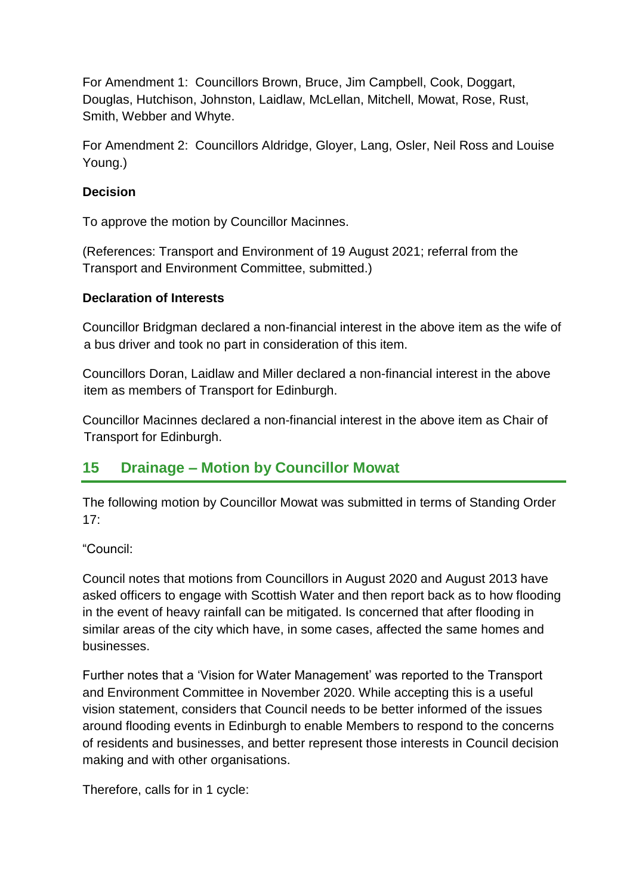For Amendment 1: Councillors Brown, Bruce, Jim Campbell, Cook, Doggart, Douglas, Hutchison, Johnston, Laidlaw, McLellan, Mitchell, Mowat, Rose, Rust, Smith, Webber and Whyte.

For Amendment 2: Councillors Aldridge, Gloyer, Lang, Osler, Neil Ross and Louise Young.)

# **Decision**

To approve the motion by Councillor Macinnes.

(References: Transport and Environment of 19 August 2021; referral from the Transport and Environment Committee, submitted.)

# **Declaration of Interests**

Councillor Bridgman declared a non-financial interest in the above item as the wife of a bus driver and took no part in consideration of this item.

Councillors Doran, Laidlaw and Miller declared a non-financial interest in the above item as members of Transport for Edinburgh.

Councillor Macinnes declared a non-financial interest in the above item as Chair of Transport for Edinburgh.

# **15 Drainage – Motion by Councillor Mowat**

The following motion by Councillor Mowat was submitted in terms of Standing Order  $17<sup>°</sup>$ 

"Council:

Council notes that motions from Councillors in August 2020 and August 2013 have asked officers to engage with Scottish Water and then report back as to how flooding in the event of heavy rainfall can be mitigated. Is concerned that after flooding in similar areas of the city which have, in some cases, affected the same homes and businesses.

Further notes that a 'Vision for Water Management' was reported to the Transport and Environment Committee in November 2020. While accepting this is a useful vision statement, considers that Council needs to be better informed of the issues around flooding events in Edinburgh to enable Members to respond to the concerns of residents and businesses, and better represent those interests in Council decision making and with other organisations.

Therefore, calls for in 1 cycle: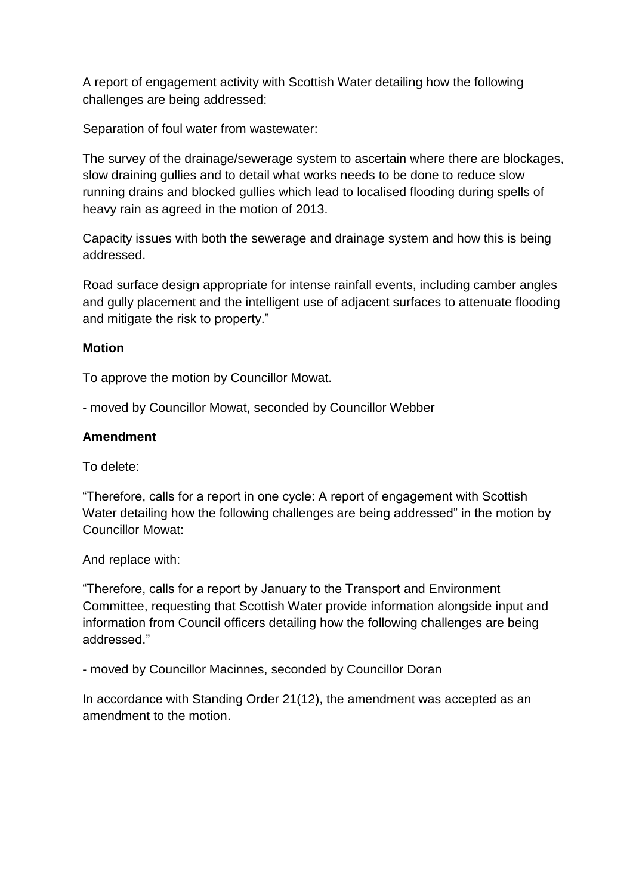A report of engagement activity with Scottish Water detailing how the following challenges are being addressed:

Separation of foul water from wastewater:

The survey of the drainage/sewerage system to ascertain where there are blockages, slow draining gullies and to detail what works needs to be done to reduce slow running drains and blocked gullies which lead to localised flooding during spells of heavy rain as agreed in the motion of 2013.

Capacity issues with both the sewerage and drainage system and how this is being addressed.

Road surface design appropriate for intense rainfall events, including camber angles and gully placement and the intelligent use of adjacent surfaces to attenuate flooding and mitigate the risk to property."

#### **Motion**

To approve the motion by Councillor Mowat.

- moved by Councillor Mowat, seconded by Councillor Webber

#### **Amendment**

To delete:

"Therefore, calls for a report in one cycle: A report of engagement with Scottish Water detailing how the following challenges are being addressed" in the motion by Councillor Mowat:

And replace with:

"Therefore, calls for a report by January to the Transport and Environment Committee, requesting that Scottish Water provide information alongside input and information from Council officers detailing how the following challenges are being addressed."

- moved by Councillor Macinnes, seconded by Councillor Doran

In accordance with Standing Order 21(12), the amendment was accepted as an amendment to the motion.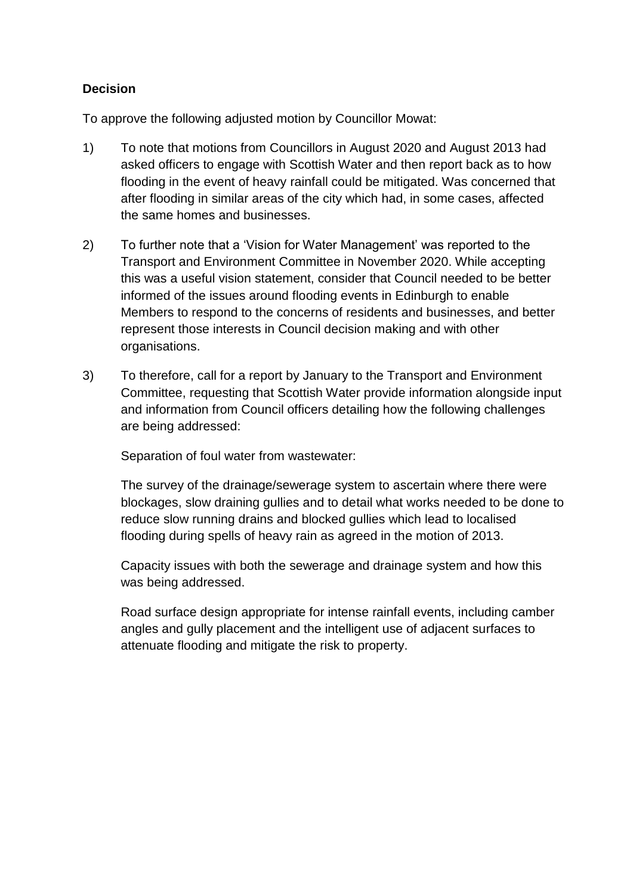# **Decision**

To approve the following adjusted motion by Councillor Mowat:

- 1) To note that motions from Councillors in August 2020 and August 2013 had asked officers to engage with Scottish Water and then report back as to how flooding in the event of heavy rainfall could be mitigated. Was concerned that after flooding in similar areas of the city which had, in some cases, affected the same homes and businesses.
- 2) To further note that a 'Vision for Water Management' was reported to the Transport and Environment Committee in November 2020. While accepting this was a useful vision statement, consider that Council needed to be better informed of the issues around flooding events in Edinburgh to enable Members to respond to the concerns of residents and businesses, and better represent those interests in Council decision making and with other organisations.
- 3) To therefore, call for a report by January to the Transport and Environment Committee, requesting that Scottish Water provide information alongside input and information from Council officers detailing how the following challenges are being addressed:

Separation of foul water from wastewater:

The survey of the drainage/sewerage system to ascertain where there were blockages, slow draining gullies and to detail what works needed to be done to reduce slow running drains and blocked gullies which lead to localised flooding during spells of heavy rain as agreed in the motion of 2013.

Capacity issues with both the sewerage and drainage system and how this was being addressed.

Road surface design appropriate for intense rainfall events, including camber angles and gully placement and the intelligent use of adjacent surfaces to attenuate flooding and mitigate the risk to property.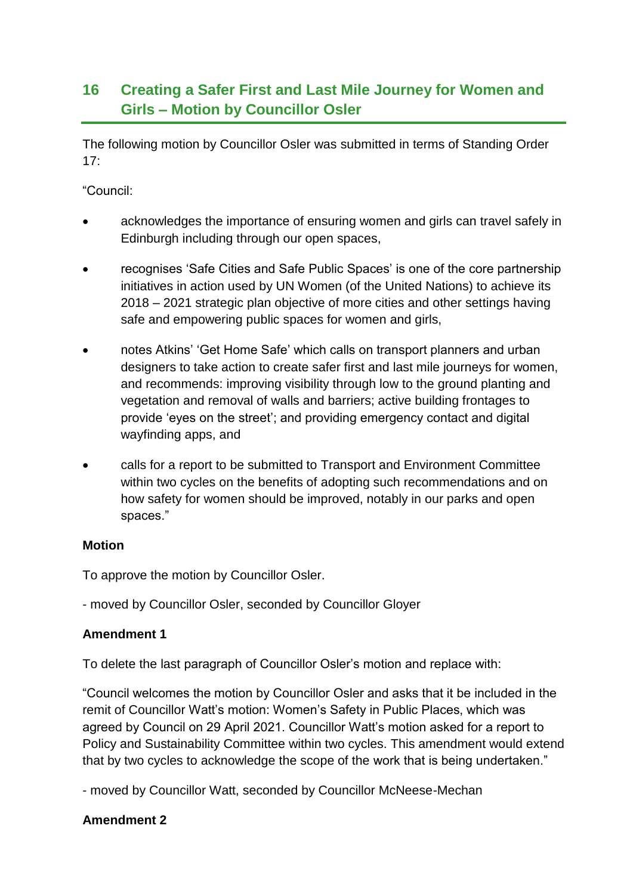# **16 Creating a Safer First and Last Mile Journey for Women and Girls – Motion by Councillor Osler**

The following motion by Councillor Osler was submitted in terms of Standing Order  $17:$ 

"Council:

- acknowledges the importance of ensuring women and girls can travel safely in Edinburgh including through our open spaces,
- recognises 'Safe Cities and Safe Public Spaces' is one of the core partnership initiatives in action used by UN Women (of the United Nations) to achieve its 2018 – 2021 strategic plan objective of more cities and other settings having safe and empowering public spaces for women and girls,
- notes Atkins' 'Get Home Safe' which calls on transport planners and urban designers to take action to create safer first and last mile journeys for women, and recommends: improving visibility through low to the ground planting and vegetation and removal of walls and barriers; active building frontages to provide 'eyes on the street'; and providing emergency contact and digital wayfinding apps, and
- calls for a report to be submitted to Transport and Environment Committee within two cycles on the benefits of adopting such recommendations and on how safety for women should be improved, notably in our parks and open spaces."

# **Motion**

To approve the motion by Councillor Osler.

- moved by Councillor Osler, seconded by Councillor Gloyer

# **Amendment 1**

To delete the last paragraph of Councillor Osler's motion and replace with:

"Council welcomes the motion by Councillor Osler and asks that it be included in the remit of Councillor Watt's motion: Women's Safety in Public Places, which was agreed by Council on 29 April 2021. Councillor Watt's motion asked for a report to Policy and Sustainability Committee within two cycles. This amendment would extend that by two cycles to acknowledge the scope of the work that is being undertaken."

- moved by Councillor Watt, seconded by Councillor McNeese-Mechan

# **Amendment 2**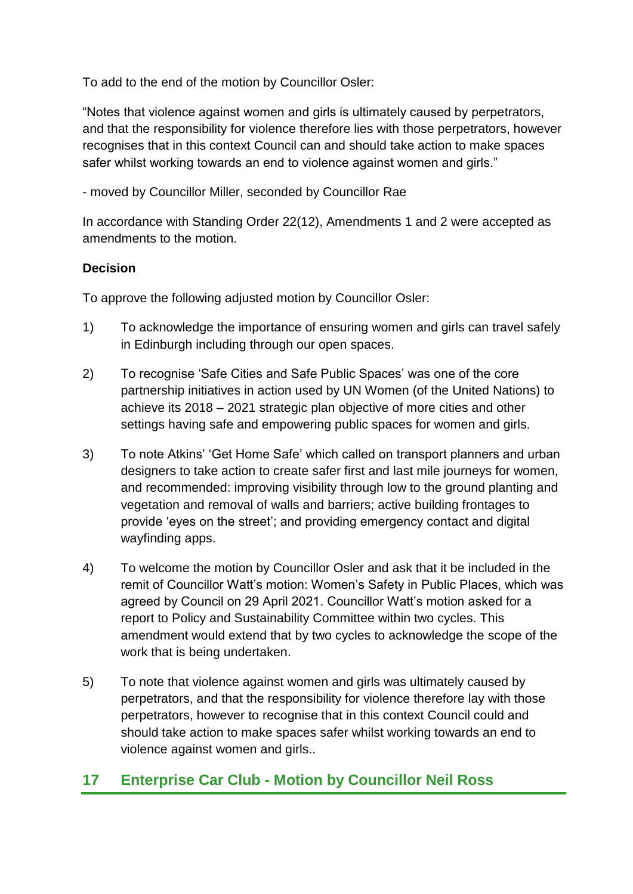To add to the end of the motion by Councillor Osler:

"Notes that violence against women and girls is ultimately caused by perpetrators, and that the responsibility for violence therefore lies with those perpetrators, however recognises that in this context Council can and should take action to make spaces safer whilst working towards an end to violence against women and girls."

- moved by Councillor Miller, seconded by Councillor Rae

In accordance with Standing Order 22(12), Amendments 1 and 2 were accepted as amendments to the motion.

# **Decision**

To approve the following adjusted motion by Councillor Osler:

- 1) To acknowledge the importance of ensuring women and girls can travel safely in Edinburgh including through our open spaces.
- 2) To recognise 'Safe Cities and Safe Public Spaces' was one of the core partnership initiatives in action used by UN Women (of the United Nations) to achieve its 2018 – 2021 strategic plan objective of more cities and other settings having safe and empowering public spaces for women and girls.
- 3) To note Atkins' 'Get Home Safe' which called on transport planners and urban designers to take action to create safer first and last mile journeys for women, and recommended: improving visibility through low to the ground planting and vegetation and removal of walls and barriers; active building frontages to provide 'eyes on the street'; and providing emergency contact and digital wayfinding apps.
- 4) To welcome the motion by Councillor Osler and ask that it be included in the remit of Councillor Watt's motion: Women's Safety in Public Places, which was agreed by Council on 29 April 2021. Councillor Watt's motion asked for a report to Policy and Sustainability Committee within two cycles. This amendment would extend that by two cycles to acknowledge the scope of the work that is being undertaken.
- 5) To note that violence against women and girls was ultimately caused by perpetrators, and that the responsibility for violence therefore lay with those perpetrators, however to recognise that in this context Council could and should take action to make spaces safer whilst working towards an end to violence against women and girls..

# **17 Enterprise Car Club - Motion by Councillor Neil Ross**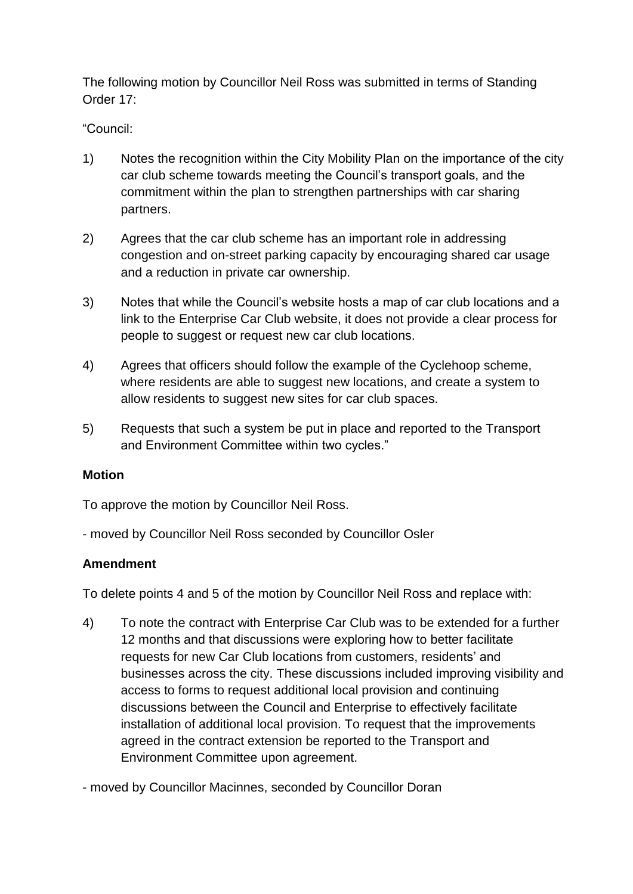The following motion by Councillor Neil Ross was submitted in terms of Standing Order 17:

"Council:

- 1) Notes the recognition within the City Mobility Plan on the importance of the city car club scheme towards meeting the Council's transport goals, and the commitment within the plan to strengthen partnerships with car sharing partners.
- 2) Agrees that the car club scheme has an important role in addressing congestion and on-street parking capacity by encouraging shared car usage and a reduction in private car ownership.
- 3) Notes that while the Council's website hosts a map of car club locations and a link to the Enterprise Car Club website, it does not provide a clear process for people to suggest or request new car club locations.
- 4) Agrees that officers should follow the example of the Cyclehoop scheme, where residents are able to suggest new locations, and create a system to allow residents to suggest new sites for car club spaces.
- 5) Requests that such a system be put in place and reported to the Transport and Environment Committee within two cycles."

# **Motion**

To approve the motion by Councillor Neil Ross.

- moved by Councillor Neil Ross seconded by Councillor Osler

# **Amendment**

To delete points 4 and 5 of the motion by Councillor Neil Ross and replace with:

4) To note the contract with Enterprise Car Club was to be extended for a further 12 months and that discussions were exploring how to better facilitate requests for new Car Club locations from customers, residents' and businesses across the city. These discussions included improving visibility and access to forms to request additional local provision and continuing discussions between the Council and Enterprise to effectively facilitate installation of additional local provision. To request that the improvements agreed in the contract extension be reported to the Transport and Environment Committee upon agreement.

- moved by Councillor Macinnes, seconded by Councillor Doran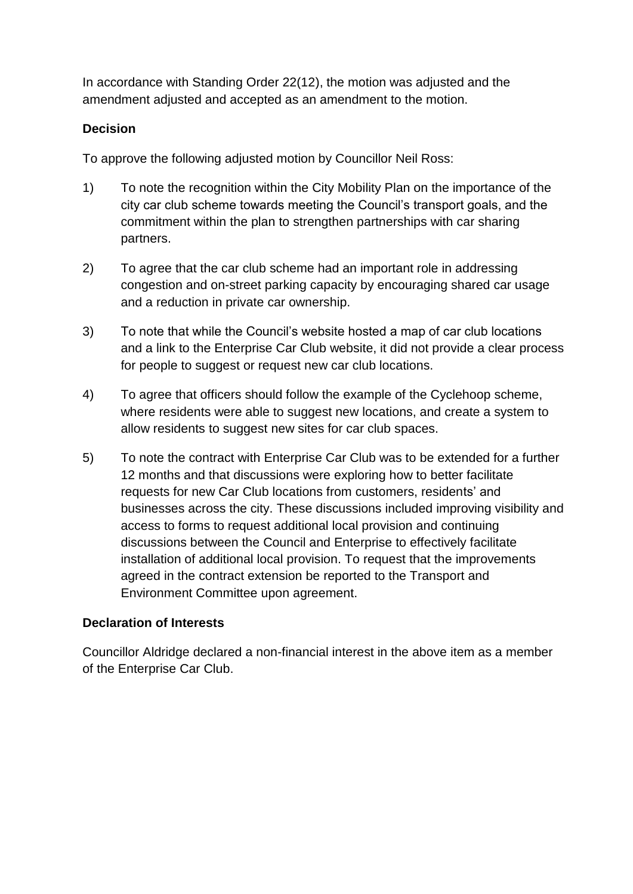In accordance with Standing Order 22(12), the motion was adjusted and the amendment adjusted and accepted as an amendment to the motion.

# **Decision**

To approve the following adjusted motion by Councillor Neil Ross:

- 1) To note the recognition within the City Mobility Plan on the importance of the city car club scheme towards meeting the Council's transport goals, and the commitment within the plan to strengthen partnerships with car sharing partners.
- 2) To agree that the car club scheme had an important role in addressing congestion and on-street parking capacity by encouraging shared car usage and a reduction in private car ownership.
- 3) To note that while the Council's website hosted a map of car club locations and a link to the Enterprise Car Club website, it did not provide a clear process for people to suggest or request new car club locations.
- 4) To agree that officers should follow the example of the Cyclehoop scheme, where residents were able to suggest new locations, and create a system to allow residents to suggest new sites for car club spaces.
- 5) To note the contract with Enterprise Car Club was to be extended for a further 12 months and that discussions were exploring how to better facilitate requests for new Car Club locations from customers, residents' and businesses across the city. These discussions included improving visibility and access to forms to request additional local provision and continuing discussions between the Council and Enterprise to effectively facilitate installation of additional local provision. To request that the improvements agreed in the contract extension be reported to the Transport and Environment Committee upon agreement.

# **Declaration of Interests**

Councillor Aldridge declared a non-financial interest in the above item as a member of the Enterprise Car Club.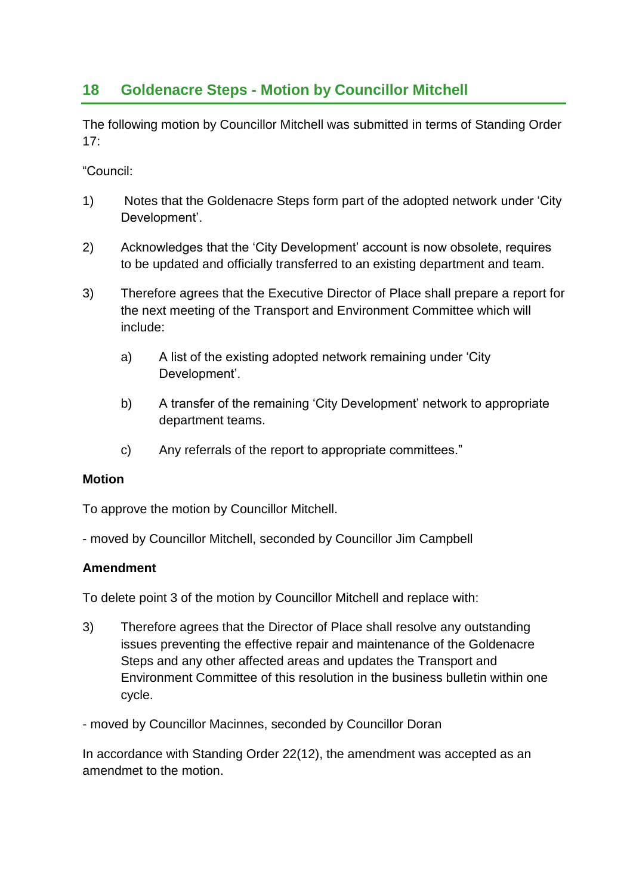# **18 Goldenacre Steps - Motion by Councillor Mitchell**

The following motion by Councillor Mitchell was submitted in terms of Standing Order  $17<sup>·</sup>$ 

"Council:

- 1) Notes that the Goldenacre Steps form part of the adopted network under 'City Development'.
- 2) Acknowledges that the 'City Development' account is now obsolete, requires to be updated and officially transferred to an existing department and team.
- 3) Therefore agrees that the Executive Director of Place shall prepare a report for the next meeting of the Transport and Environment Committee which will include:
	- a) A list of the existing adopted network remaining under 'City Development'.
	- b) A transfer of the remaining 'City Development' network to appropriate department teams.
	- c) Any referrals of the report to appropriate committees."

#### **Motion**

To approve the motion by Councillor Mitchell.

- moved by Councillor Mitchell, seconded by Councillor Jim Campbell

#### **Amendment**

To delete point 3 of the motion by Councillor Mitchell and replace with:

- 3) Therefore agrees that the Director of Place shall resolve any outstanding issues preventing the effective repair and maintenance of the Goldenacre Steps and any other affected areas and updates the Transport and Environment Committee of this resolution in the business bulletin within one cycle.
- moved by Councillor Macinnes, seconded by Councillor Doran

In accordance with Standing Order 22(12), the amendment was accepted as an amendmet to the motion.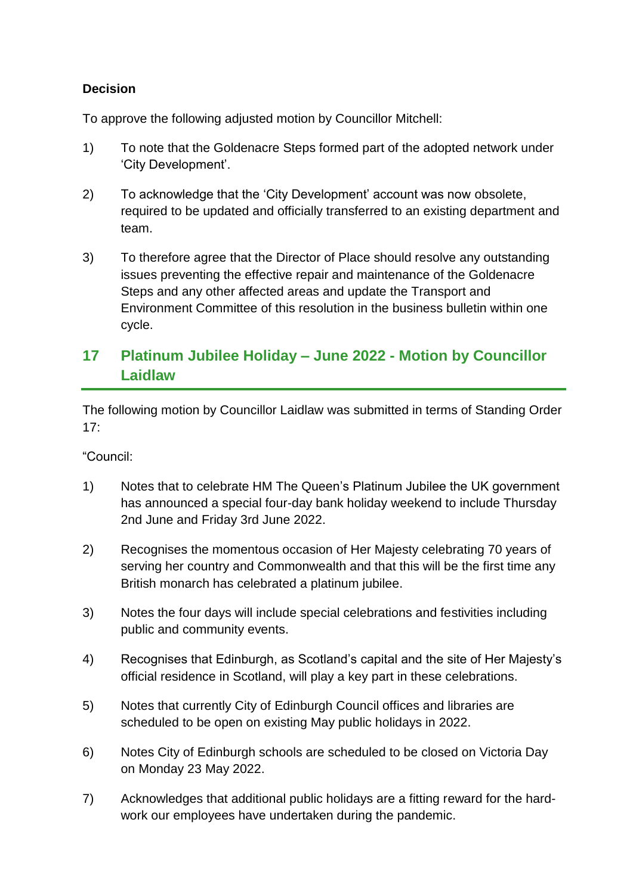# **Decision**

To approve the following adjusted motion by Councillor Mitchell:

- 1) To note that the Goldenacre Steps formed part of the adopted network under 'City Development'.
- 2) To acknowledge that the 'City Development' account was now obsolete, required to be updated and officially transferred to an existing department and team.
- 3) To therefore agree that the Director of Place should resolve any outstanding issues preventing the effective repair and maintenance of the Goldenacre Steps and any other affected areas and update the Transport and Environment Committee of this resolution in the business bulletin within one cycle.

# **17 Platinum Jubilee Holiday – June 2022 - Motion by Councillor Laidlaw**

The following motion by Councillor Laidlaw was submitted in terms of Standing Order  $17:$ 

"Council:

- 1) Notes that to celebrate HM The Queen's Platinum Jubilee the UK government has announced a special four-day bank holiday weekend to include Thursday 2nd June and Friday 3rd June 2022.
- 2) Recognises the momentous occasion of Her Majesty celebrating 70 years of serving her country and Commonwealth and that this will be the first time any British monarch has celebrated a platinum jubilee.
- 3) Notes the four days will include special celebrations and festivities including public and community events.
- 4) Recognises that Edinburgh, as Scotland's capital and the site of Her Majesty's official residence in Scotland, will play a key part in these celebrations.
- 5) Notes that currently City of Edinburgh Council offices and libraries are scheduled to be open on existing May public holidays in 2022.
- 6) Notes City of Edinburgh schools are scheduled to be closed on Victoria Day on Monday 23 May 2022.
- 7) Acknowledges that additional public holidays are a fitting reward for the hardwork our employees have undertaken during the pandemic.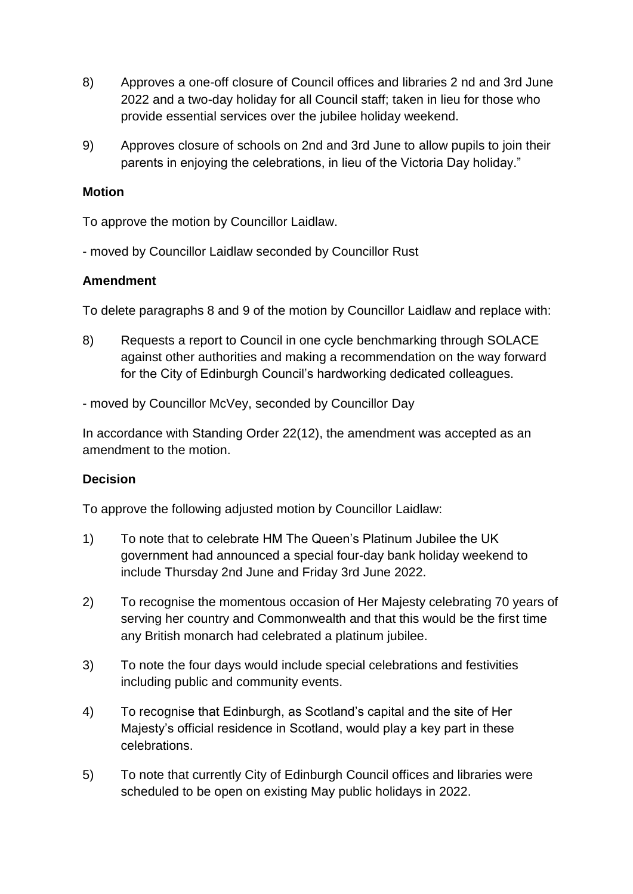- 8) Approves a one-off closure of Council offices and libraries 2 nd and 3rd June 2022 and a two-day holiday for all Council staff; taken in lieu for those who provide essential services over the jubilee holiday weekend.
- 9) Approves closure of schools on 2nd and 3rd June to allow pupils to join their parents in enjoying the celebrations, in lieu of the Victoria Day holiday."

#### **Motion**

To approve the motion by Councillor Laidlaw.

- moved by Councillor Laidlaw seconded by Councillor Rust

#### **Amendment**

To delete paragraphs 8 and 9 of the motion by Councillor Laidlaw and replace with:

8) Requests a report to Council in one cycle benchmarking through SOLACE against other authorities and making a recommendation on the way forward for the City of Edinburgh Council's hardworking dedicated colleagues.

- moved by Councillor McVey, seconded by Councillor Day

In accordance with Standing Order 22(12), the amendment was accepted as an amendment to the motion.

# **Decision**

To approve the following adjusted motion by Councillor Laidlaw:

- 1) To note that to celebrate HM The Queen's Platinum Jubilee the UK government had announced a special four-day bank holiday weekend to include Thursday 2nd June and Friday 3rd June 2022.
- 2) To recognise the momentous occasion of Her Majesty celebrating 70 years of serving her country and Commonwealth and that this would be the first time any British monarch had celebrated a platinum jubilee.
- 3) To note the four days would include special celebrations and festivities including public and community events.
- 4) To recognise that Edinburgh, as Scotland's capital and the site of Her Majesty's official residence in Scotland, would play a key part in these celebrations.
- 5) To note that currently City of Edinburgh Council offices and libraries were scheduled to be open on existing May public holidays in 2022.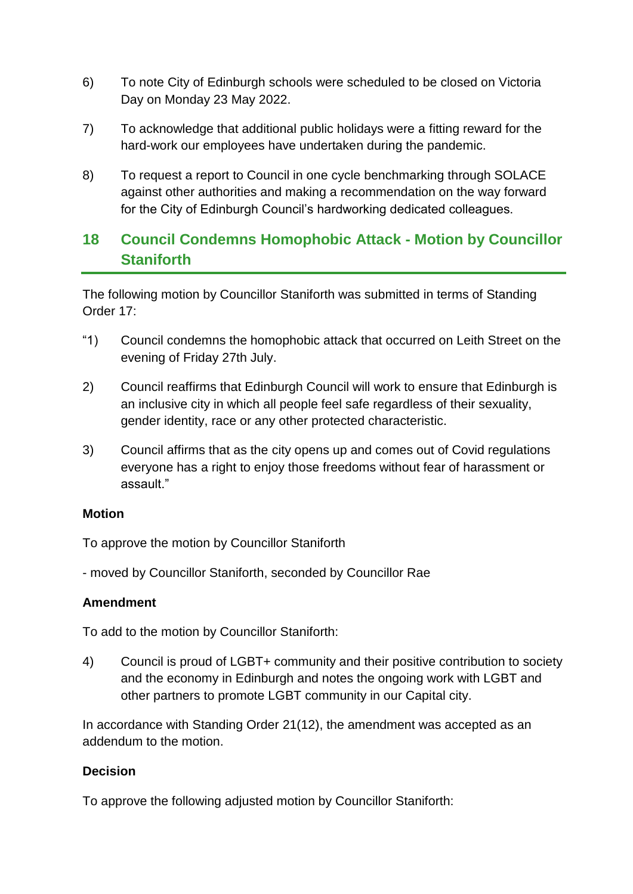- 6) To note City of Edinburgh schools were scheduled to be closed on Victoria Day on Monday 23 May 2022.
- 7) To acknowledge that additional public holidays were a fitting reward for the hard-work our employees have undertaken during the pandemic.
- 8) To request a report to Council in one cycle benchmarking through SOLACE against other authorities and making a recommendation on the way forward for the City of Edinburgh Council's hardworking dedicated colleagues.

# **18 Council Condemns Homophobic Attack - Motion by Councillor Staniforth**

The following motion by Councillor Staniforth was submitted in terms of Standing Order 17:

- "1) Council condemns the homophobic attack that occurred on Leith Street on the evening of Friday 27th July.
- 2) Council reaffirms that Edinburgh Council will work to ensure that Edinburgh is an inclusive city in which all people feel safe regardless of their sexuality, gender identity, race or any other protected characteristic.
- 3) Council affirms that as the city opens up and comes out of Covid regulations everyone has a right to enjoy those freedoms without fear of harassment or assault."

#### **Motion**

To approve the motion by Councillor Staniforth

- moved by Councillor Staniforth, seconded by Councillor Rae

#### **Amendment**

To add to the motion by Councillor Staniforth:

4) Council is proud of LGBT+ community and their positive contribution to society and the economy in Edinburgh and notes the ongoing work with LGBT and other partners to promote LGBT community in our Capital city.

In accordance with Standing Order 21(12), the amendment was accepted as an addendum to the motion.

# **Decision**

To approve the following adjusted motion by Councillor Staniforth: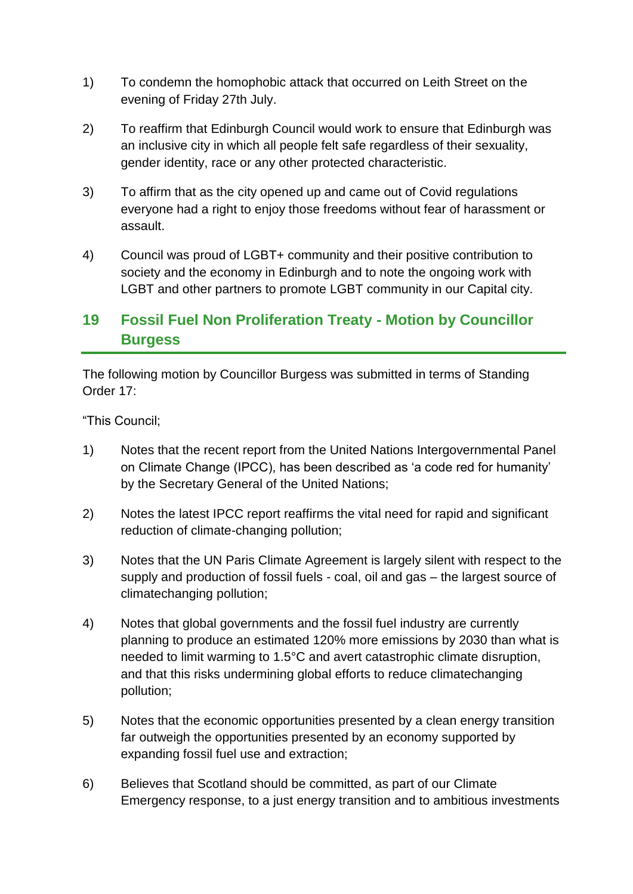- 1) To condemn the homophobic attack that occurred on Leith Street on the evening of Friday 27th July.
- 2) To reaffirm that Edinburgh Council would work to ensure that Edinburgh was an inclusive city in which all people felt safe regardless of their sexuality, gender identity, race or any other protected characteristic.
- 3) To affirm that as the city opened up and came out of Covid regulations everyone had a right to enjoy those freedoms without fear of harassment or assault.
- 4) Council was proud of LGBT+ community and their positive contribution to society and the economy in Edinburgh and to note the ongoing work with LGBT and other partners to promote LGBT community in our Capital city.

# **19 Fossil Fuel Non Proliferation Treaty - Motion by Councillor Burgess**

The following motion by Councillor Burgess was submitted in terms of Standing Order 17:

"This Council;

- 1) Notes that the recent report from the United Nations Intergovernmental Panel on Climate Change (IPCC), has been described as 'a code red for humanity' by the Secretary General of the United Nations;
- 2) Notes the latest IPCC report reaffirms the vital need for rapid and significant reduction of climate-changing pollution;
- 3) Notes that the UN Paris Climate Agreement is largely silent with respect to the supply and production of fossil fuels - coal, oil and gas – the largest source of climatechanging pollution;
- 4) Notes that global governments and the fossil fuel industry are currently planning to produce an estimated 120% more emissions by 2030 than what is needed to limit warming to 1.5°C and avert catastrophic climate disruption, and that this risks undermining global efforts to reduce climatechanging pollution;
- 5) Notes that the economic opportunities presented by a clean energy transition far outweigh the opportunities presented by an economy supported by expanding fossil fuel use and extraction;
- 6) Believes that Scotland should be committed, as part of our Climate Emergency response, to a just energy transition and to ambitious investments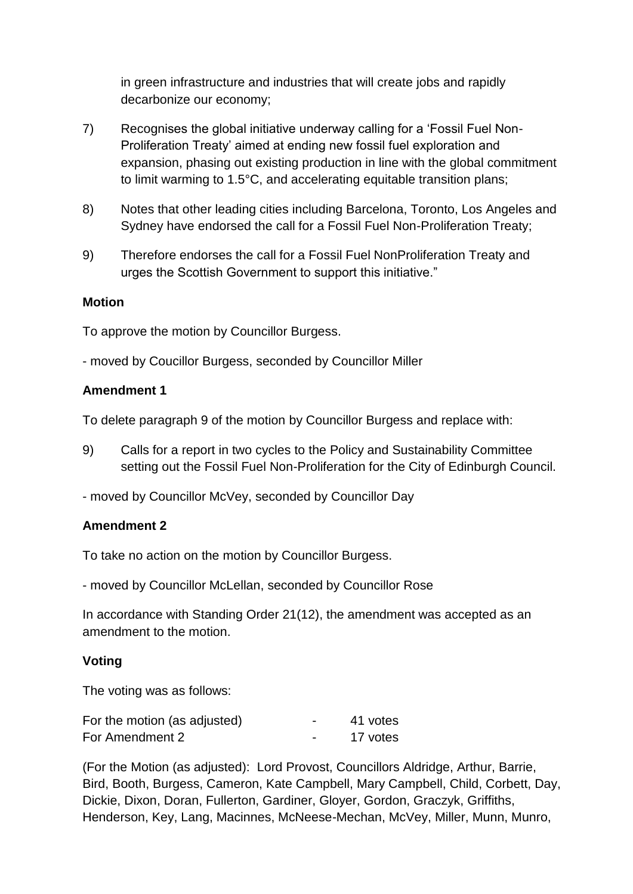in green infrastructure and industries that will create jobs and rapidly decarbonize our economy;

- 7) Recognises the global initiative underway calling for a 'Fossil Fuel Non-Proliferation Treaty' aimed at ending new fossil fuel exploration and expansion, phasing out existing production in line with the global commitment to limit warming to 1.5°C, and accelerating equitable transition plans;
- 8) Notes that other leading cities including Barcelona, Toronto, Los Angeles and Sydney have endorsed the call for a Fossil Fuel Non-Proliferation Treaty;
- 9) Therefore endorses the call for a Fossil Fuel NonProliferation Treaty and urges the Scottish Government to support this initiative."

#### **Motion**

To approve the motion by Councillor Burgess.

- moved by Coucillor Burgess, seconded by Councillor Miller

#### **Amendment 1**

To delete paragraph 9 of the motion by Councillor Burgess and replace with:

- 9) Calls for a report in two cycles to the Policy and Sustainability Committee setting out the Fossil Fuel Non-Proliferation for the City of Edinburgh Council.
- moved by Councillor McVey, seconded by Councillor Day

#### **Amendment 2**

To take no action on the motion by Councillor Burgess.

- moved by Councillor McLellan, seconded by Councillor Rose

In accordance with Standing Order 21(12), the amendment was accepted as an amendment to the motion.

#### **Voting**

The voting was as follows:

| For the motion (as adjusted) | $\overline{\phantom{0}}$ | 41 votes |
|------------------------------|--------------------------|----------|
| For Amendment 2              |                          | 17 votes |

(For the Motion (as adjusted): Lord Provost, Councillors Aldridge, Arthur, Barrie, Bird, Booth, Burgess, Cameron, Kate Campbell, Mary Campbell, Child, Corbett, Day, Dickie, Dixon, Doran, Fullerton, Gardiner, Gloyer, Gordon, Graczyk, Griffiths, Henderson, Key, Lang, Macinnes, McNeese-Mechan, McVey, Miller, Munn, Munro,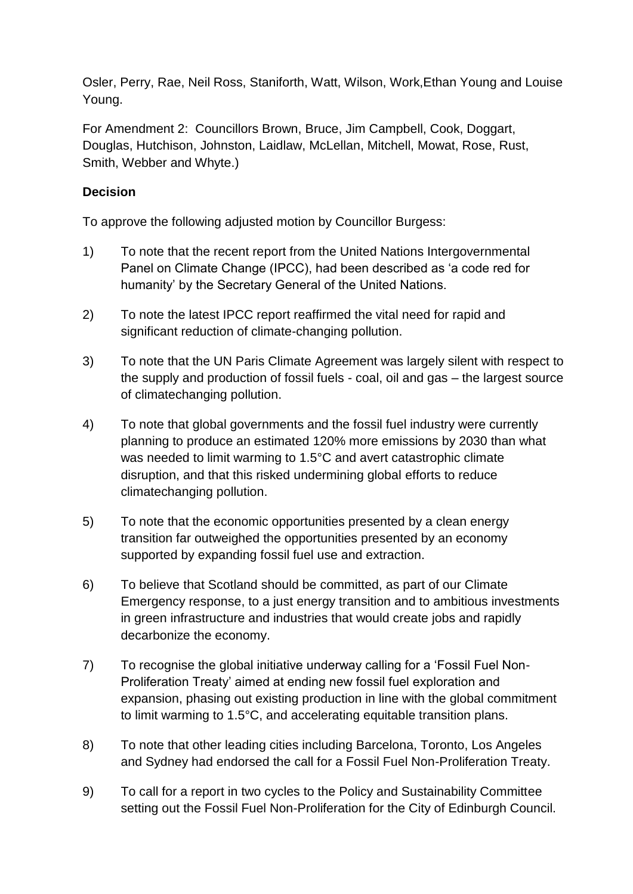Osler, Perry, Rae, Neil Ross, Staniforth, Watt, Wilson, Work,Ethan Young and Louise Young.

For Amendment 2: Councillors Brown, Bruce, Jim Campbell, Cook, Doggart, Douglas, Hutchison, Johnston, Laidlaw, McLellan, Mitchell, Mowat, Rose, Rust, Smith, Webber and Whyte.)

# **Decision**

To approve the following adjusted motion by Councillor Burgess:

- 1) To note that the recent report from the United Nations Intergovernmental Panel on Climate Change (IPCC), had been described as 'a code red for humanity' by the Secretary General of the United Nations.
- 2) To note the latest IPCC report reaffirmed the vital need for rapid and significant reduction of climate-changing pollution.
- 3) To note that the UN Paris Climate Agreement was largely silent with respect to the supply and production of fossil fuels - coal, oil and gas – the largest source of climatechanging pollution.
- 4) To note that global governments and the fossil fuel industry were currently planning to produce an estimated 120% more emissions by 2030 than what was needed to limit warming to 1.5°C and avert catastrophic climate disruption, and that this risked undermining global efforts to reduce climatechanging pollution.
- 5) To note that the economic opportunities presented by a clean energy transition far outweighed the opportunities presented by an economy supported by expanding fossil fuel use and extraction.
- 6) To believe that Scotland should be committed, as part of our Climate Emergency response, to a just energy transition and to ambitious investments in green infrastructure and industries that would create jobs and rapidly decarbonize the economy.
- 7) To recognise the global initiative underway calling for a 'Fossil Fuel Non-Proliferation Treaty' aimed at ending new fossil fuel exploration and expansion, phasing out existing production in line with the global commitment to limit warming to 1.5°C, and accelerating equitable transition plans.
- 8) To note that other leading cities including Barcelona, Toronto, Los Angeles and Sydney had endorsed the call for a Fossil Fuel Non-Proliferation Treaty.
- 9) To call for a report in two cycles to the Policy and Sustainability Committee setting out the Fossil Fuel Non-Proliferation for the City of Edinburgh Council.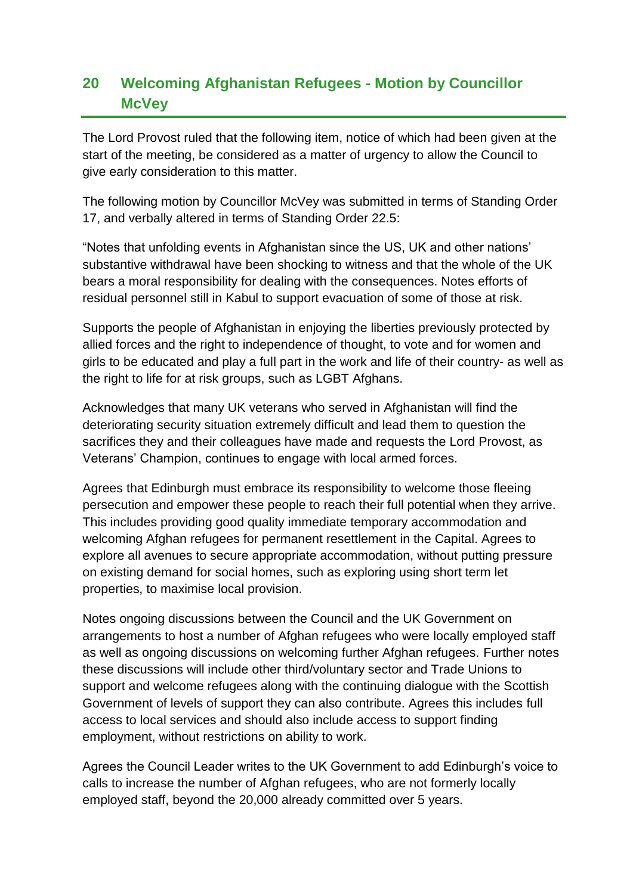# **20 Welcoming Afghanistan Refugees - Motion by Councillor McVey**

The Lord Provost ruled that the following item, notice of which had been given at the start of the meeting, be considered as a matter of urgency to allow the Council to give early consideration to this matter.

The following motion by Councillor McVey was submitted in terms of Standing Order 17, and verbally altered in terms of Standing Order 22.5:

"Notes that unfolding events in Afghanistan since the US, UK and other nations' substantive withdrawal have been shocking to witness and that the whole of the UK bears a moral responsibility for dealing with the consequences. Notes efforts of residual personnel still in Kabul to support evacuation of some of those at risk.

Supports the people of Afghanistan in enjoying the liberties previously protected by allied forces and the right to independence of thought, to vote and for women and girls to be educated and play a full part in the work and life of their country- as well as the right to life for at risk groups, such as LGBT Afghans.

Acknowledges that many UK veterans who served in Afghanistan will find the deteriorating security situation extremely difficult and lead them to question the sacrifices they and their colleagues have made and requests the Lord Provost, as Veterans' Champion, continues to engage with local armed forces.

Agrees that Edinburgh must embrace its responsibility to welcome those fleeing persecution and empower these people to reach their full potential when they arrive. This includes providing good quality immediate temporary accommodation and welcoming Afghan refugees for permanent resettlement in the Capital. Agrees to explore all avenues to secure appropriate accommodation, without putting pressure on existing demand for social homes, such as exploring using short term let properties, to maximise local provision.

Notes ongoing discussions between the Council and the UK Government on arrangements to host a number of Afghan refugees who were locally employed staff as well as ongoing discussions on welcoming further Afghan refugees. Further notes these discussions will include other third/voluntary sector and Trade Unions to support and welcome refugees along with the continuing dialogue with the Scottish Government of levels of support they can also contribute. Agrees this includes full access to local services and should also include access to support finding employment, without restrictions on ability to work.

Agrees the Council Leader writes to the UK Government to add Edinburgh's voice to calls to increase the number of Afghan refugees, who are not formerly locally employed staff, beyond the 20,000 already committed over 5 years.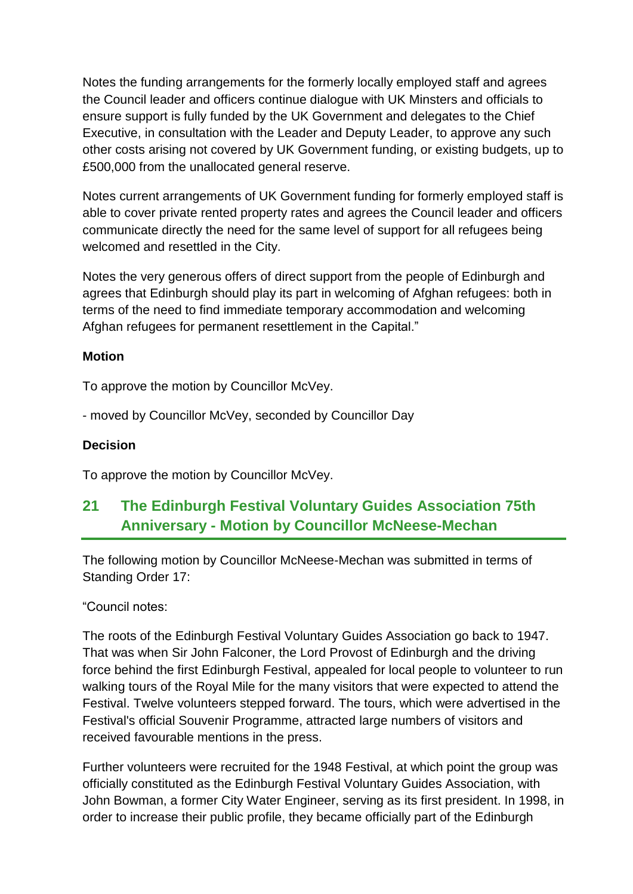Notes the funding arrangements for the formerly locally employed staff and agrees the Council leader and officers continue dialogue with UK Minsters and officials to ensure support is fully funded by the UK Government and delegates to the Chief Executive, in consultation with the Leader and Deputy Leader, to approve any such other costs arising not covered by UK Government funding, or existing budgets, up to £500,000 from the unallocated general reserve.

Notes current arrangements of UK Government funding for formerly employed staff is able to cover private rented property rates and agrees the Council leader and officers communicate directly the need for the same level of support for all refugees being welcomed and resettled in the City.

Notes the very generous offers of direct support from the people of Edinburgh and agrees that Edinburgh should play its part in welcoming of Afghan refugees: both in terms of the need to find immediate temporary accommodation and welcoming Afghan refugees for permanent resettlement in the Capital."

# **Motion**

To approve the motion by Councillor McVey.

- moved by Councillor McVey, seconded by Councillor Day

## **Decision**

To approve the motion by Councillor McVey.

# **21 The Edinburgh Festival Voluntary Guides Association 75th Anniversary - Motion by Councillor McNeese-Mechan**

The following motion by Councillor McNeese-Mechan was submitted in terms of Standing Order 17:

"Council notes:

The roots of the Edinburgh Festival Voluntary Guides Association go back to 1947. That was when Sir John Falconer, the Lord Provost of Edinburgh and the driving force behind the first Edinburgh Festival, appealed for local people to volunteer to run walking tours of the Royal Mile for the many visitors that were expected to attend the Festival. Twelve volunteers stepped forward. The tours, which were advertised in the Festival's official Souvenir Programme, attracted large numbers of visitors and received favourable mentions in the press.

Further volunteers were recruited for the 1948 Festival, at which point the group was officially constituted as the Edinburgh Festival Voluntary Guides Association, with John Bowman, a former City Water Engineer, serving as its first president. In 1998, in order to increase their public profile, they became officially part of the Edinburgh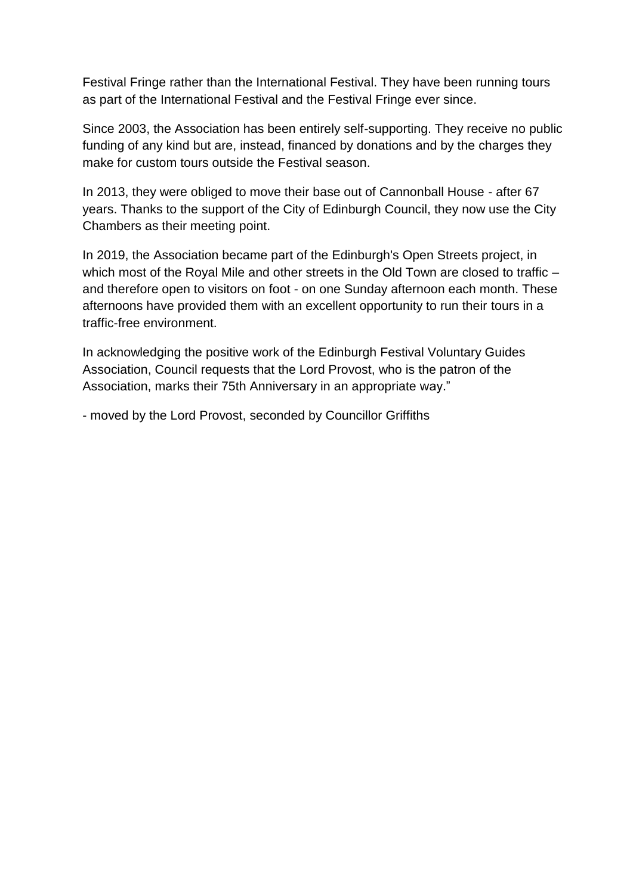Festival Fringe rather than the International Festival. They have been running tours as part of the International Festival and the Festival Fringe ever since.

Since 2003, the Association has been entirely self-supporting. They receive no public funding of any kind but are, instead, financed by donations and by the charges they make for custom tours outside the Festival season.

In 2013, they were obliged to move their base out of Cannonball House - after 67 years. Thanks to the support of the City of Edinburgh Council, they now use the City Chambers as their meeting point.

In 2019, the Association became part of the Edinburgh's Open Streets project, in which most of the Royal Mile and other streets in the Old Town are closed to traffic – and therefore open to visitors on foot - on one Sunday afternoon each month. These afternoons have provided them with an excellent opportunity to run their tours in a traffic-free environment.

In acknowledging the positive work of the Edinburgh Festival Voluntary Guides Association, Council requests that the Lord Provost, who is the patron of the Association, marks their 75th Anniversary in an appropriate way."

- moved by the Lord Provost, seconded by Councillor Griffiths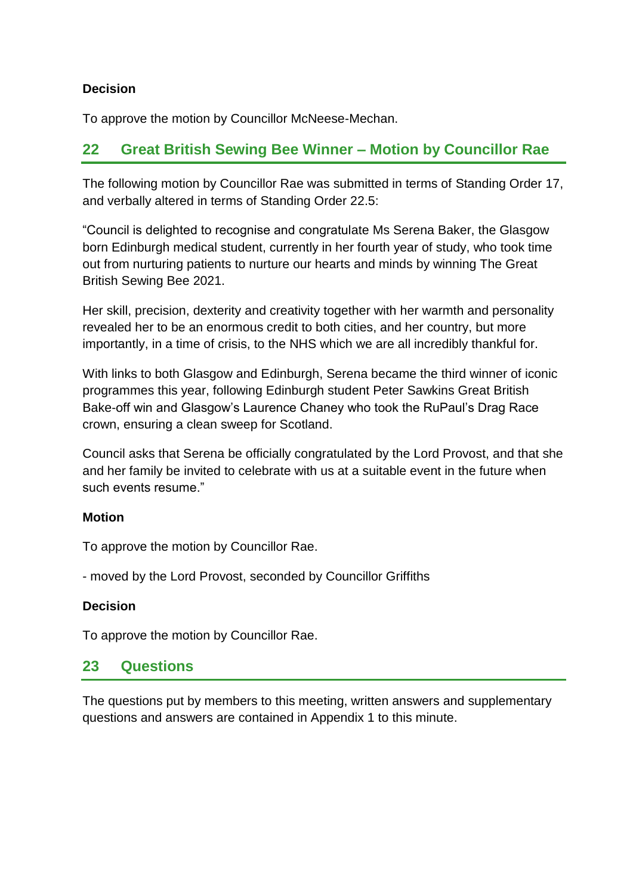# **Decision**

To approve the motion by Councillor McNeese-Mechan.

# **22 Great British Sewing Bee Winner – Motion by Councillor Rae**

The following motion by Councillor Rae was submitted in terms of Standing Order 17, and verbally altered in terms of Standing Order 22.5:

"Council is delighted to recognise and congratulate Ms Serena Baker, the Glasgow born Edinburgh medical student, currently in her fourth year of study, who took time out from nurturing patients to nurture our hearts and minds by winning The Great British Sewing Bee 2021.

Her skill, precision, dexterity and creativity together with her warmth and personality revealed her to be an enormous credit to both cities, and her country, but more importantly, in a time of crisis, to the NHS which we are all incredibly thankful for.

With links to both Glasgow and Edinburgh, Serena became the third winner of iconic programmes this year, following Edinburgh student Peter Sawkins Great British Bake-off win and Glasgow's Laurence Chaney who took the RuPaul's Drag Race crown, ensuring a clean sweep for Scotland.

Council asks that Serena be officially congratulated by the Lord Provost, and that she and her family be invited to celebrate with us at a suitable event in the future when such events resume."

# **Motion**

To approve the motion by Councillor Rae.

- moved by the Lord Provost, seconded by Councillor Griffiths

## **Decision**

To approve the motion by Councillor Rae.

# **23 Questions**

The questions put by members to this meeting, written answers and supplementary questions and answers are contained in Appendix 1 to this minute.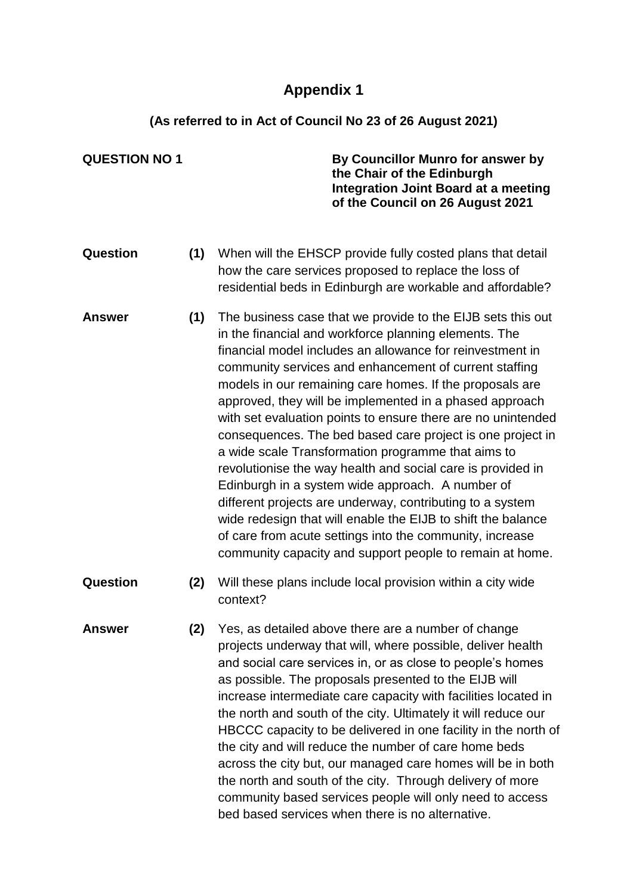# **Appendix 1**

# **(As referred to in Act of Council No 23 of 26 August 2021)**

| <b>QUESTION NO 1</b> |     | By Councillor Munro for answer by<br>the Chair of the Edinburgh<br><b>Integration Joint Board at a meeting</b><br>of the Council on 26 August 2021                                                                                                                                                                                                                                                                                                                                                                                                                                                                                                                                                                                                                                                                                                                                                                             |
|----------------------|-----|--------------------------------------------------------------------------------------------------------------------------------------------------------------------------------------------------------------------------------------------------------------------------------------------------------------------------------------------------------------------------------------------------------------------------------------------------------------------------------------------------------------------------------------------------------------------------------------------------------------------------------------------------------------------------------------------------------------------------------------------------------------------------------------------------------------------------------------------------------------------------------------------------------------------------------|
| Question             | (1) | When will the EHSCP provide fully costed plans that detail<br>how the care services proposed to replace the loss of<br>residential beds in Edinburgh are workable and affordable?                                                                                                                                                                                                                                                                                                                                                                                                                                                                                                                                                                                                                                                                                                                                              |
| <b>Answer</b>        | (1) | The business case that we provide to the EIJB sets this out<br>in the financial and workforce planning elements. The<br>financial model includes an allowance for reinvestment in<br>community services and enhancement of current staffing<br>models in our remaining care homes. If the proposals are<br>approved, they will be implemented in a phased approach<br>with set evaluation points to ensure there are no unintended<br>consequences. The bed based care project is one project in<br>a wide scale Transformation programme that aims to<br>revolutionise the way health and social care is provided in<br>Edinburgh in a system wide approach. A number of<br>different projects are underway, contributing to a system<br>wide redesign that will enable the EIJB to shift the balance<br>of care from acute settings into the community, increase<br>community capacity and support people to remain at home. |
| Question             | (2) | Will these plans include local provision within a city wide<br>context?                                                                                                                                                                                                                                                                                                                                                                                                                                                                                                                                                                                                                                                                                                                                                                                                                                                        |
| <b>Answer</b>        | (2) | Yes, as detailed above there are a number of change<br>projects underway that will, where possible, deliver health<br>and social care services in, or as close to people's homes<br>as possible. The proposals presented to the EIJB will<br>increase intermediate care capacity with facilities located in<br>the north and south of the city. Ultimately it will reduce our<br>HBCCC capacity to be delivered in one facility in the north of<br>the city and will reduce the number of care home beds<br>across the city but, our managed care homes will be in both<br>the north and south of the city. Through delivery of more<br>community based services people will only need to access<br>bed based services when there is no alternative.                                                                                                                                                                           |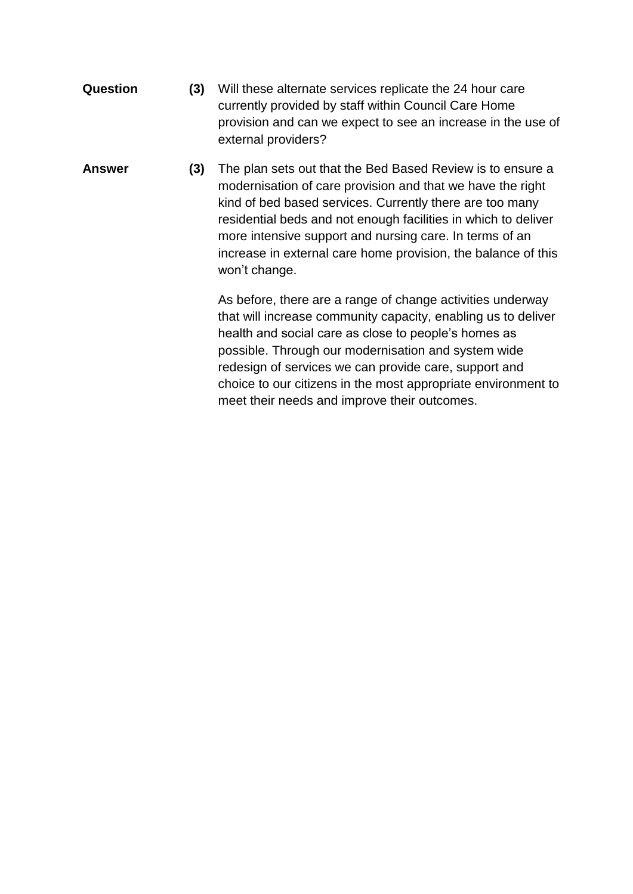- **Question (3)** Will these alternate services replicate the 24 hour care currently provided by staff within Council Care Home provision and can we expect to see an increase in the use of external providers?
- **Answer (3)** The plan sets out that the Bed Based Review is to ensure a modernisation of care provision and that we have the right kind of bed based services. Currently there are too many residential beds and not enough facilities in which to deliver more intensive support and nursing care. In terms of an increase in external care home provision, the balance of this won't change.

As before, there are a range of change activities underway that will increase community capacity, enabling us to deliver health and social care as close to people's homes as possible. Through our modernisation and system wide redesign of services we can provide care, support and choice to our citizens in the most appropriate environment to meet their needs and improve their outcomes.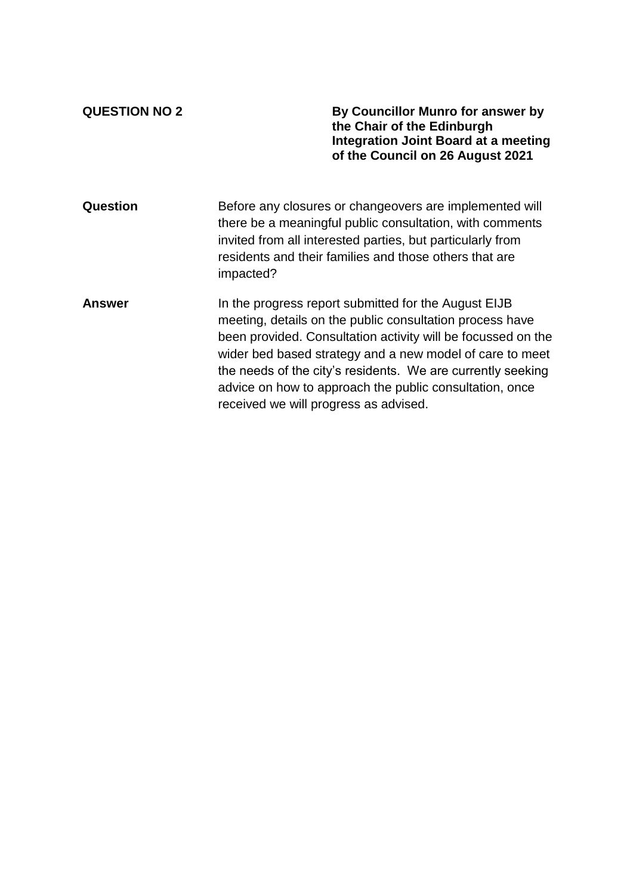**QUESTION NO 2 By Councillor Munro for answer by the Chair of the Edinburgh Integration Joint Board at a meeting of the Council on 26 August 2021**

| Question      | Before any closures or changeovers are implemented will<br>there be a meaningful public consultation, with comments<br>invited from all interested parties, but particularly from<br>residents and their families and those others that are<br>impacted?                                                                                                                                                        |
|---------------|-----------------------------------------------------------------------------------------------------------------------------------------------------------------------------------------------------------------------------------------------------------------------------------------------------------------------------------------------------------------------------------------------------------------|
| <b>Answer</b> | In the progress report submitted for the August EIJB<br>meeting, details on the public consultation process have<br>been provided. Consultation activity will be focussed on the<br>wider bed based strategy and a new model of care to meet<br>the needs of the city's residents. We are currently seeking<br>advice on how to approach the public consultation, once<br>received we will progress as advised. |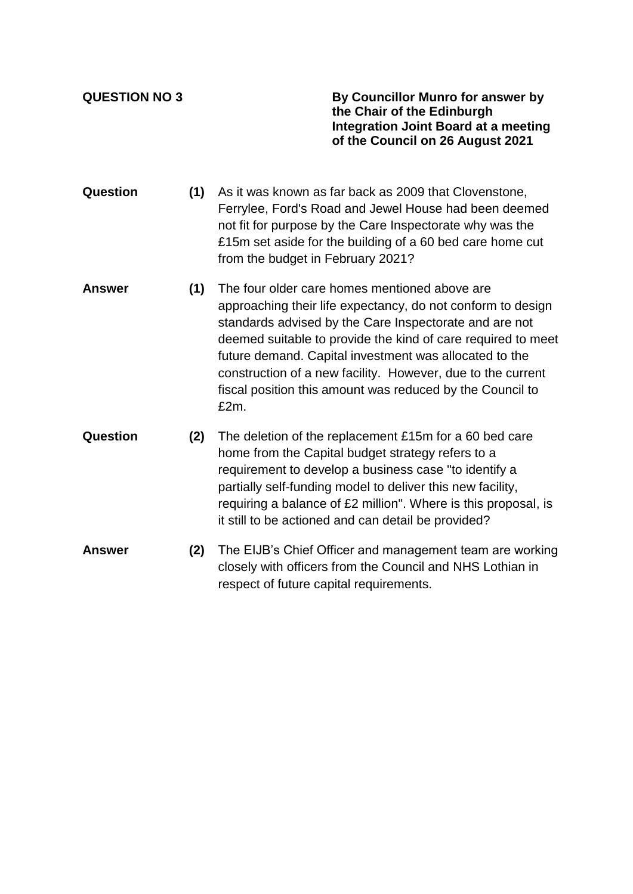**QUESTION NO 3 By Councillor Munro for answer by the Chair of the Edinburgh Integration Joint Board at a meeting of the Council on 26 August 2021**

- **Question (1)** As it was known as far back as 2009 that Clovenstone, Ferrylee, Ford's Road and Jewel House had been deemed not fit for purpose by the Care Inspectorate why was the £15m set aside for the building of a 60 bed care home cut from the budget in February 2021?
- **Answer (1)** The four older care homes mentioned above are approaching their life expectancy, do not conform to design standards advised by the Care Inspectorate and are not deemed suitable to provide the kind of care required to meet future demand. Capital investment was allocated to the construction of a new facility. However, due to the current fiscal position this amount was reduced by the Council to £2m.
- **Question (2)** The deletion of the replacement £15m for a 60 bed care home from the Capital budget strategy refers to a requirement to develop a business case "to identify a partially self-funding model to deliver this new facility, requiring a balance of £2 million". Where is this proposal, is it still to be actioned and can detail be provided?
- **Answer (2)** The EIJB's Chief Officer and management team are working closely with officers from the Council and NHS Lothian in respect of future capital requirements.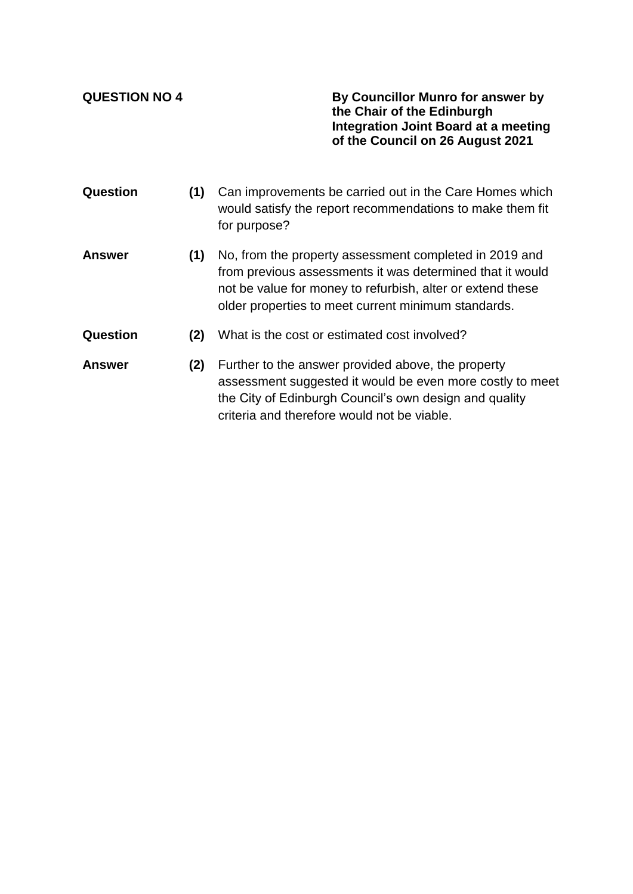**QUESTION NO 4 By Councillor Munro for answer by the Chair of the Edinburgh Integration Joint Board at a meeting of the Council on 26 August 2021**

- **Question (1)** Can improvements be carried out in the Care Homes which would satisfy the report recommendations to make them fit for purpose?
- **Answer (1)** No, from the property assessment completed in 2019 and from previous assessments it was determined that it would not be value for money to refurbish, alter or extend these older properties to meet current minimum standards.
- **Question (2)** What is the cost or estimated cost involved?
- **Answer (2)** Further to the answer provided above, the property assessment suggested it would be even more costly to meet the City of Edinburgh Council's own design and quality criteria and therefore would not be viable.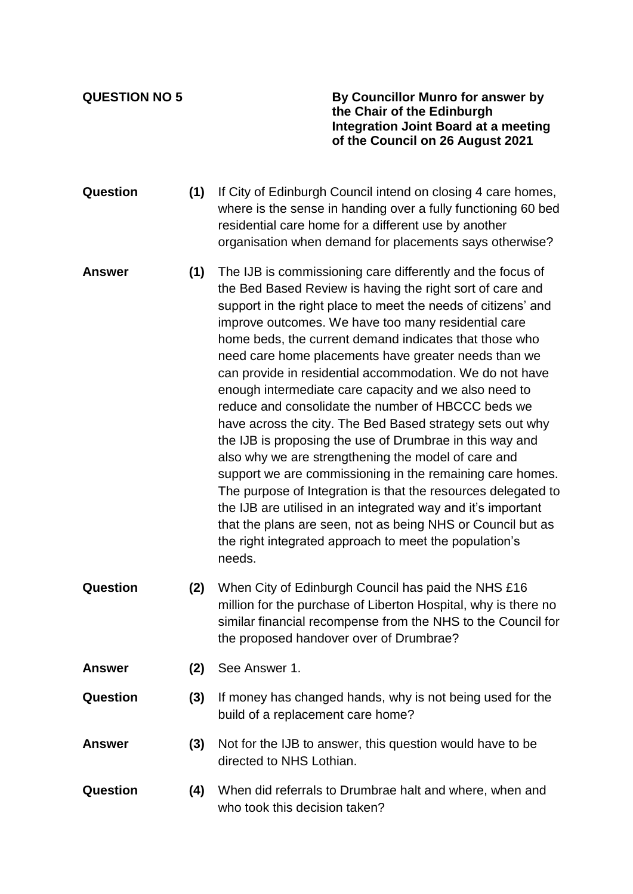**QUESTION NO 5 By Councillor Munro for answer by the Chair of the Edinburgh Integration Joint Board at a meeting of the Council on 26 August 2021**

- **Question (1)** If City of Edinburgh Council intend on closing 4 care homes, where is the sense in handing over a fully functioning 60 bed residential care home for a different use by another organisation when demand for placements says otherwise?
- **Answer (1)** The IJB is commissioning care differently and the focus of the Bed Based Review is having the right sort of care and support in the right place to meet the needs of citizens' and improve outcomes. We have too many residential care home beds, the current demand indicates that those who need care home placements have greater needs than we can provide in residential accommodation. We do not have enough intermediate care capacity and we also need to reduce and consolidate the number of HBCCC beds we have across the city. The Bed Based strategy sets out why the IJB is proposing the use of Drumbrae in this way and also why we are strengthening the model of care and support we are commissioning in the remaining care homes. The purpose of Integration is that the resources delegated to the IJB are utilised in an integrated way and it's important that the plans are seen, not as being NHS or Council but as the right integrated approach to meet the population's needs.
- **Question (2)** When City of Edinburgh Council has paid the NHS £16 million for the purchase of Liberton Hospital, why is there no similar financial recompense from the NHS to the Council for the proposed handover over of Drumbrae?
- **Answer (2)** See Answer 1.
- **Question (3)** If money has changed hands, why is not being used for the build of a replacement care home?
- **Answer (3)** Not for the IJB to answer, this question would have to be directed to NHS Lothian.
- **Question (4)** When did referrals to Drumbrae halt and where, when and who took this decision taken?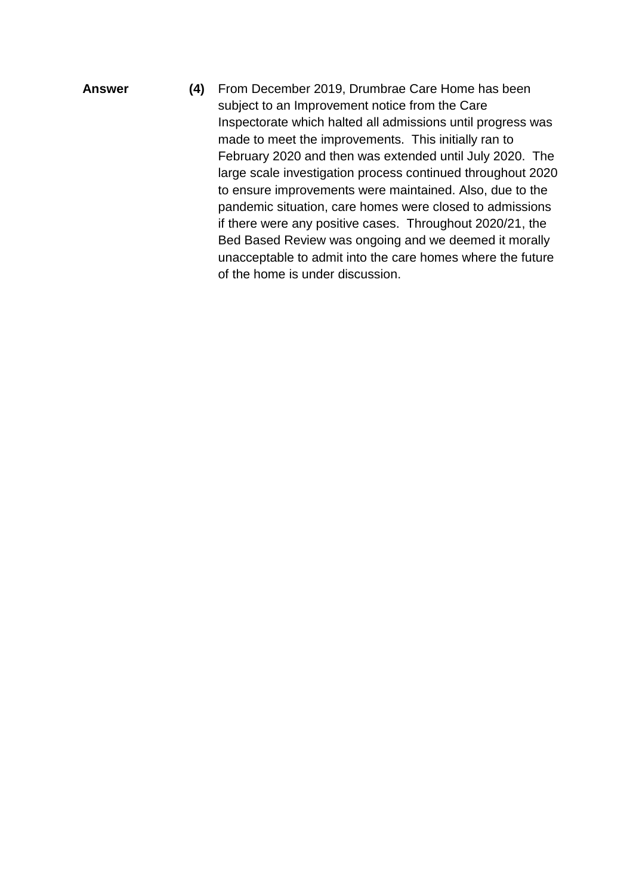**Answer (4)** From December 2019, Drumbrae Care Home has been subject to an Improvement notice from the Care Inspectorate which halted all admissions until progress was made to meet the improvements. This initially ran to February 2020 and then was extended until July 2020. The large scale investigation process continued throughout 2020 to ensure improvements were maintained. Also, due to the pandemic situation, care homes were closed to admissions if there were any positive cases. Throughout 2020/21, the Bed Based Review was ongoing and we deemed it morally unacceptable to admit into the care homes where the future of the home is under discussion.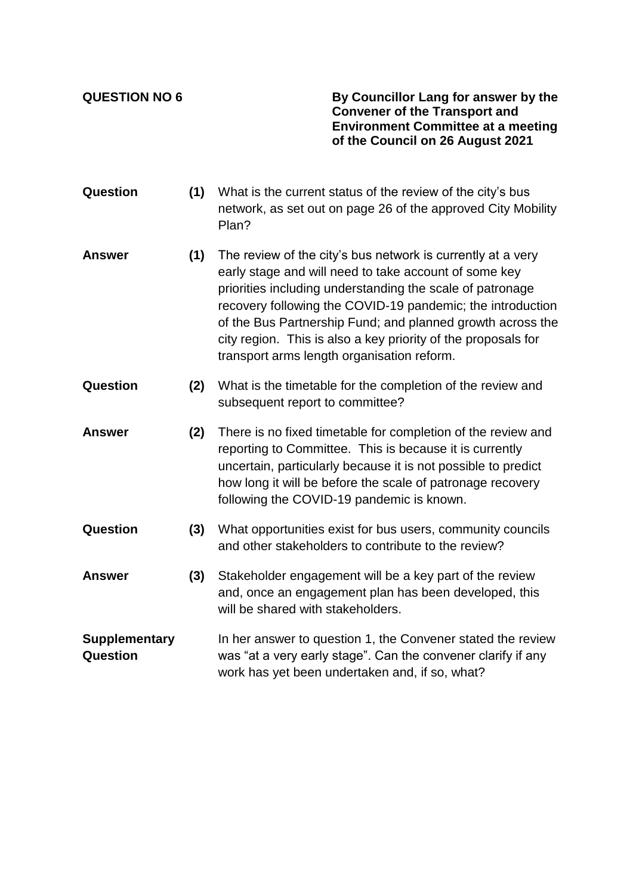**QUESTION NO 6 By Councillor Lang for answer by the Convener of the Transport and Environment Committee at a meeting of the Council on 26 August 2021**

- **Question (1)** What is the current status of the review of the city's bus network, as set out on page 26 of the approved City Mobility Plan?
- **Answer (1)** The review of the city's bus network is currently at a very early stage and will need to take account of some key priorities including understanding the scale of patronage recovery following the COVID-19 pandemic; the introduction of the Bus Partnership Fund; and planned growth across the city region. This is also a key priority of the proposals for transport arms length organisation reform.
- **Question (2)** What is the timetable for the completion of the review and subsequent report to committee?
- **Answer (2)** There is no fixed timetable for completion of the review and reporting to Committee. This is because it is currently uncertain, particularly because it is not possible to predict how long it will be before the scale of patronage recovery following the COVID-19 pandemic is known.
- **Question (3)** What opportunities exist for bus users, community councils and other stakeholders to contribute to the review?
- **Answer (3)** Stakeholder engagement will be a key part of the review and, once an engagement plan has been developed, this will be shared with stakeholders.
- **Supplementary Question** In her answer to question 1, the Convener stated the review was "at a very early stage". Can the convener clarify if any work has yet been undertaken and, if so, what?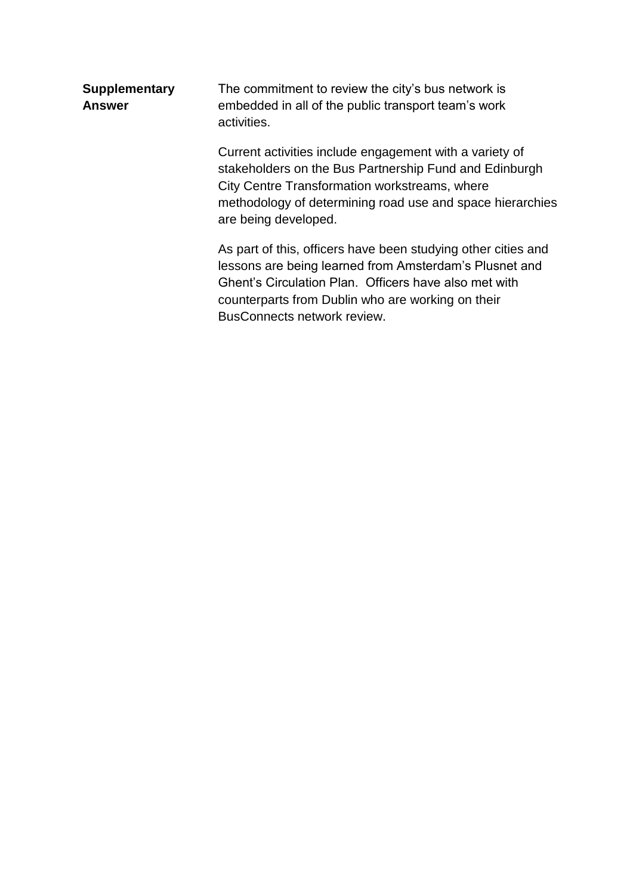| <b>Supplementary</b><br><b>Answer</b> | The commitment to review the city's bus network is<br>embedded in all of the public transport team's work<br>activities.                                                                                                                                             |  |  |
|---------------------------------------|----------------------------------------------------------------------------------------------------------------------------------------------------------------------------------------------------------------------------------------------------------------------|--|--|
|                                       | Current activities include engagement with a variety of<br>stakeholders on the Bus Partnership Fund and Edinburgh<br>City Centre Transformation workstreams, where<br>methodology of determining road use and space hierarchies<br>are being developed.              |  |  |
|                                       | As part of this, officers have been studying other cities and<br>lessons are being learned from Amsterdam's Plusnet and<br>Ghent's Circulation Plan. Officers have also met with<br>counterparts from Dublin who are working on their<br>BusConnects network review. |  |  |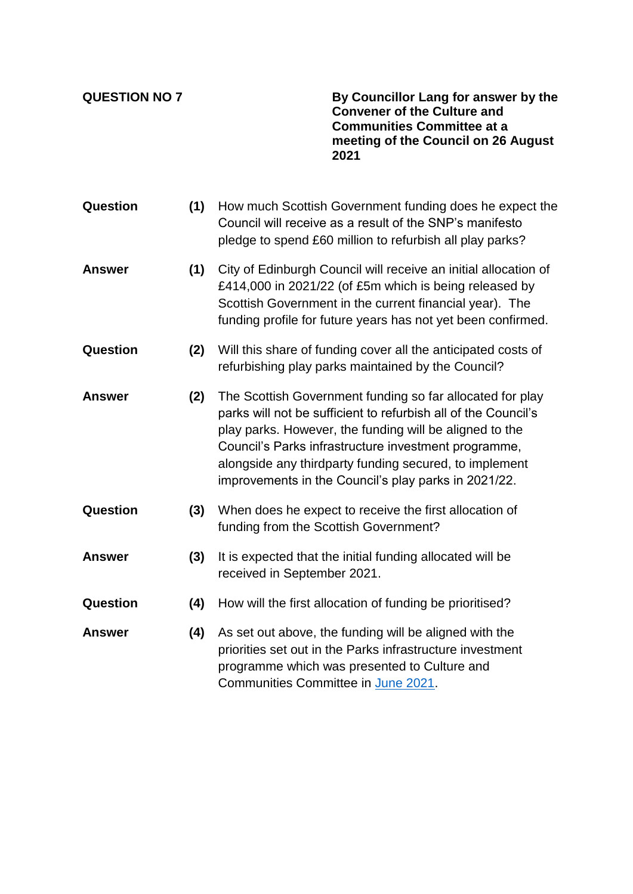**QUESTION NO 7 By Councillor Lang for answer by the Convener of the Culture and Communities Committee at a meeting of the Council on 26 August 2021**

| <b>Question</b> | (1) | How much Scottish Government funding does he expect the<br>Council will receive as a result of the SNP's manifesto<br>pledge to spend £60 million to refurbish all play parks?                                                                                                                                                                                   |
|-----------------|-----|------------------------------------------------------------------------------------------------------------------------------------------------------------------------------------------------------------------------------------------------------------------------------------------------------------------------------------------------------------------|
| <b>Answer</b>   | (1) | City of Edinburgh Council will receive an initial allocation of<br>£414,000 in 2021/22 (of £5m which is being released by<br>Scottish Government in the current financial year). The<br>funding profile for future years has not yet been confirmed.                                                                                                             |
| Question        | (2) | Will this share of funding cover all the anticipated costs of<br>refurbishing play parks maintained by the Council?                                                                                                                                                                                                                                              |
| <b>Answer</b>   | (2) | The Scottish Government funding so far allocated for play<br>parks will not be sufficient to refurbish all of the Council's<br>play parks. However, the funding will be aligned to the<br>Council's Parks infrastructure investment programme,<br>alongside any thirdparty funding secured, to implement<br>improvements in the Council's play parks in 2021/22. |
| Question        | (3) | When does he expect to receive the first allocation of<br>funding from the Scottish Government?                                                                                                                                                                                                                                                                  |
| <b>Answer</b>   | (3) | It is expected that the initial funding allocated will be<br>received in September 2021.                                                                                                                                                                                                                                                                         |
| Question        | (4) | How will the first allocation of funding be prioritised?                                                                                                                                                                                                                                                                                                         |
| <b>Answer</b>   | (4) | As set out above, the funding will be aligned with the<br>priorities set out in the Parks infrastructure investment<br>programme which was presented to Culture and<br>Communities Committee in June 2021.                                                                                                                                                       |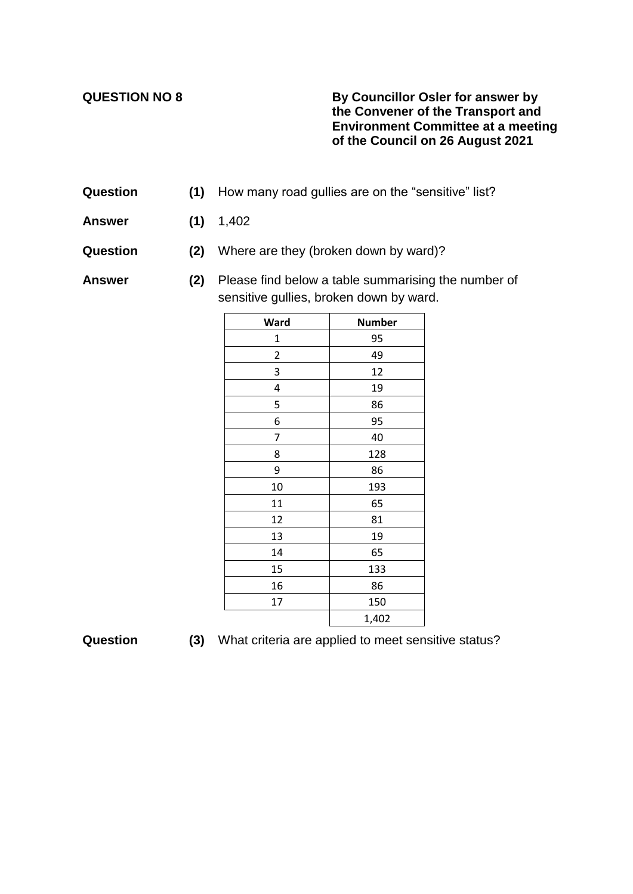## **QUESTION NO 8 By Councillor Osler for answer by the Convener of the Transport and Environment Committee at a meeting of the Council on 26 August 2021**

- **Question (1)** How many road gullies are on the "sensitive" list?
- **Answer (1)** 1,402
- **Question (2)** Where are they (broken down by ward)?

**Answer (2)** Please find below a table summarising the number of sensitive gullies, broken down by ward.

| Ward | <b>Number</b> |
|------|---------------|
| 1    | 95            |
| 2    | 49            |
| 3    | 12            |
| 4    | 19            |
| 5    | 86            |
| 6    | 95            |
| 7    | 40            |
| 8    | 128           |
| 9    | 86            |
| 10   | 193           |
| 11   | 65            |
| 12   | 81            |
| 13   | 19            |
| 14   | 65            |
| 15   | 133           |
| 16   | 86            |
| 17   | 150           |
|      | 1,402         |

| Question |  | (3) What criteria are applied to meet sensitive status? |  |  |  |  |
|----------|--|---------------------------------------------------------|--|--|--|--|
|----------|--|---------------------------------------------------------|--|--|--|--|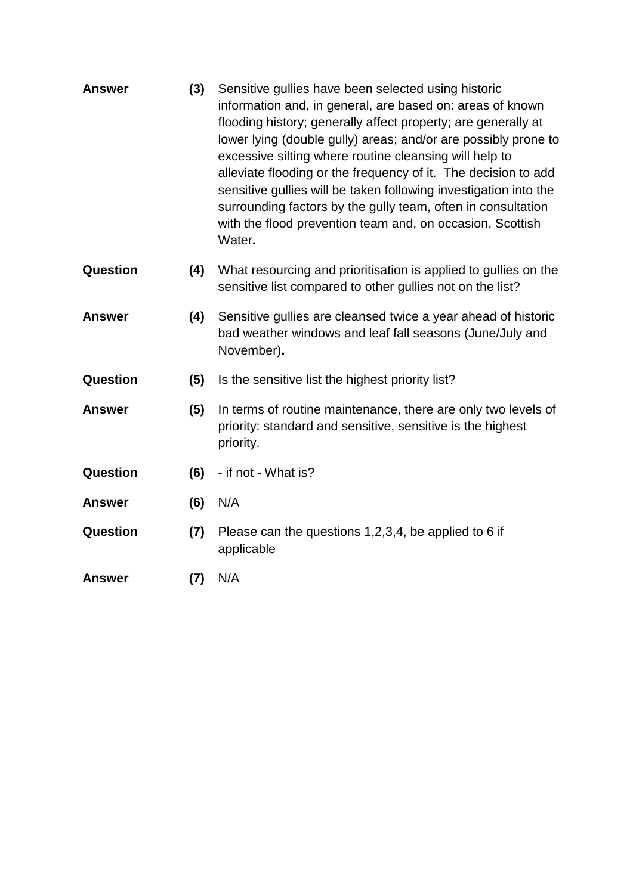| <b>Answer</b>   | (3) | Sensitive gullies have been selected using historic<br>information and, in general, are based on: areas of known<br>flooding history; generally affect property; are generally at<br>lower lying (double gully) areas; and/or are possibly prone to<br>excessive silting where routine cleansing will help to<br>alleviate flooding or the frequency of it. The decision to add<br>sensitive gullies will be taken following investigation into the<br>surrounding factors by the gully team, often in consultation<br>with the flood prevention team and, on occasion, Scottish<br>Water. |
|-----------------|-----|--------------------------------------------------------------------------------------------------------------------------------------------------------------------------------------------------------------------------------------------------------------------------------------------------------------------------------------------------------------------------------------------------------------------------------------------------------------------------------------------------------------------------------------------------------------------------------------------|
| Question        | (4) | What resourcing and prioritisation is applied to gullies on the<br>sensitive list compared to other gullies not on the list?                                                                                                                                                                                                                                                                                                                                                                                                                                                               |
| <b>Answer</b>   | (4) | Sensitive gullies are cleansed twice a year ahead of historic<br>bad weather windows and leaf fall seasons (June/July and<br>November).                                                                                                                                                                                                                                                                                                                                                                                                                                                    |
| Question        | (5) | Is the sensitive list the highest priority list?                                                                                                                                                                                                                                                                                                                                                                                                                                                                                                                                           |
| <b>Answer</b>   | (5) | In terms of routine maintenance, there are only two levels of<br>priority: standard and sensitive, sensitive is the highest<br>priority.                                                                                                                                                                                                                                                                                                                                                                                                                                                   |
| <b>Question</b> | (6) | - if not - What is?                                                                                                                                                                                                                                                                                                                                                                                                                                                                                                                                                                        |
| <b>Answer</b>   | (6) | N/A                                                                                                                                                                                                                                                                                                                                                                                                                                                                                                                                                                                        |
| Question        | (7) | Please can the questions 1,2,3,4, be applied to 6 if<br>applicable                                                                                                                                                                                                                                                                                                                                                                                                                                                                                                                         |
| <b>Answer</b>   | (7) | N/A                                                                                                                                                                                                                                                                                                                                                                                                                                                                                                                                                                                        |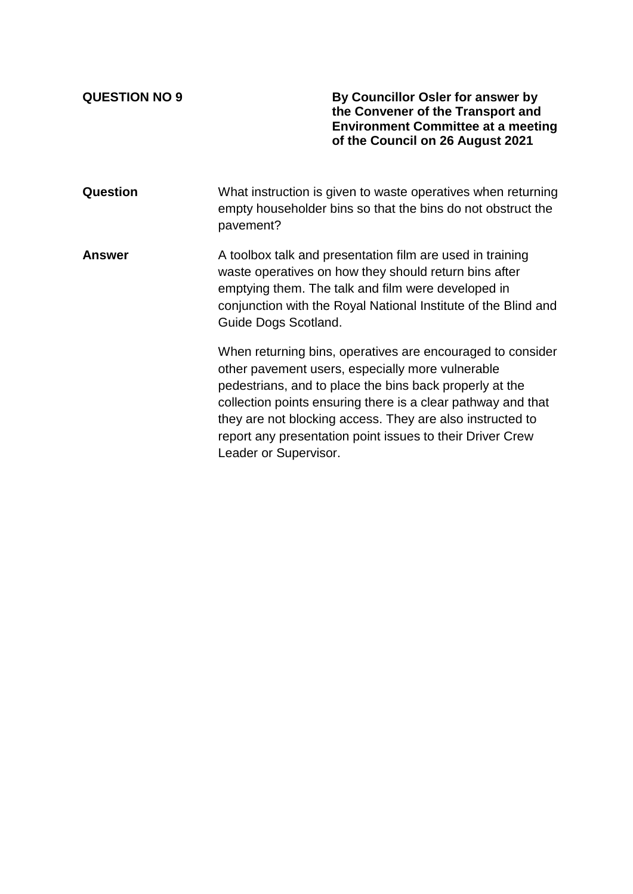**QUESTION NO 9 By Councillor Osler for answer by the Convener of the Transport and Environment Committee at a meeting of the Council on 26 August 2021**

**Question** What instruction is given to waste operatives when returning empty householder bins so that the bins do not obstruct the pavement?

**Answer** A toolbox talk and presentation film are used in training waste operatives on how they should return bins after emptying them. The talk and film were developed in conjunction with the Royal National Institute of the Blind and Guide Dogs Scotland.

> When returning bins, operatives are encouraged to consider other pavement users, especially more vulnerable pedestrians, and to place the bins back properly at the collection points ensuring there is a clear pathway and that they are not blocking access. They are also instructed to report any presentation point issues to their Driver Crew Leader or Supervisor.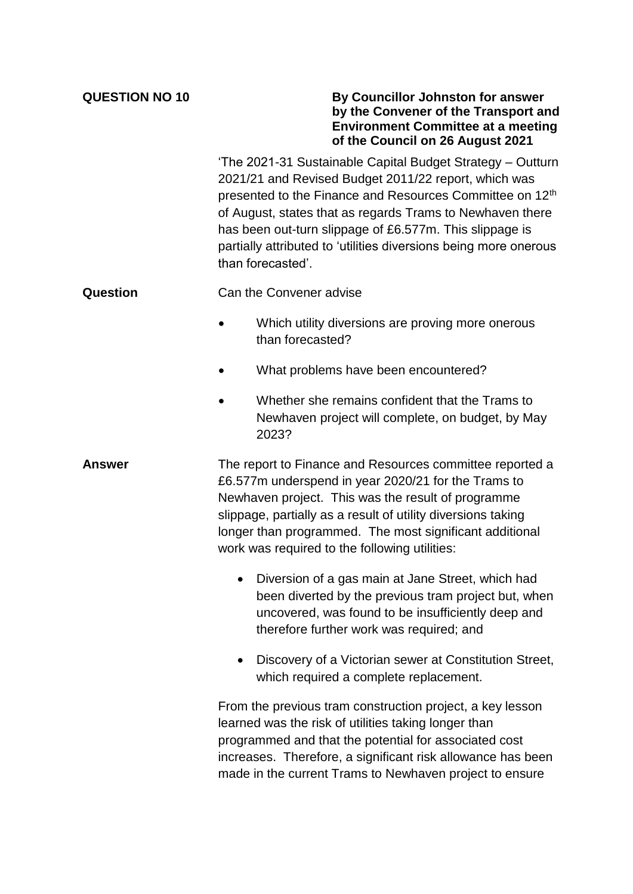| <b>QUESTION NO 10</b> | By Councillor Johnston for answer<br>by the Convener of the Transport and<br><b>Environment Committee at a meeting</b><br>of the Council on 26 August 2021                                                                                                                                                                                                                                                  |
|-----------------------|-------------------------------------------------------------------------------------------------------------------------------------------------------------------------------------------------------------------------------------------------------------------------------------------------------------------------------------------------------------------------------------------------------------|
|                       | 'The 2021-31 Sustainable Capital Budget Strategy - Outturn<br>2021/21 and Revised Budget 2011/22 report, which was<br>presented to the Finance and Resources Committee on 12 <sup>th</sup><br>of August, states that as regards Trams to Newhaven there<br>has been out-turn slippage of £6.577m. This slippage is<br>partially attributed to 'utilities diversions being more onerous<br>than forecasted'. |
| Question              | Can the Convener advise                                                                                                                                                                                                                                                                                                                                                                                     |
|                       | Which utility diversions are proving more onerous<br>than forecasted?                                                                                                                                                                                                                                                                                                                                       |
|                       | What problems have been encountered?                                                                                                                                                                                                                                                                                                                                                                        |
|                       | Whether she remains confident that the Trams to<br>Newhaven project will complete, on budget, by May<br>2023?                                                                                                                                                                                                                                                                                               |
| Answer                | The report to Finance and Resources committee reported a<br>£6.577m underspend in year 2020/21 for the Trams to<br>Newhaven project. This was the result of programme<br>slippage, partially as a result of utility diversions taking<br>longer than programmed. The most significant additional<br>work was required to the following utilities:                                                           |
|                       | Diversion of a gas main at Jane Street, which had<br>been diverted by the previous tram project but, when<br>uncovered, was found to be insufficiently deep and<br>therefore further work was required; and                                                                                                                                                                                                 |
|                       | Discovery of a Victorian sewer at Constitution Street,<br>which required a complete replacement.                                                                                                                                                                                                                                                                                                            |
|                       | From the previous tram construction project, a key lesson<br>learned was the risk of utilities taking longer than<br>programmed and that the potential for associated cost<br>increases. Therefore, a significant risk allowance has been<br>made in the current Trams to Newhaven project to ensure                                                                                                        |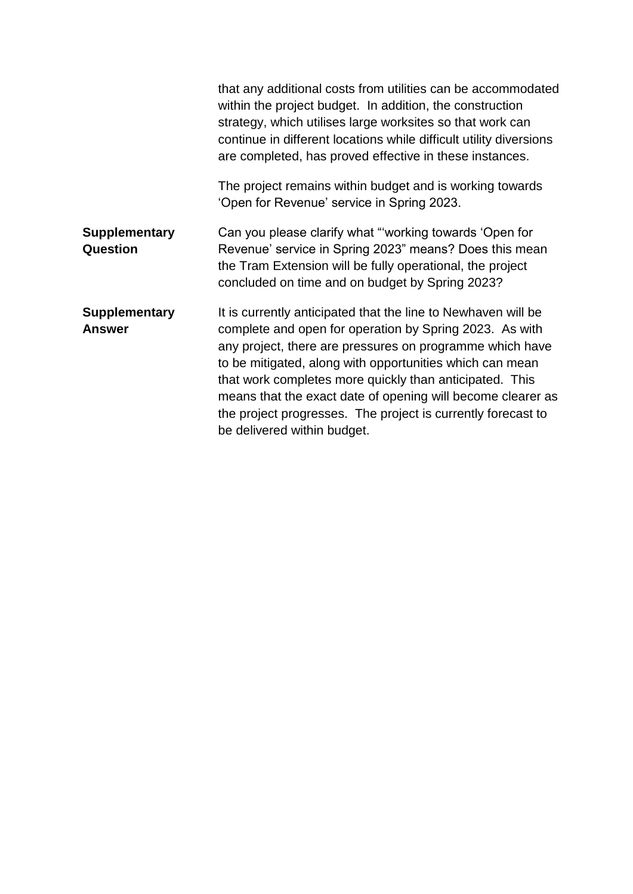|                                       | that any additional costs from utilities can be accommodated<br>within the project budget. In addition, the construction<br>strategy, which utilises large worksites so that work can<br>continue in different locations while difficult utility diversions<br>are completed, has proved effective in these instances.                                                                                                                                                    |
|---------------------------------------|---------------------------------------------------------------------------------------------------------------------------------------------------------------------------------------------------------------------------------------------------------------------------------------------------------------------------------------------------------------------------------------------------------------------------------------------------------------------------|
|                                       | The project remains within budget and is working towards<br>'Open for Revenue' service in Spring 2023.                                                                                                                                                                                                                                                                                                                                                                    |
| <b>Supplementary</b><br>Question      | Can you please clarify what "working towards 'Open for<br>Revenue' service in Spring 2023" means? Does this mean<br>the Tram Extension will be fully operational, the project<br>concluded on time and on budget by Spring 2023?                                                                                                                                                                                                                                          |
| <b>Supplementary</b><br><b>Answer</b> | It is currently anticipated that the line to Newhaven will be<br>complete and open for operation by Spring 2023. As with<br>any project, there are pressures on programme which have<br>to be mitigated, along with opportunities which can mean<br>that work completes more quickly than anticipated. This<br>means that the exact date of opening will become clearer as<br>the project progresses. The project is currently forecast to<br>be delivered within budget. |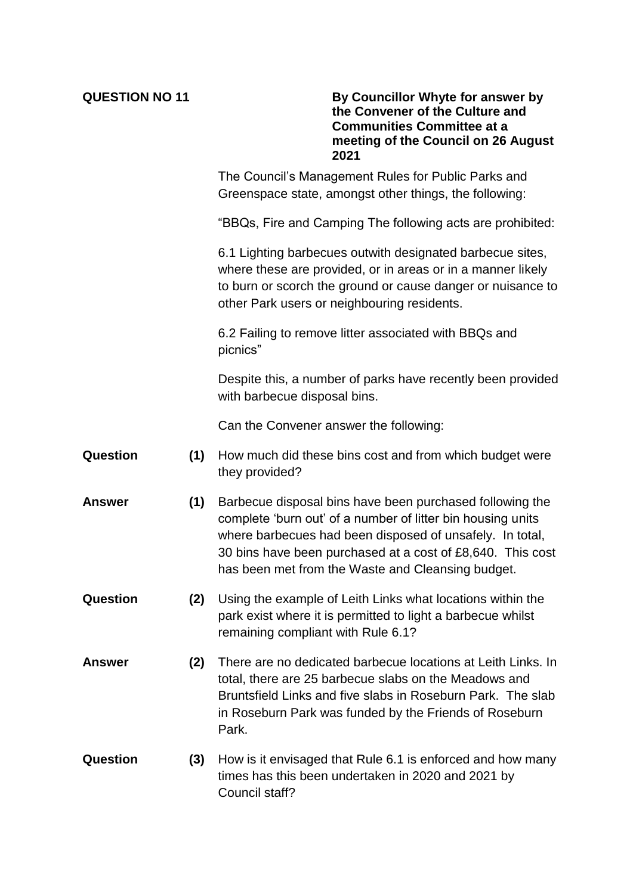|  | <b>QUESTION NO 11</b> |  |
|--|-----------------------|--|
|  |                       |  |

**By Councillor Whyte for answer by the Convener of the Culture and Communities Committee at a meeting of the Council on 26 August 2021**

The Council's Management Rules for Public Parks and Greenspace state, amongst other things, the following:

"BBQs, Fire and Camping The following acts are prohibited:

6.1 Lighting barbecues outwith designated barbecue sites, where these are provided, or in areas or in a manner likely to burn or scorch the ground or cause danger or nuisance to other Park users or neighbouring residents.

6.2 Failing to remove litter associated with BBQs and picnics"

Despite this, a number of parks have recently been provided with barbecue disposal bins.

Can the Convener answer the following:

- **Question (1)** How much did these bins cost and from which budget were they provided?
- **Answer (1)** Barbecue disposal bins have been purchased following the complete 'burn out' of a number of litter bin housing units where barbecues had been disposed of unsafely. In total, 30 bins have been purchased at a cost of £8,640. This cost has been met from the Waste and Cleansing budget.
- **Question (2)** Using the example of Leith Links what locations within the park exist where it is permitted to light a barbecue whilst remaining compliant with Rule 6.1?
- **Answer (2)** There are no dedicated barbecue locations at Leith Links. In total, there are 25 barbecue slabs on the Meadows and Bruntsfield Links and five slabs in Roseburn Park. The slab in Roseburn Park was funded by the Friends of Roseburn Park.
- **Question (3)** How is it envisaged that Rule 6.1 is enforced and how many times has this been undertaken in 2020 and 2021 by Council staff?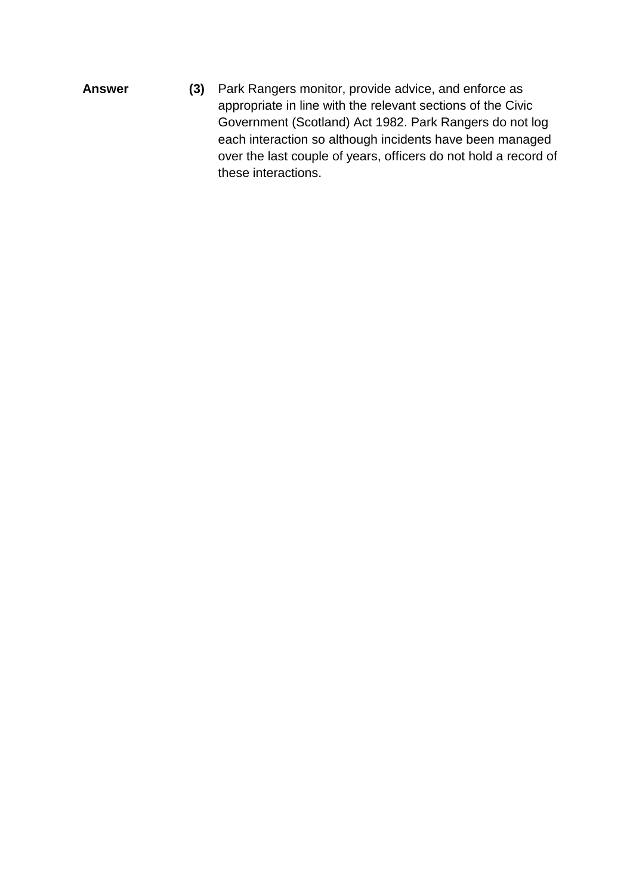**Answer (3)** Park Rangers monitor, provide advice, and enforce as appropriate in line with the relevant sections of the Civic Government (Scotland) Act 1982. Park Rangers do not log each interaction so although incidents have been managed over the last couple of years, officers do not hold a record of these interactions.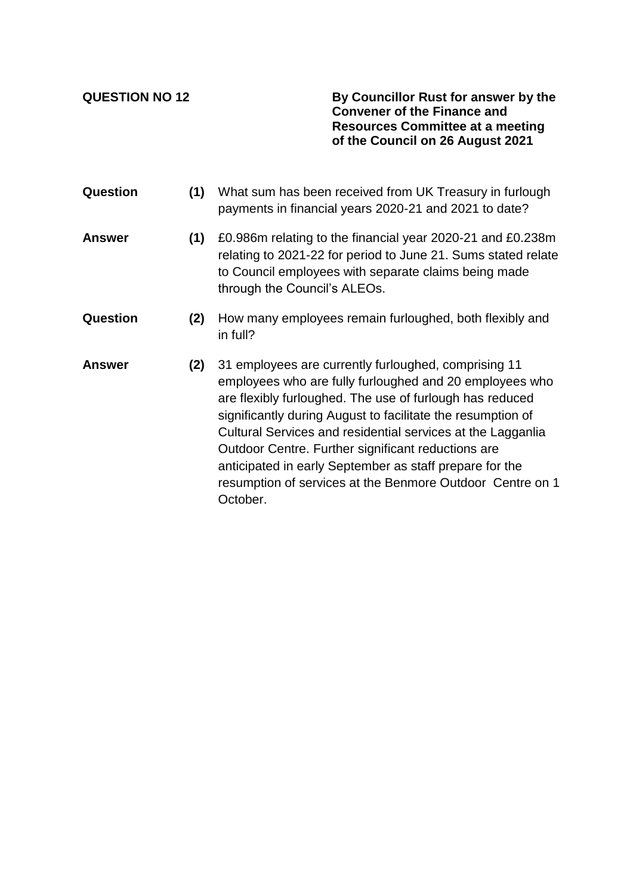**QUESTION NO 12 By Councillor Rust for answer by the Convener of the Finance and Resources Committee at a meeting of the Council on 26 August 2021**

**Question (1)** What sum has been received from UK Treasury in furlough payments in financial years 2020-21 and 2021 to date? **Answer (1)** £0.986m relating to the financial year 2020-21 and £0.238m relating to 2021-22 for period to June 21. Sums stated relate to Council employees with separate claims being made through the Council's ALEOs. **Question (2)** How many employees remain furloughed, both flexibly and in full? **Answer (2)** 31 employees are currently furloughed, comprising 11 employees who are fully furloughed and 20 employees who are flexibly furloughed. The use of furlough has reduced significantly during August to facilitate the resumption of Cultural Services and residential services at the Lagganlia Outdoor Centre. Further significant reductions are anticipated in early September as staff prepare for the resumption of services at the Benmore Outdoor Centre on 1 October.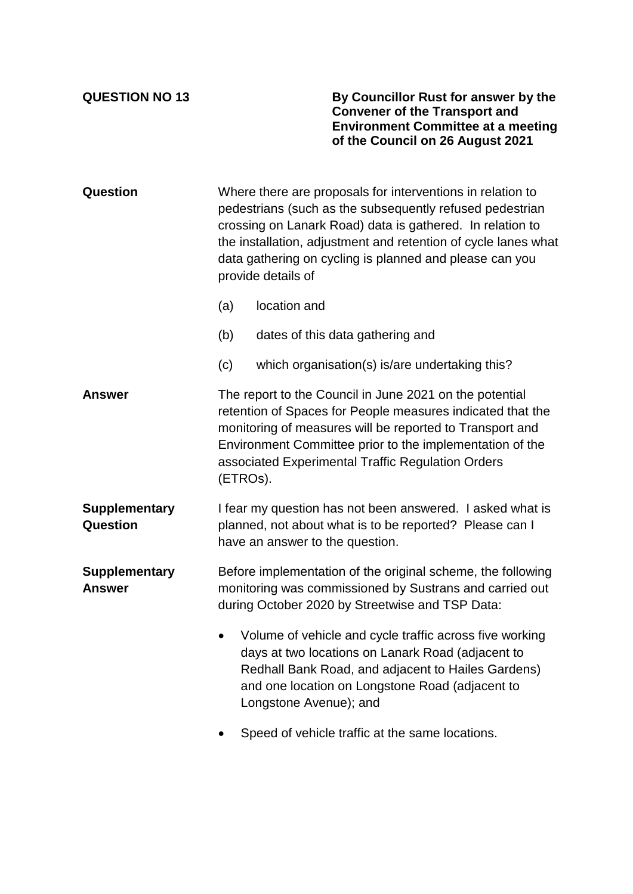**QUESTION NO 13 By Councillor Rust for answer by the Convener of the Transport and Environment Committee at a meeting of the Council on 26 August 2021**

| Question                              | Where there are proposals for interventions in relation to<br>pedestrians (such as the subsequently refused pedestrian<br>crossing on Lanark Road) data is gathered. In relation to<br>the installation, adjustment and retention of cycle lanes what<br>data gathering on cycling is planned and please can you<br>provide details of |                                                                                                                                                                                                                                                 |  |  |  |
|---------------------------------------|----------------------------------------------------------------------------------------------------------------------------------------------------------------------------------------------------------------------------------------------------------------------------------------------------------------------------------------|-------------------------------------------------------------------------------------------------------------------------------------------------------------------------------------------------------------------------------------------------|--|--|--|
|                                       | (a)                                                                                                                                                                                                                                                                                                                                    | location and                                                                                                                                                                                                                                    |  |  |  |
|                                       | (b)                                                                                                                                                                                                                                                                                                                                    | dates of this data gathering and                                                                                                                                                                                                                |  |  |  |
|                                       | (c)                                                                                                                                                                                                                                                                                                                                    | which organisation(s) is/are undertaking this?                                                                                                                                                                                                  |  |  |  |
| Answer                                | The report to the Council in June 2021 on the potential<br>retention of Spaces for People measures indicated that the<br>monitoring of measures will be reported to Transport and<br>Environment Committee prior to the implementation of the<br>associated Experimental Traffic Regulation Orders<br>(ETROs).                         |                                                                                                                                                                                                                                                 |  |  |  |
| <b>Supplementary</b><br>Question      | I fear my question has not been answered. I asked what is<br>planned, not about what is to be reported? Please can I<br>have an answer to the question.                                                                                                                                                                                |                                                                                                                                                                                                                                                 |  |  |  |
| <b>Supplementary</b><br><b>Answer</b> | Before implementation of the original scheme, the following<br>monitoring was commissioned by Sustrans and carried out<br>during October 2020 by Streetwise and TSP Data:                                                                                                                                                              |                                                                                                                                                                                                                                                 |  |  |  |
|                                       | $\bullet$                                                                                                                                                                                                                                                                                                                              | Volume of vehicle and cycle traffic across five working<br>days at two locations on Lanark Road (adjacent to<br>Redhall Bank Road, and adjacent to Hailes Gardens)<br>and one location on Longstone Road (adjacent to<br>Longstone Avenue); and |  |  |  |
|                                       | Connol of vahiale traffic of the comp locations                                                                                                                                                                                                                                                                                        |                                                                                                                                                                                                                                                 |  |  |  |

• Speed of vehicle traffic at the same locations.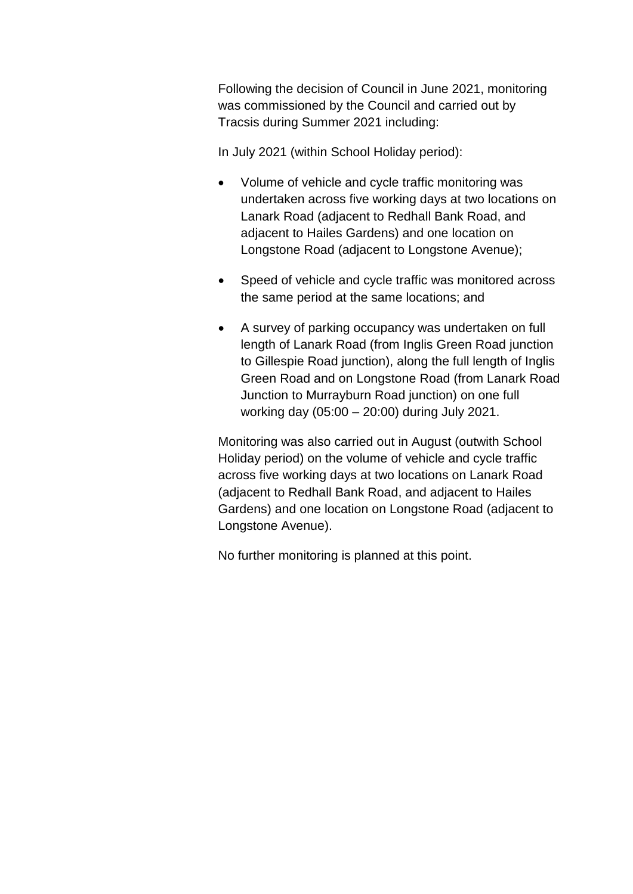Following the decision of Council in June 2021, monitoring was commissioned by the Council and carried out by Tracsis during Summer 2021 including:

In July 2021 (within School Holiday period):

- Volume of vehicle and cycle traffic monitoring was undertaken across five working days at two locations on Lanark Road (adjacent to Redhall Bank Road, and adjacent to Hailes Gardens) and one location on Longstone Road (adjacent to Longstone Avenue);
- Speed of vehicle and cycle traffic was monitored across the same period at the same locations; and
- A survey of parking occupancy was undertaken on full length of Lanark Road (from Inglis Green Road junction to Gillespie Road junction), along the full length of Inglis Green Road and on Longstone Road (from Lanark Road Junction to Murrayburn Road junction) on one full working day (05:00 – 20:00) during July 2021.

Monitoring was also carried out in August (outwith School Holiday period) on the volume of vehicle and cycle traffic across five working days at two locations on Lanark Road (adjacent to Redhall Bank Road, and adjacent to Hailes Gardens) and one location on Longstone Road (adjacent to Longstone Avenue).

No further monitoring is planned at this point.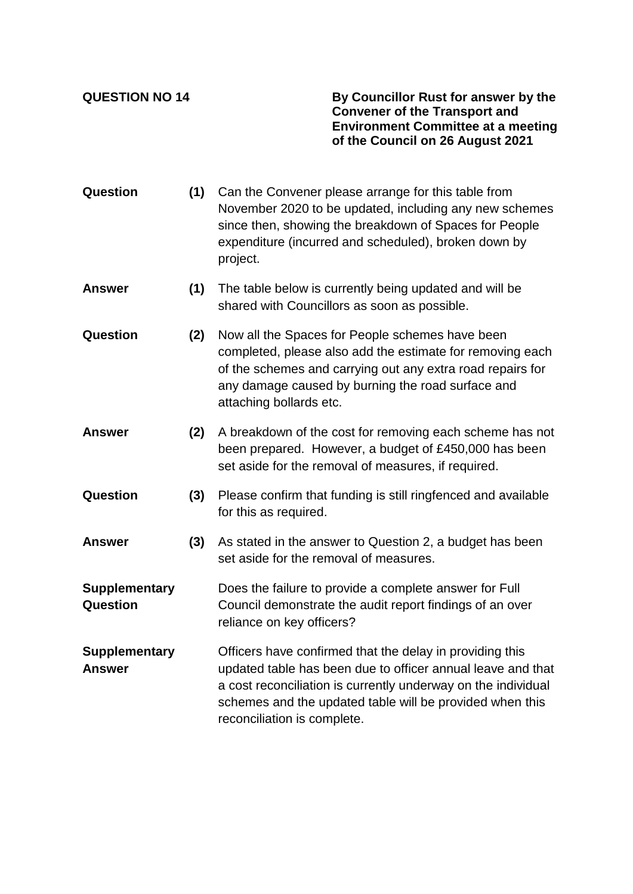**QUESTION NO 14 By Councillor Rust for answer by the Convener of the Transport and Environment Committee at a meeting of the Council on 26 August 2021**

- **Question (1)** Can the Convener please arrange for this table from November 2020 to be updated, including any new schemes since then, showing the breakdown of Spaces for People expenditure (incurred and scheduled), broken down by project.
- **Answer (1)** The table below is currently being updated and will be shared with Councillors as soon as possible.
- **Question (2)** Now all the Spaces for People schemes have been completed, please also add the estimate for removing each of the schemes and carrying out any extra road repairs for any damage caused by burning the road surface and attaching bollards etc.
- **Answer (2)** A breakdown of the cost for removing each scheme has not been prepared. However, a budget of £450,000 has been set aside for the removal of measures, if required.
- **Question (3)** Please confirm that funding is still ringfenced and available for this as required.
- **Answer (3)** As stated in the answer to Question 2, a budget has been set aside for the removal of measures.
- **Supplementary Question** Does the failure to provide a complete answer for Full Council demonstrate the audit report findings of an over reliance on key officers?
- **Supplementary Answer** Officers have confirmed that the delay in providing this updated table has been due to officer annual leave and that a cost reconciliation is currently underway on the individual schemes and the updated table will be provided when this reconciliation is complete.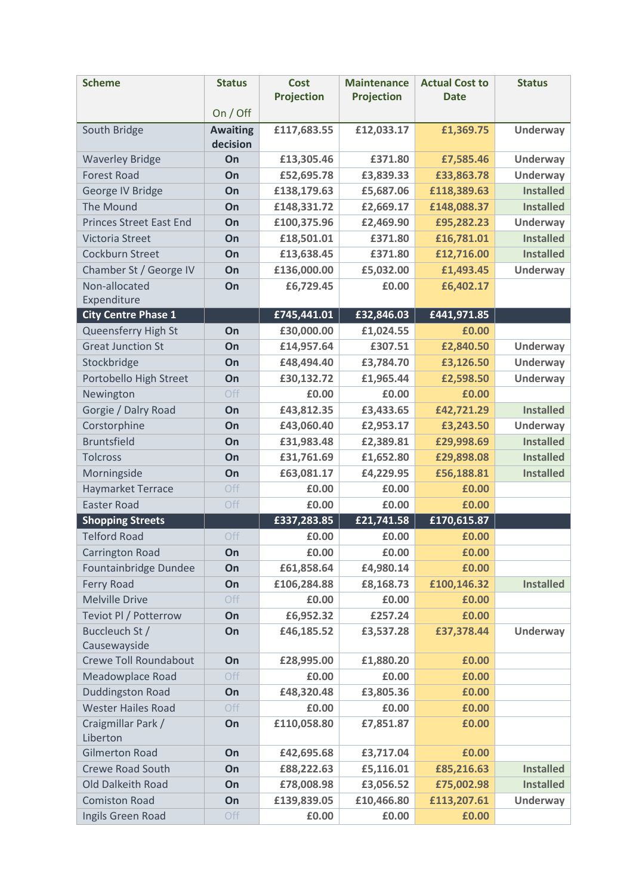| <b>Scheme</b>                                | <b>Status</b>               | <b>Cost</b>              | <b>Maintenance</b>     | <b>Actual Cost to</b>    | <b>Status</b>                        |
|----------------------------------------------|-----------------------------|--------------------------|------------------------|--------------------------|--------------------------------------|
|                                              | On / Off                    | <b>Projection</b>        | <b>Projection</b>      | <b>Date</b>              |                                      |
|                                              |                             |                          |                        |                          |                                      |
| South Bridge                                 | <b>Awaiting</b><br>decision | £117,683.55              | £12,033.17             | £1,369.75                | <b>Underway</b>                      |
| <b>Waverley Bridge</b>                       | On                          | £13,305.46               | £371.80                | £7,585.46                | <b>Underway</b>                      |
| <b>Forest Road</b>                           | On                          | £52,695.78               | £3,839.33              | £33,863.78               | <b>Underway</b>                      |
| George IV Bridge                             | On                          | £138,179.63              | £5,687.06              | £118,389.63              | <b>Installed</b>                     |
| The Mound                                    | On                          | £148,331.72              | £2,669.17              | £148,088.37              | <b>Installed</b>                     |
| <b>Princes Street East End</b>               | On                          | £100,375.96              | £2,469.90              | £95,282.23               | <b>Underway</b>                      |
| Victoria Street                              | On                          | £18,501.01               | £371.80                | £16,781.01               | <b>Installed</b>                     |
| Cockburn Street                              | On                          | £13,638.45               | £371.80                | £12,716.00               | <b>Installed</b>                     |
| Chamber St / George IV                       | On                          | £136,000.00              | £5,032.00              | £1,493.45                | <b>Underway</b>                      |
| Non-allocated                                | On                          | £6,729.45                | £0.00                  | £6,402.17                |                                      |
| Expenditure                                  |                             |                          |                        |                          |                                      |
| <b>City Centre Phase 1</b>                   |                             | £745,441.01              | £32,846.03             | £441,971.85              |                                      |
| Queensferry High St                          | On                          | £30,000.00               | £1,024.55              | £0.00                    |                                      |
| <b>Great Junction St</b>                     | On                          | £14,957.64               | £307.51                | £2,840.50                | Underway                             |
| Stockbridge                                  | On                          | £48,494.40               | £3,784.70              | £3,126.50                | <b>Underway</b>                      |
| Portobello High Street                       | On                          | £30,132.72               | £1,965.44              | £2,598.50                | <b>Underway</b>                      |
| Newington                                    | Off                         | £0.00                    | £0.00                  | £0.00                    |                                      |
| Gorgie / Dalry Road                          | On                          | £43,812.35               | £3,433.65              | £42,721.29               | <b>Installed</b>                     |
| Corstorphine                                 | On                          | £43,060.40               | £2,953.17              | £3,243.50                | <b>Underway</b>                      |
| <b>Bruntsfield</b>                           | On                          | £31,983.48               | £2,389.81              | £29,998.69               | <b>Installed</b>                     |
| <b>Tolcross</b>                              | On                          | £31,761.69               | £1,652.80              | £29,898.08               | <b>Installed</b><br><b>Installed</b> |
| Morningside<br><b>Haymarket Terrace</b>      | On<br>Off                   | £63,081.17<br>£0.00      | £4,229.95<br>£0.00     | £56,188.81<br>£0.00      |                                      |
| <b>Easter Road</b>                           | Off                         | £0.00                    | £0.00                  | £0.00                    |                                      |
| <b>Shopping Streets</b>                      |                             | £337,283.85              | £21,741.58             | £170,615.87              |                                      |
| <b>Telford Road</b>                          | Off                         | £0.00                    | £0.00                  | £0.00                    |                                      |
| Carrington Road                              | On                          | £0.00                    | £0.00                  | £0.00                    |                                      |
| Fountainbridge Dundee                        | On                          | £61,858.64               | £4,980.14              | £0.00                    |                                      |
| Ferry Road                                   | On                          | £106,284.88              | £8,168.73              | £100,146.32              | <b>Installed</b>                     |
| <b>Melville Drive</b>                        | Off                         | £0.00                    | £0.00                  | £0.00                    |                                      |
| Teviot Pl / Potterrow                        | On                          | £6,952.32                | £257.24                | £0.00                    |                                      |
| Buccleuch St /                               | On                          | £46,185.52               | £3,537.28              | £37,378.44               | <b>Underway</b>                      |
| Causewayside                                 |                             |                          |                        |                          |                                      |
| Crewe Toll Roundabout                        | On                          | £28,995.00               | £1,880.20              | £0.00                    |                                      |
| Meadowplace Road                             | Off                         | £0.00                    | £0.00                  | £0.00                    |                                      |
| <b>Duddingston Road</b>                      | On                          | £48,320.48               | £3,805.36              | £0.00                    |                                      |
| <b>Wester Hailes Road</b>                    | Off                         | £0.00                    | £0.00                  | £0.00                    |                                      |
| Craigmillar Park /                           | On                          | £110,058.80              | £7,851.87              | £0.00                    |                                      |
| Liberton                                     |                             |                          |                        |                          |                                      |
| <b>Gilmerton Road</b>                        | On                          | £42,695.68               | £3,717.04              | £0.00                    |                                      |
| <b>Crewe Road South</b><br>Old Dalkeith Road | On<br>On                    | £88,222.63<br>£78,008.98 | £5,116.01<br>£3,056.52 | £85,216.63<br>£75,002.98 | <b>Installed</b><br><b>Installed</b> |
| <b>Comiston Road</b>                         | On                          | £139,839.05              | £10,466.80             | £113,207.61              | Underway                             |
|                                              | Off                         |                          |                        | £0.00                    |                                      |
| Ingils Green Road                            |                             | £0.00                    | £0.00                  |                          |                                      |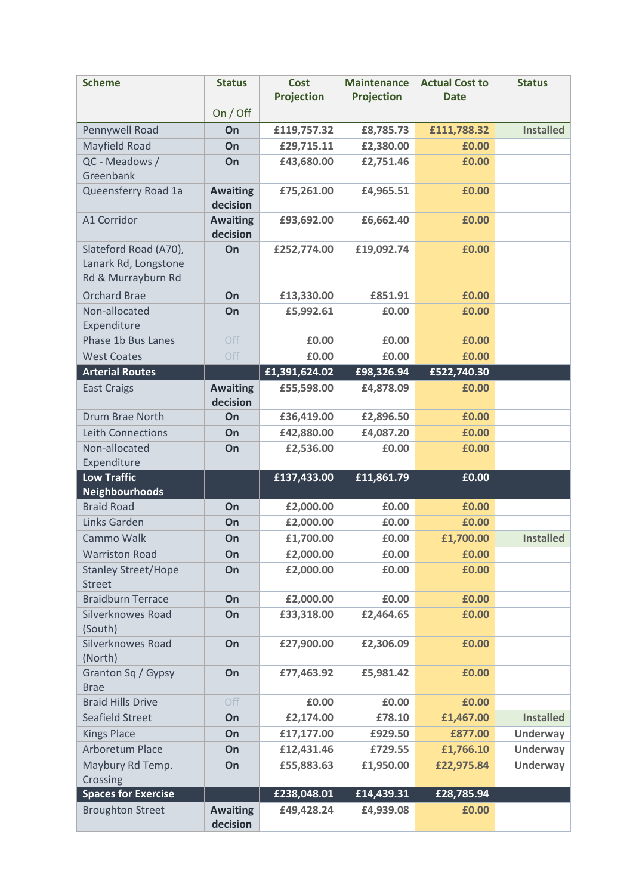| <b>Scheme</b>                               | <b>Status</b>               | <b>Cost</b><br><b>Projection</b> | <b>Maintenance</b><br><b>Projection</b> | <b>Actual Cost to</b><br><b>Date</b> | <b>Status</b>    |
|---------------------------------------------|-----------------------------|----------------------------------|-----------------------------------------|--------------------------------------|------------------|
|                                             | On / Off                    |                                  |                                         |                                      |                  |
| Pennywell Road                              | On                          | £119,757.32                      | £8,785.73                               | £111,788.32                          | <b>Installed</b> |
| Mayfield Road                               | On                          | £29,715.11                       | £2,380.00                               | £0.00                                |                  |
| QC - Meadows /                              | On                          | £43,680.00                       | £2,751.46                               | £0.00                                |                  |
| Greenbank                                   |                             |                                  |                                         |                                      |                  |
| Queensferry Road 1a                         | <b>Awaiting</b><br>decision | £75,261.00                       | £4,965.51                               | £0.00                                |                  |
| A1 Corridor                                 | <b>Awaiting</b><br>decision | £93,692.00                       | £6,662.40                               | £0.00                                |                  |
| Slateford Road (A70),                       | On                          | £252,774.00                      | £19,092.74                              | £0.00                                |                  |
| Lanark Rd, Longstone                        |                             |                                  |                                         |                                      |                  |
| Rd & Murrayburn Rd                          |                             |                                  |                                         |                                      |                  |
| <b>Orchard Brae</b>                         | On                          | £13,330.00                       | £851.91                                 | £0.00                                |                  |
| Non-allocated                               | On                          | £5,992.61                        | £0.00                                   | £0.00                                |                  |
| Expenditure                                 |                             |                                  |                                         |                                      |                  |
| Phase 1b Bus Lanes<br><b>West Coates</b>    | Off<br>Off                  | £0.00<br>£0.00                   | £0.00<br>£0.00                          | £0.00<br>£0.00                       |                  |
| <b>Arterial Routes</b>                      |                             |                                  |                                         | £522,740.30                          |                  |
|                                             |                             | £1,391,624.02                    | £98,326.94                              |                                      |                  |
| <b>East Craigs</b>                          | <b>Awaiting</b><br>decision | £55,598.00                       | £4,878.09                               | £0.00                                |                  |
| <b>Drum Brae North</b>                      | On                          | £36,419.00                       | £2,896.50                               | £0.00                                |                  |
| <b>Leith Connections</b>                    | On                          | £42,880.00                       | £4,087.20                               | £0.00                                |                  |
| Non-allocated                               | On                          | £2,536.00                        | £0.00                                   | £0.00                                |                  |
| Expenditure<br><b>Low Traffic</b>           |                             |                                  |                                         |                                      |                  |
| <b>Neighbourhoods</b>                       |                             | £137,433.00                      | £11,861.79                              | £0.00                                |                  |
| <b>Braid Road</b>                           | On                          | £2,000.00                        | £0.00                                   | £0.00                                |                  |
| Links Garden                                | On                          | £2,000.00                        | £0.00                                   | £0.00                                |                  |
| Cammo Walk                                  | On                          | £1,700.00                        | £0.00                                   | £1,700.00                            | <b>Installed</b> |
| <b>Warriston Road</b>                       | On                          | £2,000.00                        | £0.00                                   | £0.00                                |                  |
| <b>Stanley Street/Hope</b><br><b>Street</b> | On                          | £2,000.00                        | £0.00                                   | £0.00                                |                  |
| <b>Braidburn Terrace</b>                    | On                          | £2,000.00                        | £0.00                                   | £0.00                                |                  |
| Silverknowes Road<br>(South)                | On                          | £33,318.00                       | £2,464.65                               | £0.00                                |                  |
| <b>Silverknowes Road</b><br>(North)         | On                          | £27,900.00                       | £2,306.09                               | £0.00                                |                  |
| Granton Sq / Gypsy<br><b>Brae</b>           | On                          | £77,463.92                       | £5,981.42                               | £0.00                                |                  |
| <b>Braid Hills Drive</b>                    | Off                         | £0.00                            | £0.00                                   | £0.00                                |                  |
| <b>Seafield Street</b>                      | On                          | £2,174.00                        | £78.10                                  | £1,467.00                            | <b>Installed</b> |
| <b>Kings Place</b>                          | On                          | £17,177.00                       | £929.50                                 | £877.00                              | Underway         |
| Arboretum Place                             | On                          | £12,431.46                       | £729.55                                 | £1,766.10                            | <b>Underway</b>  |
| Maybury Rd Temp.                            | On                          | £55,883.63                       | £1,950.00                               | £22,975.84                           | <b>Underway</b>  |
| Crossing                                    |                             |                                  |                                         |                                      |                  |
| <b>Spaces for Exercise</b>                  |                             | £238,048.01                      | £14,439.31                              | £28,785.94                           |                  |
| <b>Broughton Street</b>                     | <b>Awaiting</b><br>decision | £49,428.24                       | £4,939.08                               | £0.00                                |                  |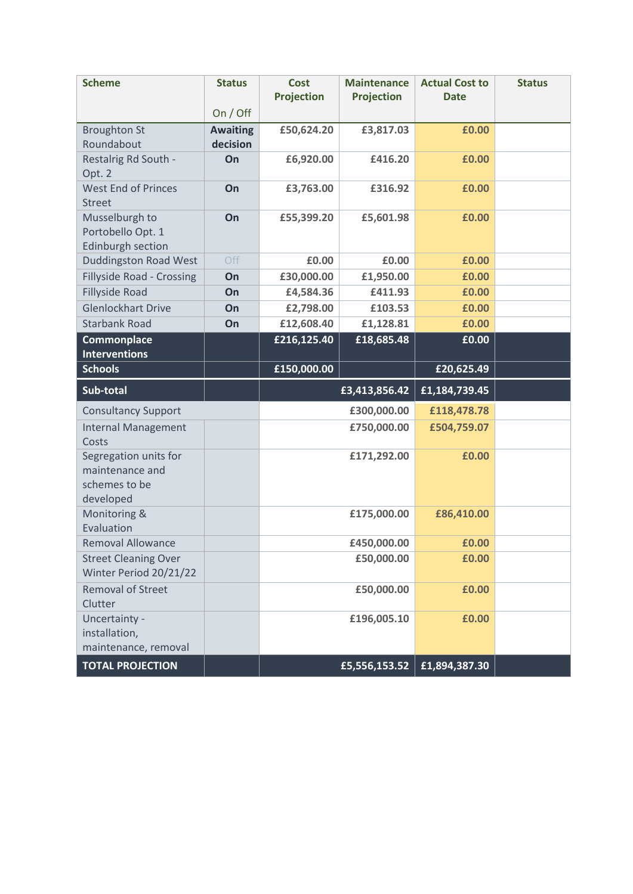| <b>Scheme</b>                                                                     | <b>Status</b>   | <b>Cost</b><br><b>Projection</b> | <b>Maintenance</b><br><b>Projection</b> | <b>Actual Cost to</b><br><b>Date</b> | <b>Status</b> |
|-----------------------------------------------------------------------------------|-----------------|----------------------------------|-----------------------------------------|--------------------------------------|---------------|
|                                                                                   | On / Off        |                                  |                                         |                                      |               |
| <b>Broughton St</b>                                                               | <b>Awaiting</b> | £50,624.20                       | £3,817.03                               | £0.00                                |               |
| Roundabout                                                                        | decision        |                                  |                                         |                                      |               |
| Restalrig Rd South -                                                              | On              | £6,920.00                        | £416.20                                 | £0.00                                |               |
| Opt. 2                                                                            |                 |                                  |                                         |                                      |               |
| <b>West End of Princes</b><br><b>Street</b>                                       | On              | £3,763.00                        | £316.92                                 | £0.00                                |               |
| Musselburgh to<br>Portobello Opt. 1                                               | On              | £55,399.20                       | £5,601.98                               | £0.00                                |               |
| Edinburgh section                                                                 | Off             | £0.00                            | £0.00                                   | £0.00                                |               |
| <b>Duddingston Road West</b><br><b>Fillyside Road - Crossing</b>                  | On              | £30,000.00                       | £1,950.00                               | £0.00                                |               |
| <b>Fillyside Road</b>                                                             | On              | £4,584.36                        | £411.93                                 | £0.00                                |               |
| <b>Glenlockhart Drive</b>                                                         | On              | £2,798.00                        | £103.53                                 | £0.00                                |               |
| <b>Starbank Road</b>                                                              | On              | £12,608.40                       | £1,128.81                               | £0.00                                |               |
|                                                                                   |                 | £216,125.40                      | £18,685.48                              | £0.00                                |               |
| Commonplace<br><b>Interventions</b>                                               |                 |                                  |                                         |                                      |               |
| <b>Schools</b>                                                                    |                 | £150,000.00                      |                                         | £20,625.49                           |               |
|                                                                                   |                 |                                  |                                         |                                      |               |
| Sub-total                                                                         |                 |                                  | £3,413,856.42                           | £1,184,739.45                        |               |
| <b>Consultancy Support</b>                                                        |                 |                                  | £300,000.00                             | £118,478.78                          |               |
| <b>Internal Management</b><br>Costs                                               |                 |                                  | £750,000.00                             | £504,759.07                          |               |
| Segregation units for<br>maintenance and<br>schemes to be<br>developed            |                 |                                  | £171,292.00                             | £0.00                                |               |
| Monitoring &<br>Evaluation                                                        |                 |                                  | £175,000.00                             | £86,410.00                           |               |
| <b>Removal Allowance</b>                                                          |                 |                                  | £450,000.00                             | £0.00                                |               |
| <b>Street Cleaning Over</b><br>Winter Period 20/21/22                             |                 |                                  | £50,000.00                              | £0.00                                |               |
| <b>Removal of Street</b><br>Clutter                                               |                 |                                  | £50,000.00                              | £0.00                                |               |
| Uncertainty -<br>installation,<br>maintenance, removal<br><b>TOTAL PROJECTION</b> |                 |                                  | £196,005.10                             | £0.00<br>£5,556,153.52 £1,894,387.30 |               |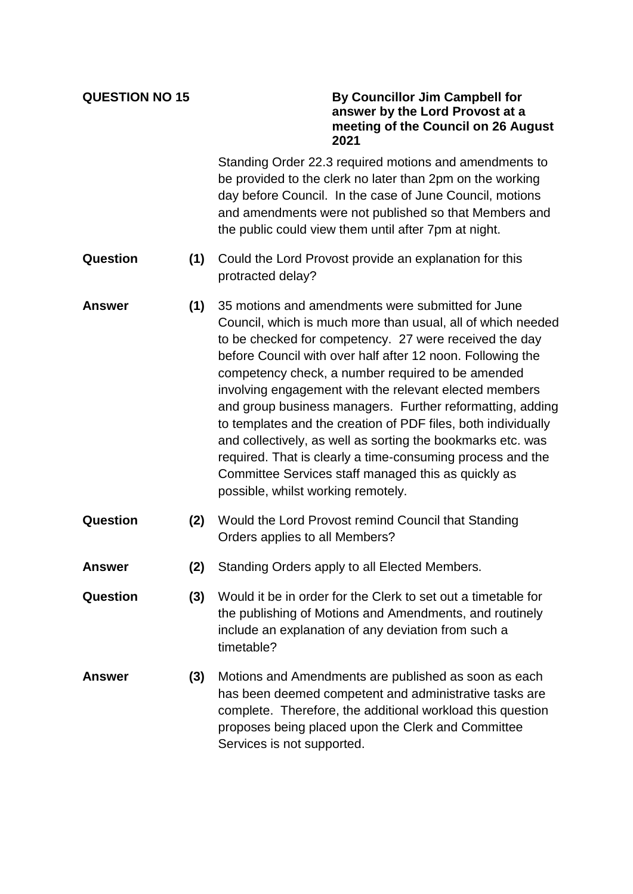## **QUESTION NO 15 By Councillor Jim Campbell for answer by the Lord Provost at a meeting of the Council on 26 August 2021**

Standing Order 22.3 required motions and amendments to be provided to the clerk no later than 2pm on the working day before Council. In the case of June Council, motions and amendments were not published so that Members and the public could view them until after 7pm at night.

- **Question (1)** Could the Lord Provost provide an explanation for this protracted delay?
- **Answer (1)** 35 motions and amendments were submitted for June Council, which is much more than usual, all of which needed to be checked for competency. 27 were received the day before Council with over half after 12 noon. Following the competency check, a number required to be amended involving engagement with the relevant elected members and group business managers. Further reformatting, adding to templates and the creation of PDF files, both individually and collectively, as well as sorting the bookmarks etc. was required. That is clearly a time-consuming process and the Committee Services staff managed this as quickly as possible, whilst working remotely.
- **Question (2)** Would the Lord Provost remind Council that Standing Orders applies to all Members?
- **Answer (2)** Standing Orders apply to all Elected Members.
- **Question (3)** Would it be in order for the Clerk to set out a timetable for the publishing of Motions and Amendments, and routinely include an explanation of any deviation from such a timetable?
- **Answer (3)** Motions and Amendments are published as soon as each has been deemed competent and administrative tasks are complete. Therefore, the additional workload this question proposes being placed upon the Clerk and Committee Services is not supported.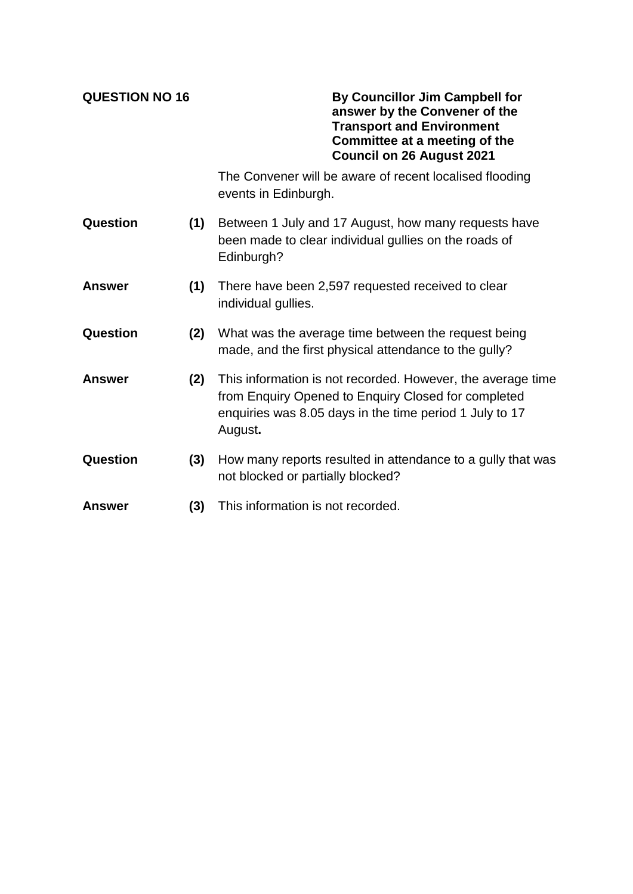**QUESTION NO 16 By Councillor Jim Campbell for answer by the Convener of the Transport and Environment Committee at a meeting of the Council on 26 August 2021**

> The Convener will be aware of recent localised flooding events in Edinburgh.

- **Question (1)** Between 1 July and 17 August, how many requests have been made to clear individual gullies on the roads of Edinburgh?
- **Answer (1)** There have been 2,597 requested received to clear individual gullies.
- **Question (2)** What was the average time between the request being made, and the first physical attendance to the gully?
- **Answer (2)** This information is not recorded. However, the average time from Enquiry Opened to Enquiry Closed for completed enquiries was 8.05 days in the time period 1 July to 17 August**.**
- **Question (3)** How many reports resulted in attendance to a gully that was not blocked or partially blocked?
- **Answer (3)** This information is not recorded.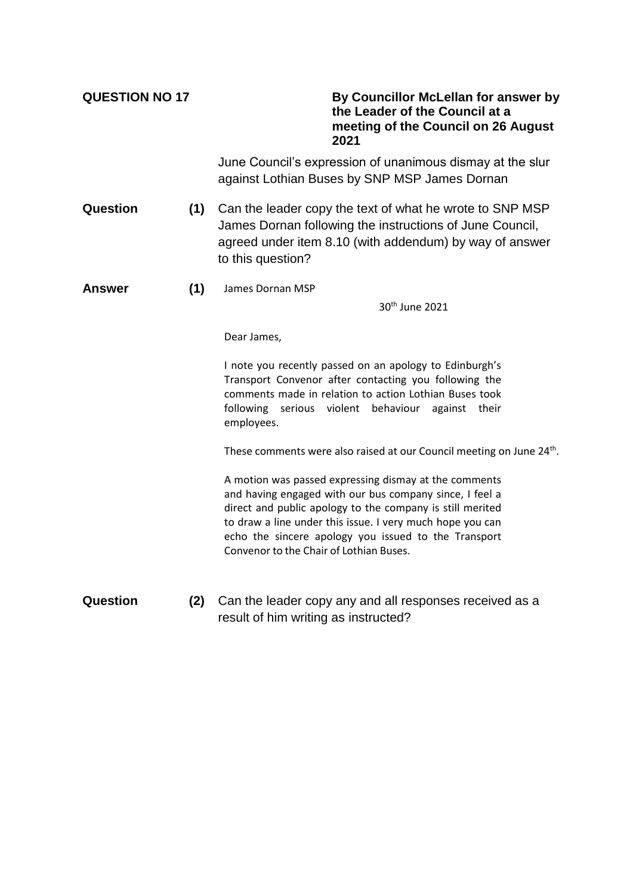| <b>QUESTION NO 17</b> |     | By Councillor McLellan for answer by<br>the Leader of the Council at a<br>meeting of the Council on 26 August<br>2021                                                                                                                                                                                                                         |
|-----------------------|-----|-----------------------------------------------------------------------------------------------------------------------------------------------------------------------------------------------------------------------------------------------------------------------------------------------------------------------------------------------|
|                       |     | June Council's expression of unanimous dismay at the slur<br>against Lothian Buses by SNP MSP James Dornan                                                                                                                                                                                                                                    |
| <b>Question</b>       | (1) | Can the leader copy the text of what he wrote to SNP MSP<br>James Dornan following the instructions of June Council,<br>agreed under item 8.10 (with addendum) by way of answer<br>to this question?                                                                                                                                          |
| <b>Answer</b>         | (1) | James Dornan MSP                                                                                                                                                                                                                                                                                                                              |
|                       |     | 30 <sup>th</sup> June 2021                                                                                                                                                                                                                                                                                                                    |
|                       |     | Dear James,                                                                                                                                                                                                                                                                                                                                   |
|                       |     | I note you recently passed on an apology to Edinburgh's<br>Transport Convenor after contacting you following the<br>comments made in relation to action Lothian Buses took<br>following serious violent<br>behaviour<br>against their<br>employees.                                                                                           |
|                       |     | These comments were also raised at our Council meeting on June 24 <sup>th</sup> .                                                                                                                                                                                                                                                             |
|                       |     | A motion was passed expressing dismay at the comments<br>and having engaged with our bus company since, I feel a<br>direct and public apology to the company is still merited<br>to draw a line under this issue. I very much hope you can<br>echo the sincere apology you issued to the Transport<br>Convenor to the Chair of Lothian Buses. |
| Question              | (2) | Can the leader copy any and all responses received as a<br>result of him writing as instructed?                                                                                                                                                                                                                                               |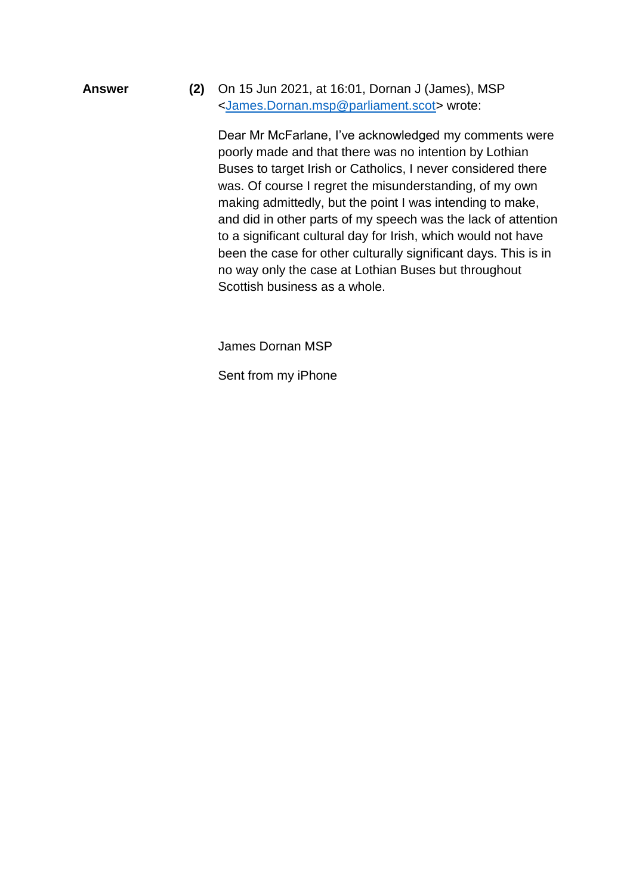**Answer (2)** On 15 Jun 2021, at 16:01, Dornan J (James), MSP [<James.Dornan.msp@parliament.scot>](mailto:James.Dornan.msp@parliament.scot) wrote:

> Dear Mr McFarlane, I've acknowledged my comments were poorly made and that there was no intention by Lothian Buses to target Irish or Catholics, I never considered there was. Of course I regret the misunderstanding, of my own making admittedly, but the point I was intending to make, and did in other parts of my speech was the lack of attention to a significant cultural day for Irish, which would not have been the case for other culturally significant days. This is in no way only the case at Lothian Buses but throughout Scottish business as a whole.

James Dornan MSP

Sent from my iPhone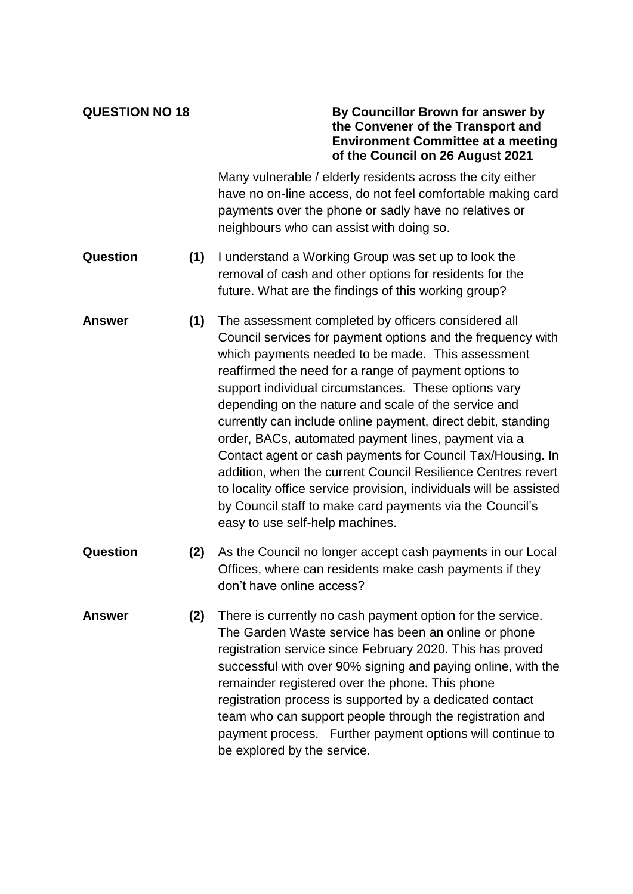## **QUESTION NO 18 By Councillor Brown for answer by the Convener of the Transport and Environment Committee at a meeting of the Council on 26 August 2021**

Many vulnerable / elderly residents across the city either have no on-line access, do not feel comfortable making card payments over the phone or sadly have no relatives or neighbours who can assist with doing so.

- **Question (1)** I understand a Working Group was set up to look the removal of cash and other options for residents for the future. What are the findings of this working group?
- **Answer (1)** The assessment completed by officers considered all Council services for payment options and the frequency with which payments needed to be made. This assessment reaffirmed the need for a range of payment options to support individual circumstances. These options vary depending on the nature and scale of the service and currently can include online payment, direct debit, standing order, BACs, automated payment lines, payment via a Contact agent or cash payments for Council Tax/Housing. In addition, when the current Council Resilience Centres revert to locality office service provision, individuals will be assisted by Council staff to make card payments via the Council's easy to use self-help machines.
- **Question (2)** As the Council no longer accept cash payments in our Local Offices, where can residents make cash payments if they don't have online access?
- **Answer (2)** There is currently no cash payment option for the service. The Garden Waste service has been an online or phone registration service since February 2020. This has proved successful with over 90% signing and paying online, with the remainder registered over the phone. This phone registration process is supported by a dedicated contact team who can support people through the registration and payment process. Further payment options will continue to be explored by the service.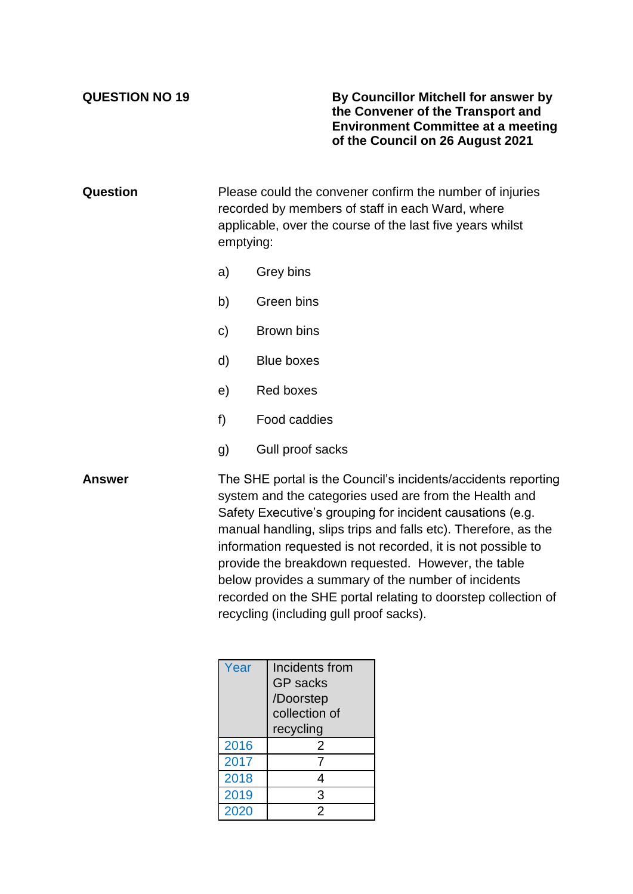**QUESTION NO 19 By Councillor Mitchell for answer by the Convener of the Transport and Environment Committee at a meeting of the Council on 26 August 2021**

**Question** Please could the convener confirm the number of injuries recorded by members of staff in each Ward, where applicable, over the course of the last five years whilst emptying:

- a) Grey bins
- b) Green bins
- c) Brown bins
- d) Blue boxes
- e) Red boxes
- f) Food caddies
- g) Gull proof sacks

**Answer** The SHE portal is the Council's incidents/accidents reporting system and the categories used are from the Health and Safety Executive's grouping for incident causations (e.g. manual handling, slips trips and falls etc). Therefore, as the information requested is not recorded, it is not possible to provide the breakdown requested. However, the table below provides a summary of the number of incidents recorded on the SHE portal relating to doorstep collection of recycling (including gull proof sacks).

| Year | Incidents from  |
|------|-----------------|
|      | <b>GP</b> sacks |
|      | /Doorstep       |
|      | collection of   |
|      | recycling       |
| 2016 | 2               |
| 2017 | 7               |
| 2018 |                 |
| 2019 | 3               |
| 2020 | 2               |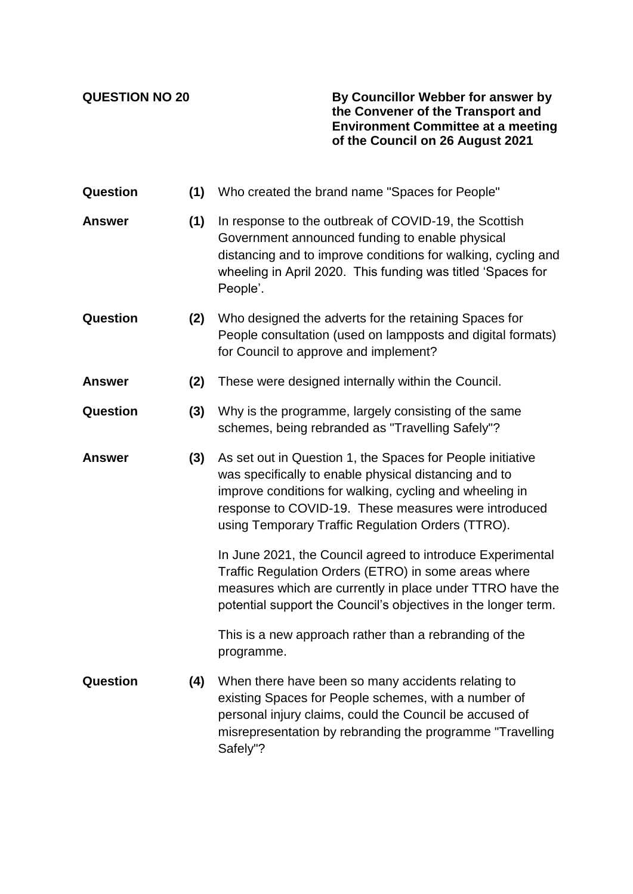**QUESTION NO 20 By Councillor Webber for answer by the Convener of the Transport and Environment Committee at a meeting of the Council on 26 August 2021**

| Question        | (1) | Who created the brand name "Spaces for People"                                                                                                                                                                                                                                              |
|-----------------|-----|---------------------------------------------------------------------------------------------------------------------------------------------------------------------------------------------------------------------------------------------------------------------------------------------|
| <b>Answer</b>   | (1) | In response to the outbreak of COVID-19, the Scottish<br>Government announced funding to enable physical<br>distancing and to improve conditions for walking, cycling and<br>wheeling in April 2020. This funding was titled 'Spaces for<br>People'.                                        |
| <b>Question</b> | (2) | Who designed the adverts for the retaining Spaces for<br>People consultation (used on lampposts and digital formats)<br>for Council to approve and implement?                                                                                                                               |
| <b>Answer</b>   | (2) | These were designed internally within the Council.                                                                                                                                                                                                                                          |
| Question        | (3) | Why is the programme, largely consisting of the same<br>schemes, being rebranded as "Travelling Safely"?                                                                                                                                                                                    |
| <b>Answer</b>   | (3) | As set out in Question 1, the Spaces for People initiative<br>was specifically to enable physical distancing and to<br>improve conditions for walking, cycling and wheeling in<br>response to COVID-19. These measures were introduced<br>using Temporary Traffic Regulation Orders (TTRO). |
|                 |     | In June 2021, the Council agreed to introduce Experimental<br>Traffic Regulation Orders (ETRO) in some areas where<br>measures which are currently in place under TTRO have the<br>potential support the Council's objectives in the longer term.                                           |
|                 |     | This is a new approach rather than a rebranding of the<br>programme.                                                                                                                                                                                                                        |
| Question        | (4) | When there have been so many accidents relating to<br>existing Spaces for People schemes, with a number of<br>personal injury claims, could the Council be accused of<br>misrepresentation by rebranding the programme "Travelling<br>Safely"?                                              |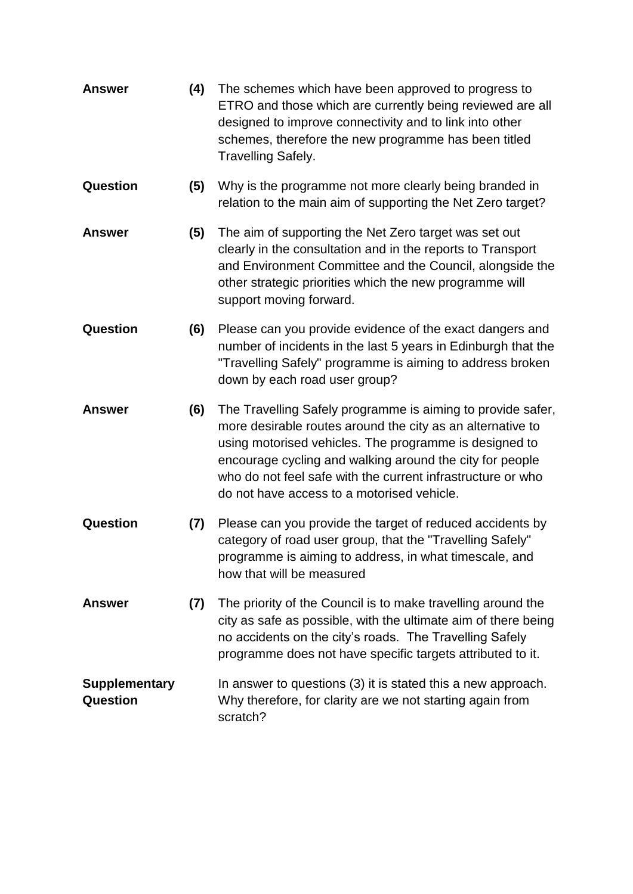| <b>Answer</b>                    | (4) | The schemes which have been approved to progress to<br>ETRO and those which are currently being reviewed are all<br>designed to improve connectivity and to link into other<br>schemes, therefore the new programme has been titled<br><b>Travelling Safely.</b>                                                                                             |
|----------------------------------|-----|--------------------------------------------------------------------------------------------------------------------------------------------------------------------------------------------------------------------------------------------------------------------------------------------------------------------------------------------------------------|
| <b>Question</b>                  | (5) | Why is the programme not more clearly being branded in<br>relation to the main aim of supporting the Net Zero target?                                                                                                                                                                                                                                        |
| <b>Answer</b>                    | (5) | The aim of supporting the Net Zero target was set out<br>clearly in the consultation and in the reports to Transport<br>and Environment Committee and the Council, alongside the<br>other strategic priorities which the new programme will<br>support moving forward.                                                                                       |
| Question                         | (6) | Please can you provide evidence of the exact dangers and<br>number of incidents in the last 5 years in Edinburgh that the<br>"Travelling Safely" programme is aiming to address broken<br>down by each road user group?                                                                                                                                      |
| <b>Answer</b>                    | (6) | The Travelling Safely programme is aiming to provide safer,<br>more desirable routes around the city as an alternative to<br>using motorised vehicles. The programme is designed to<br>encourage cycling and walking around the city for people<br>who do not feel safe with the current infrastructure or who<br>do not have access to a motorised vehicle. |
| <b>Question</b>                  | (7) | Please can you provide the target of reduced accidents by<br>category of road user group, that the "Travelling Safely"<br>programme is aiming to address, in what timescale, and<br>how that will be measured                                                                                                                                                |
| Answer                           | (7) | The priority of the Council is to make travelling around the<br>city as safe as possible, with the ultimate aim of there being<br>no accidents on the city's roads. The Travelling Safely<br>programme does not have specific targets attributed to it.                                                                                                      |
| <b>Supplementary</b><br>Question |     | In answer to questions (3) it is stated this a new approach.<br>Why therefore, for clarity are we not starting again from<br>scratch?                                                                                                                                                                                                                        |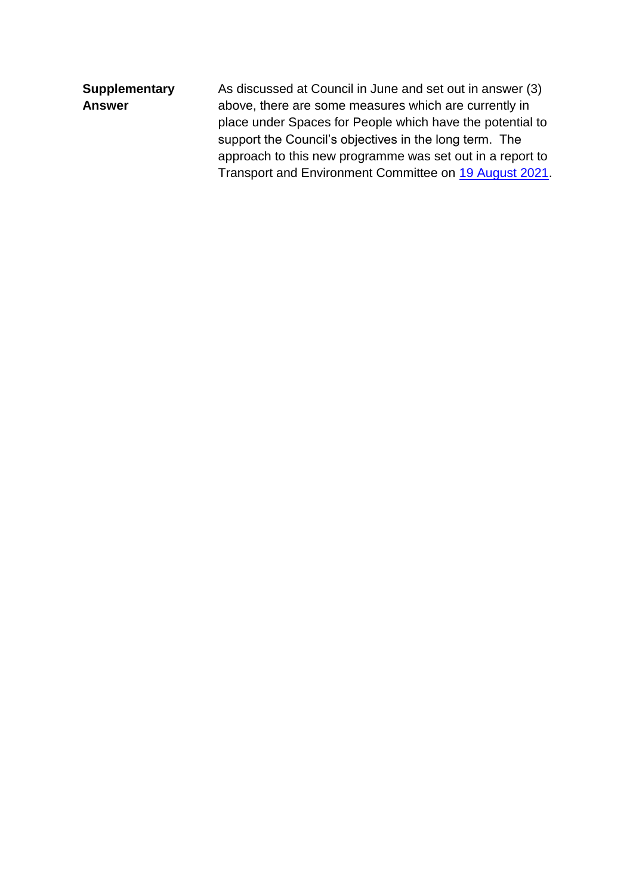| <b>Supplementary</b> | As discussed at Council in June and set out in answer (3) |
|----------------------|-----------------------------------------------------------|
| <b>Answer</b>        | above, there are some measures which are currently in     |
|                      | place under Spaces for People which have the potential to |
|                      | support the Council's objectives in the long term. The    |
|                      | approach to this new programme was set out in a report to |
|                      | Transport and Environment Committee on 19 August 2021.    |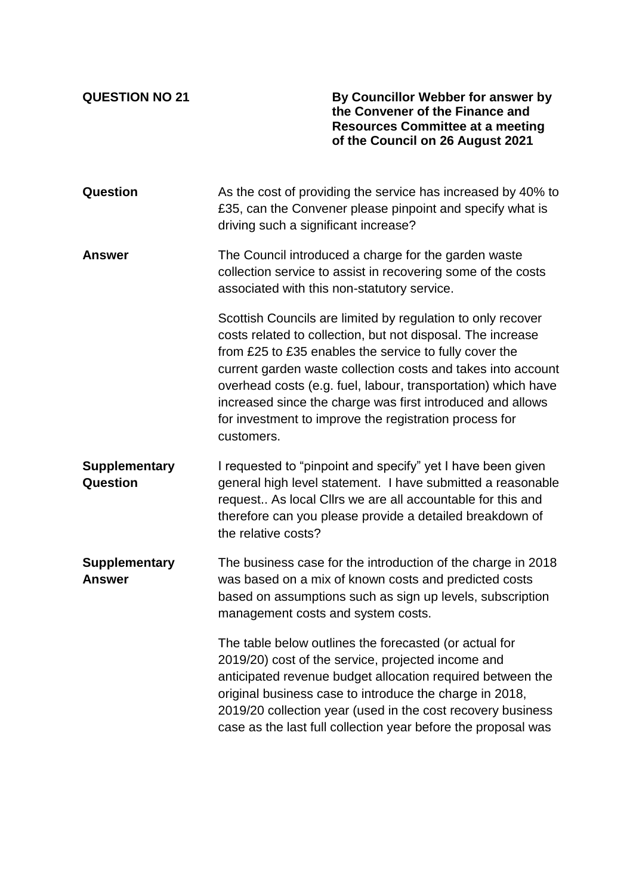**QUESTION NO 21 By Councillor Webber for answer by the Convener of the Finance and Resources Committee at a meeting of the Council on 26 August 2021**

| Question                              | As the cost of providing the service has increased by 40% to<br>£35, can the Convener please pinpoint and specify what is<br>driving such a significant increase?                                                                                                                                                                                                                                                                                           |
|---------------------------------------|-------------------------------------------------------------------------------------------------------------------------------------------------------------------------------------------------------------------------------------------------------------------------------------------------------------------------------------------------------------------------------------------------------------------------------------------------------------|
| <b>Answer</b>                         | The Council introduced a charge for the garden waste<br>collection service to assist in recovering some of the costs<br>associated with this non-statutory service.                                                                                                                                                                                                                                                                                         |
|                                       | Scottish Councils are limited by regulation to only recover<br>costs related to collection, but not disposal. The increase<br>from £25 to £35 enables the service to fully cover the<br>current garden waste collection costs and takes into account<br>overhead costs (e.g. fuel, labour, transportation) which have<br>increased since the charge was first introduced and allows<br>for investment to improve the registration process for<br>customers. |
| <b>Supplementary</b><br>Question      | I requested to "pinpoint and specify" yet I have been given<br>general high level statement. I have submitted a reasonable<br>request As local Cllrs we are all accountable for this and<br>therefore can you please provide a detailed breakdown of<br>the relative costs?                                                                                                                                                                                 |
| <b>Supplementary</b><br><b>Answer</b> | The business case for the introduction of the charge in 2018<br>was based on a mix of known costs and predicted costs<br>based on assumptions such as sign up levels, subscription<br>management costs and system costs.                                                                                                                                                                                                                                    |
|                                       | The table below outlines the forecasted (or actual for<br>2019/20) cost of the service, projected income and<br>anticipated revenue budget allocation required between the<br>original business case to introduce the charge in 2018,<br>2019/20 collection year (used in the cost recovery business<br>case as the last full collection year before the proposal was                                                                                       |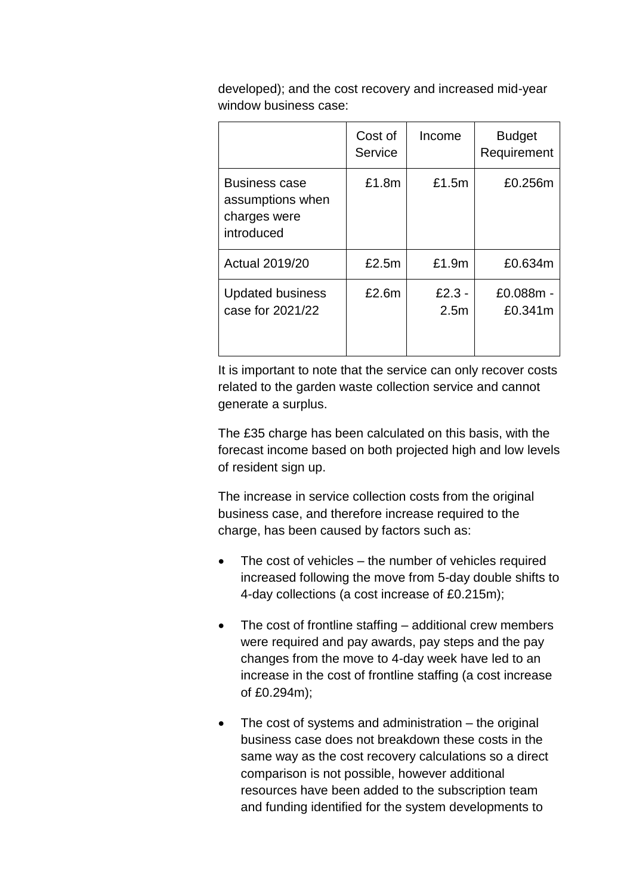developed); and the cost recovery and increased mid-year window business case:

|                                                                        | Cost of<br>Service | Income                       | <b>Budget</b><br>Requirement |
|------------------------------------------------------------------------|--------------------|------------------------------|------------------------------|
| <b>Business case</b><br>assumptions when<br>charges were<br>introduced | £1.8m              | £1.5m                        | £0.256m                      |
| <b>Actual 2019/20</b>                                                  | £2.5m              | £1.9m                        | £0.634m                      |
| <b>Updated business</b><br>case for 2021/22                            | £2.6m              | $£2.3 -$<br>2.5 <sub>m</sub> | £0.088m -<br>£0.341m         |

It is important to note that the service can only recover costs related to the garden waste collection service and cannot generate a surplus.

The £35 charge has been calculated on this basis, with the forecast income based on both projected high and low levels of resident sign up.

The increase in service collection costs from the original business case, and therefore increase required to the charge, has been caused by factors such as:

- The cost of vehicles the number of vehicles required increased following the move from 5-day double shifts to 4-day collections (a cost increase of £0.215m);
- The cost of frontline staffing additional crew members were required and pay awards, pay steps and the pay changes from the move to 4-day week have led to an increase in the cost of frontline staffing (a cost increase of £0.294m);
- The cost of systems and administration the original business case does not breakdown these costs in the same way as the cost recovery calculations so a direct comparison is not possible, however additional resources have been added to the subscription team and funding identified for the system developments to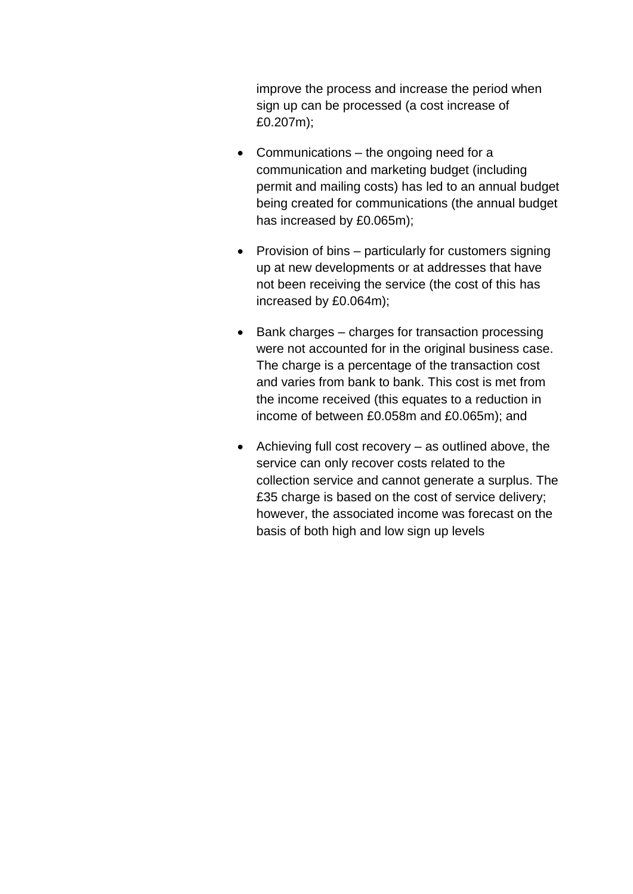improve the process and increase the period when sign up can be processed (a cost increase of £0.207m);

- Communications the ongoing need for a communication and marketing budget (including permit and mailing costs) has led to an annual budget being created for communications (the annual budget has increased by £0.065m);
- Provision of bins particularly for customers signing up at new developments or at addresses that have not been receiving the service (the cost of this has increased by £0.064m);
- Bank charges charges for transaction processing were not accounted for in the original business case. The charge is a percentage of the transaction cost and varies from bank to bank. This cost is met from the income received (this equates to a reduction in income of between £0.058m and £0.065m); and
- $\bullet$  Achieving full cost recovery as outlined above, the service can only recover costs related to the collection service and cannot generate a surplus. The £35 charge is based on the cost of service delivery; however, the associated income was forecast on the basis of both high and low sign up levels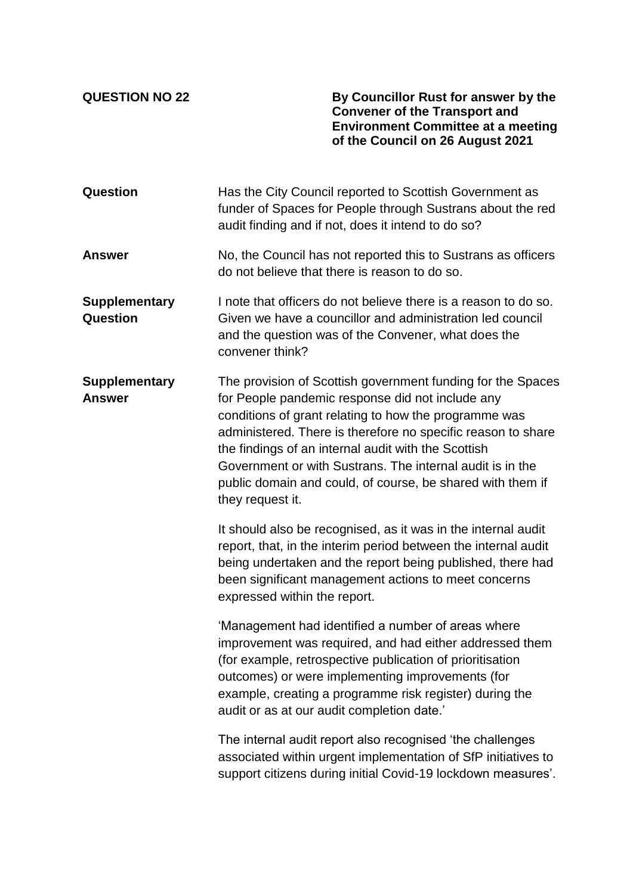**QUESTION NO 22 By Councillor Rust for answer by the Convener of the Transport and Environment Committee at a meeting of the Council on 26 August 2021**

| Question                                | Has the City Council reported to Scottish Government as<br>funder of Spaces for People through Sustrans about the red<br>audit finding and if not, does it intend to do so?                                                                                                                                                                                                                                                                    |
|-----------------------------------------|------------------------------------------------------------------------------------------------------------------------------------------------------------------------------------------------------------------------------------------------------------------------------------------------------------------------------------------------------------------------------------------------------------------------------------------------|
| <b>Answer</b>                           | No, the Council has not reported this to Sustrans as officers<br>do not believe that there is reason to do so.                                                                                                                                                                                                                                                                                                                                 |
| <b>Supplementary</b><br><b>Question</b> | I note that officers do not believe there is a reason to do so.<br>Given we have a councillor and administration led council<br>and the question was of the Convener, what does the<br>convener think?                                                                                                                                                                                                                                         |
| <b>Supplementary</b><br><b>Answer</b>   | The provision of Scottish government funding for the Spaces<br>for People pandemic response did not include any<br>conditions of grant relating to how the programme was<br>administered. There is therefore no specific reason to share<br>the findings of an internal audit with the Scottish<br>Government or with Sustrans. The internal audit is in the<br>public domain and could, of course, be shared with them if<br>they request it. |
|                                         | It should also be recognised, as it was in the internal audit<br>report, that, in the interim period between the internal audit<br>being undertaken and the report being published, there had<br>been significant management actions to meet concerns<br>expressed within the report.                                                                                                                                                          |
|                                         | 'Management had identified a number of areas where<br>improvement was required, and had either addressed them<br>(for example, retrospective publication of prioritisation<br>outcomes) or were implementing improvements (for<br>example, creating a programme risk register) during the<br>audit or as at our audit completion date.'                                                                                                        |
|                                         | The internal audit report also recognised 'the challenges<br>associated within urgent implementation of SfP initiatives to<br>support citizens during initial Covid-19 lockdown measures'.                                                                                                                                                                                                                                                     |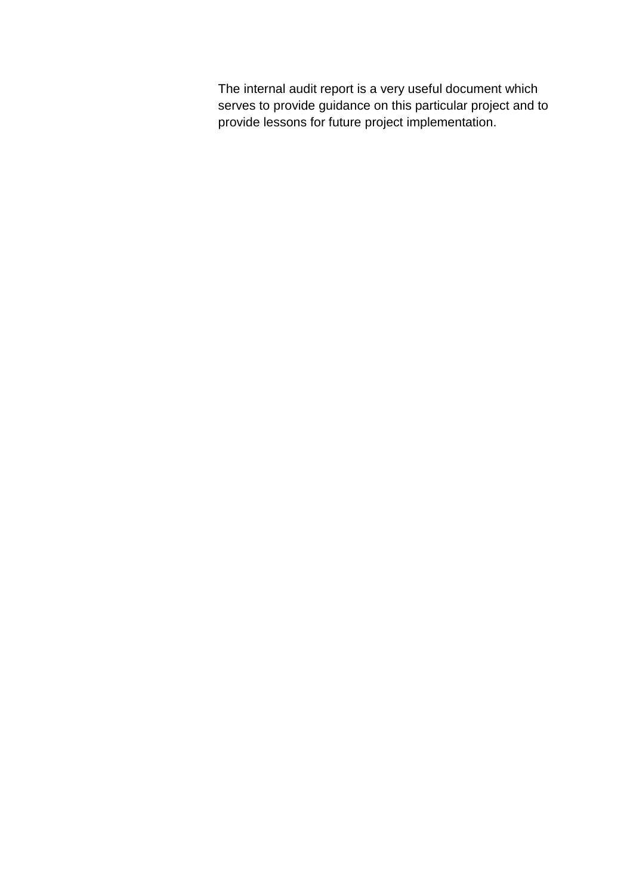The internal audit report is a very useful document which serves to provide guidance on this particular project and to provide lessons for future project implementation.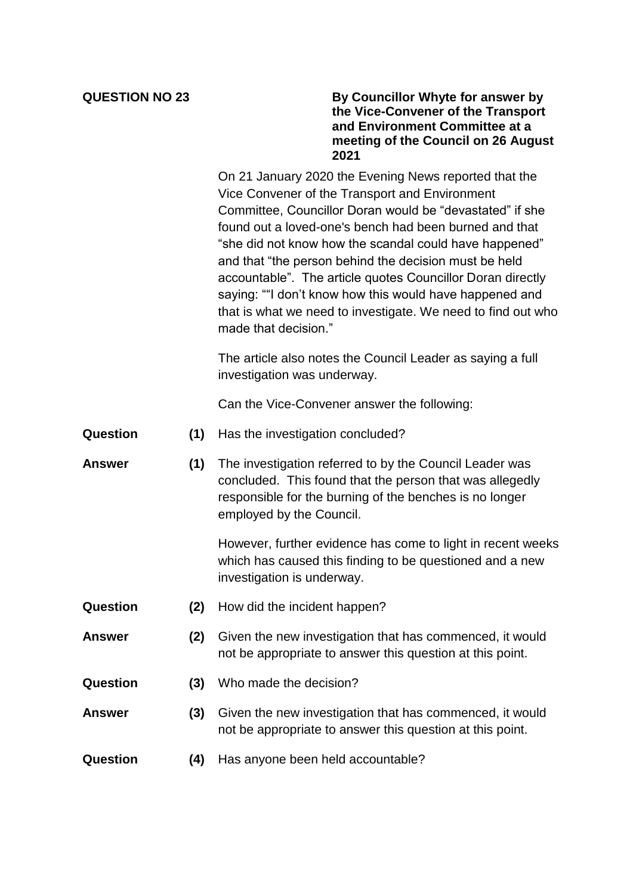## **QUESTION NO 23 By Councillor Whyte for answer by the Vice-Convener of the Transport and Environment Committee at a meeting of the Council on 26 August 2021**

On 21 January 2020 the Evening News reported that the Vice Convener of the Transport and Environment Committee, Councillor Doran would be "devastated" if she found out a loved-one's bench had been burned and that "she did not know how the scandal could have happened" and that "the person behind the decision must be held accountable". The article quotes Councillor Doran directly saying: ""I don't know how this would have happened and that is what we need to investigate. We need to find out who made that decision."

The article also notes the Council Leader as saying a full investigation was underway.

Can the Vice-Convener answer the following:

- **Question (1)** Has the investigation concluded?
- **Answer (1)** The investigation referred to by the Council Leader was concluded. This found that the person that was allegedly responsible for the burning of the benches is no longer employed by the Council.

However, further evidence has come to light in recent weeks which has caused this finding to be questioned and a new investigation is underway.

- **Question (2)** How did the incident happen?
- **Answer (2)** Given the new investigation that has commenced, it would not be appropriate to answer this question at this point.
- **Question (3)** Who made the decision?
- **Answer (3)** Given the new investigation that has commenced, it would not be appropriate to answer this question at this point.
- **Question (4)** Has anyone been held accountable?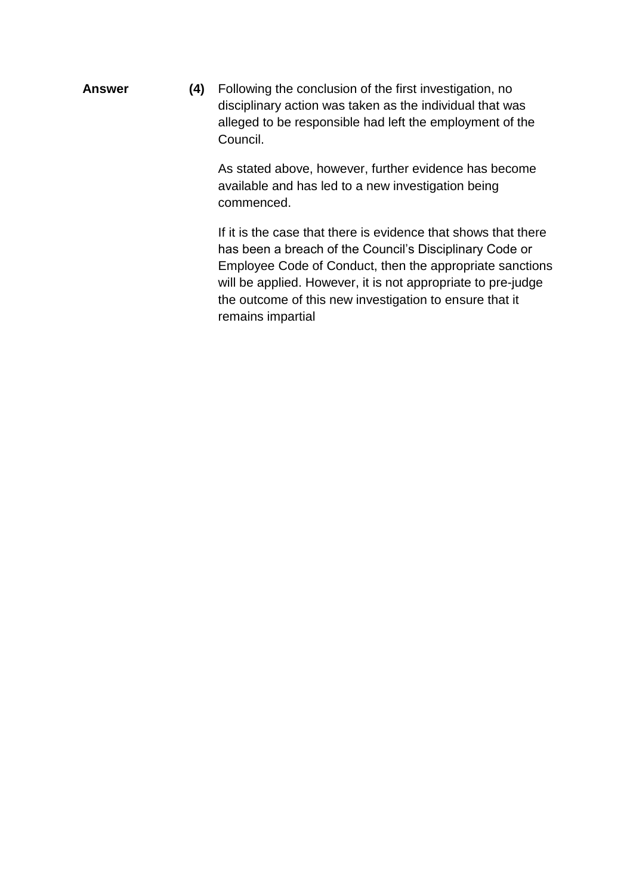**Answer (4)** Following the conclusion of the first investigation, no disciplinary action was taken as the individual that was alleged to be responsible had left the employment of the Council.

> As stated above, however, further evidence has become available and has led to a new investigation being commenced.

If it is the case that there is evidence that shows that there has been a breach of the Council's Disciplinary Code or Employee Code of Conduct, then the appropriate sanctions will be applied. However, it is not appropriate to pre-judge the outcome of this new investigation to ensure that it remains impartial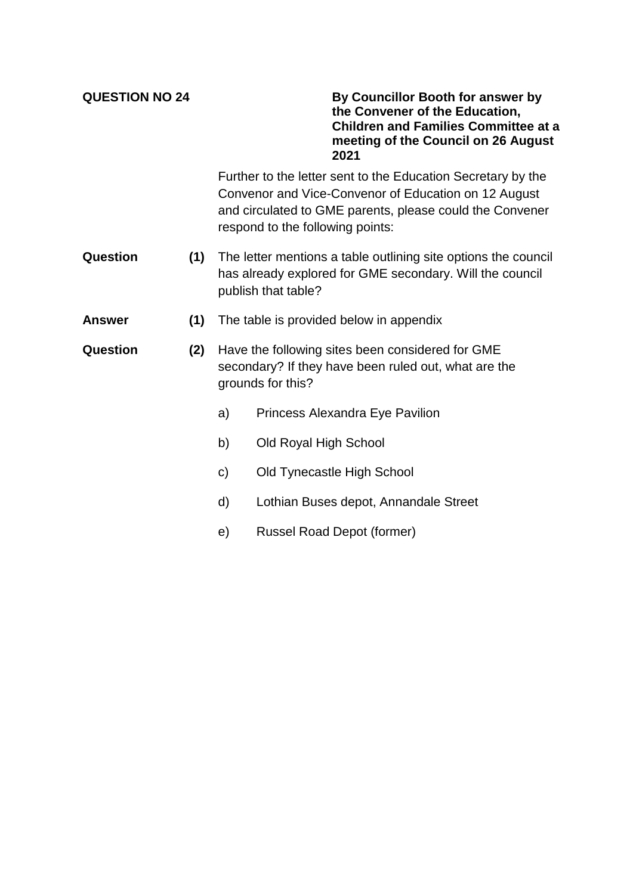**QUESTION NO 24 By Councillor Booth for answer by the Convener of the Education, Children and Families Committee at a meeting of the Council on 26 August 2021**

> Further to the letter sent to the Education Secretary by the Convenor and Vice-Convenor of Education on 12 August and circulated to GME parents, please could the Convener respond to the following points:

- **Question (1)** The letter mentions a table outlining site options the council has already explored for GME secondary. Will the council publish that table?
- **Answer (1)** The table is provided below in appendix
- **Question (2)** Have the following sites been considered for GME secondary? If they have been ruled out, what are the grounds for this?
	- a) Princess Alexandra Eye Pavilion
	- b) Old Royal High School
	- c) Old Tynecastle High School
	- d) Lothian Buses depot, Annandale Street
	- e) Russel Road Depot (former)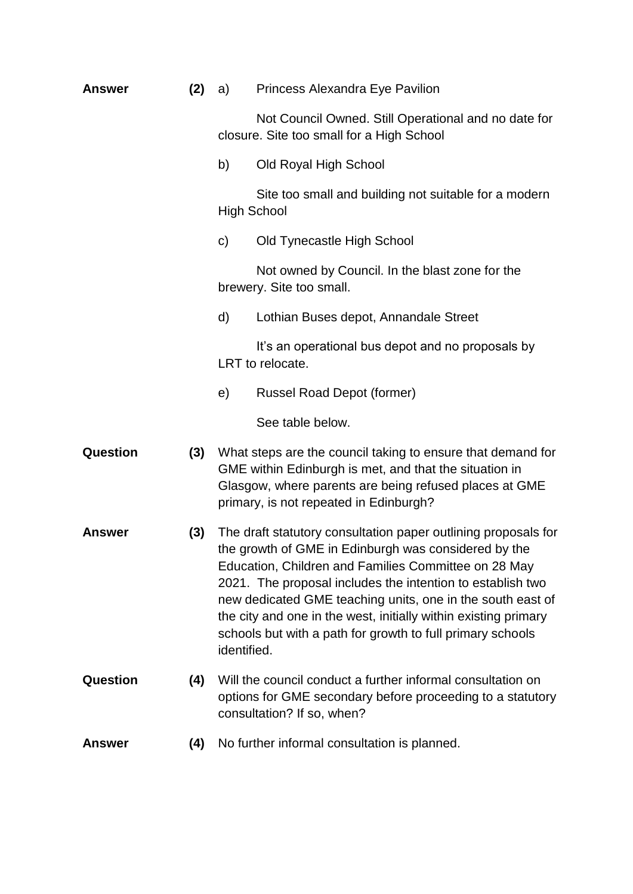| <b>Answer</b> | (2) | <b>Princess Alexandra Eye Pavilion</b><br>a)                                                                                                                                                                                                                                                                                                                                                                                                               |                                                                                                                                                                                                                           |  |
|---------------|-----|------------------------------------------------------------------------------------------------------------------------------------------------------------------------------------------------------------------------------------------------------------------------------------------------------------------------------------------------------------------------------------------------------------------------------------------------------------|---------------------------------------------------------------------------------------------------------------------------------------------------------------------------------------------------------------------------|--|
|               |     |                                                                                                                                                                                                                                                                                                                                                                                                                                                            | Not Council Owned. Still Operational and no date for<br>closure. Site too small for a High School                                                                                                                         |  |
|               |     | b)                                                                                                                                                                                                                                                                                                                                                                                                                                                         | Old Royal High School                                                                                                                                                                                                     |  |
|               |     |                                                                                                                                                                                                                                                                                                                                                                                                                                                            | Site too small and building not suitable for a modern<br><b>High School</b>                                                                                                                                               |  |
|               |     | $\mathsf{C}$                                                                                                                                                                                                                                                                                                                                                                                                                                               | Old Tynecastle High School                                                                                                                                                                                                |  |
|               |     |                                                                                                                                                                                                                                                                                                                                                                                                                                                            | Not owned by Council. In the blast zone for the<br>brewery. Site too small.                                                                                                                                               |  |
|               |     | d)                                                                                                                                                                                                                                                                                                                                                                                                                                                         | Lothian Buses depot, Annandale Street                                                                                                                                                                                     |  |
|               |     |                                                                                                                                                                                                                                                                                                                                                                                                                                                            | It's an operational bus depot and no proposals by<br>LRT to relocate.                                                                                                                                                     |  |
|               |     | e)                                                                                                                                                                                                                                                                                                                                                                                                                                                         | Russel Road Depot (former)                                                                                                                                                                                                |  |
|               |     |                                                                                                                                                                                                                                                                                                                                                                                                                                                            | See table below.                                                                                                                                                                                                          |  |
| Question      | (3) |                                                                                                                                                                                                                                                                                                                                                                                                                                                            | What steps are the council taking to ensure that demand for<br>GME within Edinburgh is met, and that the situation in<br>Glasgow, where parents are being refused places at GME<br>primary, is not repeated in Edinburgh? |  |
| <b>Answer</b> | (3) | The draft statutory consultation paper outlining proposals for<br>the growth of GME in Edinburgh was considered by the<br>Education, Children and Families Committee on 28 May<br>2021. The proposal includes the intention to establish two<br>new dedicated GME teaching units, one in the south east of<br>the city and one in the west, initially within existing primary<br>schools but with a path for growth to full primary schools<br>identified. |                                                                                                                                                                                                                           |  |
| Question      | (4) |                                                                                                                                                                                                                                                                                                                                                                                                                                                            | Will the council conduct a further informal consultation on<br>options for GME secondary before proceeding to a statutory<br>consultation? If so, when?                                                                   |  |
| <b>Answer</b> | (4) | No further informal consultation is planned.                                                                                                                                                                                                                                                                                                                                                                                                               |                                                                                                                                                                                                                           |  |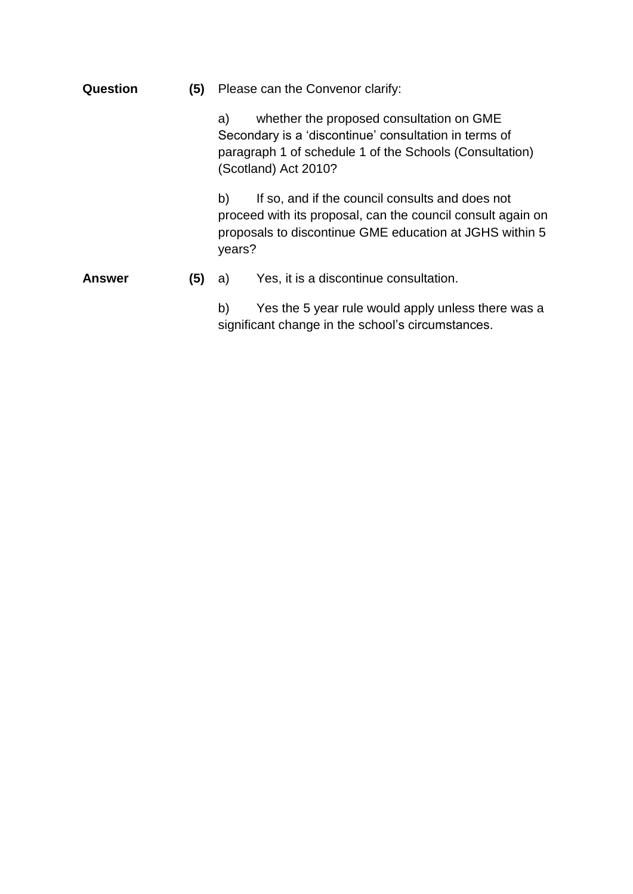| Question      | (5) | Please can the Convenor clarify:                                                                                                                                                           |                                                                                                                                                                           |  |  |
|---------------|-----|--------------------------------------------------------------------------------------------------------------------------------------------------------------------------------------------|---------------------------------------------------------------------------------------------------------------------------------------------------------------------------|--|--|
|               |     | whether the proposed consultation on GME<br>a)<br>Secondary is a 'discontinue' consultation in terms of<br>paragraph 1 of schedule 1 of the Schools (Consultation)<br>(Scotland) Act 2010? |                                                                                                                                                                           |  |  |
|               |     | b)<br>years?                                                                                                                                                                               | If so, and if the council consults and does not<br>proceed with its proposal, can the council consult again on<br>proposals to discontinue GME education at JGHS within 5 |  |  |
| <b>Answer</b> | (5) | a)                                                                                                                                                                                         | Yes, it is a discontinue consultation.                                                                                                                                    |  |  |
|               |     | b)                                                                                                                                                                                         | Yes the 5 year rule would apply unless there was a<br>significant change in the school's circumstances.                                                                   |  |  |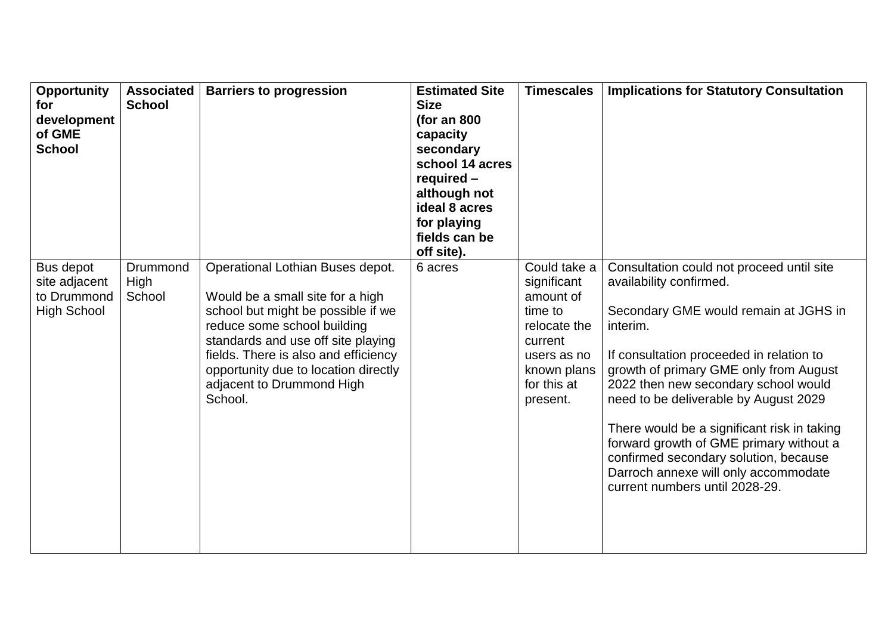| <b>Opportunity</b><br>for<br>development<br>of GME<br><b>School</b> | <b>Associated</b><br><b>School</b> | <b>Barriers to progression</b>                                                                                                                                                                                                                                                                          | <b>Estimated Site</b><br><b>Size</b><br>(for an $800$<br>capacity<br>secondary<br>school 14 acres<br>required -<br>although not<br>ideal 8 acres<br>for playing<br>fields can be<br>off site). | <b>Timescales</b>                                                                                                                       | <b>Implications for Statutory Consultation</b>                                                                                                                                                                                                                                                                                                                                                                                                                                                                |
|---------------------------------------------------------------------|------------------------------------|---------------------------------------------------------------------------------------------------------------------------------------------------------------------------------------------------------------------------------------------------------------------------------------------------------|------------------------------------------------------------------------------------------------------------------------------------------------------------------------------------------------|-----------------------------------------------------------------------------------------------------------------------------------------|---------------------------------------------------------------------------------------------------------------------------------------------------------------------------------------------------------------------------------------------------------------------------------------------------------------------------------------------------------------------------------------------------------------------------------------------------------------------------------------------------------------|
| Bus depot<br>site adjacent<br>to Drummond<br><b>High School</b>     | Drummond<br>High<br>School         | Operational Lothian Buses depot.<br>Would be a small site for a high<br>school but might be possible if we<br>reduce some school building<br>standards and use off site playing<br>fields. There is also and efficiency<br>opportunity due to location directly<br>adjacent to Drummond High<br>School. | 6 acres                                                                                                                                                                                        | Could take a<br>significant<br>amount of<br>time to<br>relocate the<br>current<br>users as no<br>known plans<br>for this at<br>present. | Consultation could not proceed until site<br>availability confirmed.<br>Secondary GME would remain at JGHS in<br>interim.<br>If consultation proceeded in relation to<br>growth of primary GME only from August<br>2022 then new secondary school would<br>need to be deliverable by August 2029<br>There would be a significant risk in taking<br>forward growth of GME primary without a<br>confirmed secondary solution, because<br>Darroch annexe will only accommodate<br>current numbers until 2028-29. |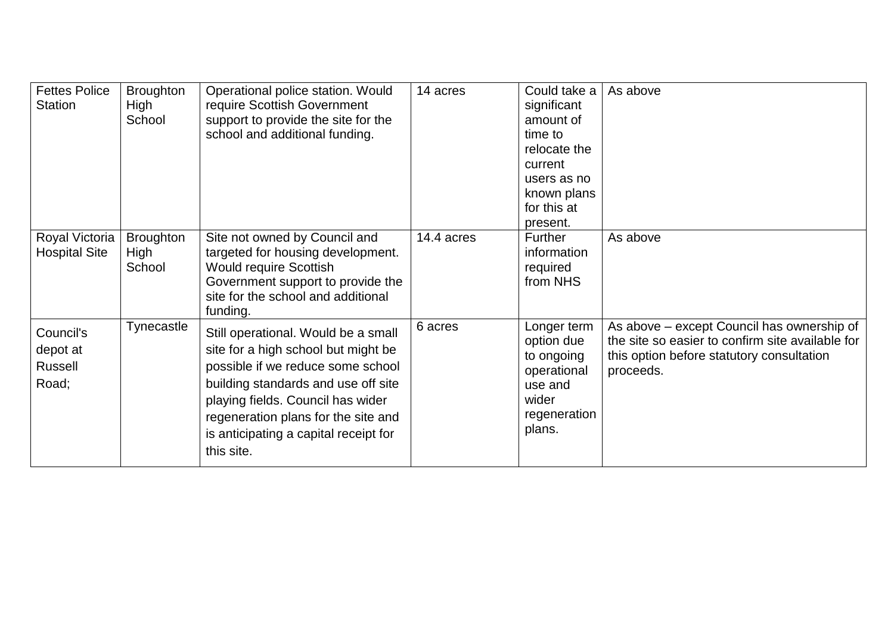| <b>Fettes Police</b><br><b>Station</b>    | <b>Broughton</b><br>High<br>School | Operational police station. Would<br>require Scottish Government<br>support to provide the site for the<br>school and additional funding.                                                                                                                                                 | 14 acres   | Could take a<br>significant<br>amount of<br>time to<br>relocate the<br>current<br>users as no<br>known plans<br>for this at<br>present. | As above                                                                                                                                                 |
|-------------------------------------------|------------------------------------|-------------------------------------------------------------------------------------------------------------------------------------------------------------------------------------------------------------------------------------------------------------------------------------------|------------|-----------------------------------------------------------------------------------------------------------------------------------------|----------------------------------------------------------------------------------------------------------------------------------------------------------|
| Royal Victoria<br><b>Hospital Site</b>    | <b>Broughton</b><br>High<br>School | Site not owned by Council and<br>targeted for housing development.<br><b>Would require Scottish</b><br>Government support to provide the<br>site for the school and additional<br>funding.                                                                                                | 14.4 acres | <b>Further</b><br>information<br>required<br>from NHS                                                                                   | As above                                                                                                                                                 |
| Council's<br>depot at<br>Russell<br>Road; | Tynecastle                         | Still operational. Would be a small<br>site for a high school but might be<br>possible if we reduce some school<br>building standards and use off site<br>playing fields. Council has wider<br>regeneration plans for the site and<br>is anticipating a capital receipt for<br>this site. | 6 acres    | Longer term<br>option due<br>to ongoing<br>operational<br>use and<br>wider<br>regeneration<br>plans.                                    | As above - except Council has ownership of<br>the site so easier to confirm site available for<br>this option before statutory consultation<br>proceeds. |